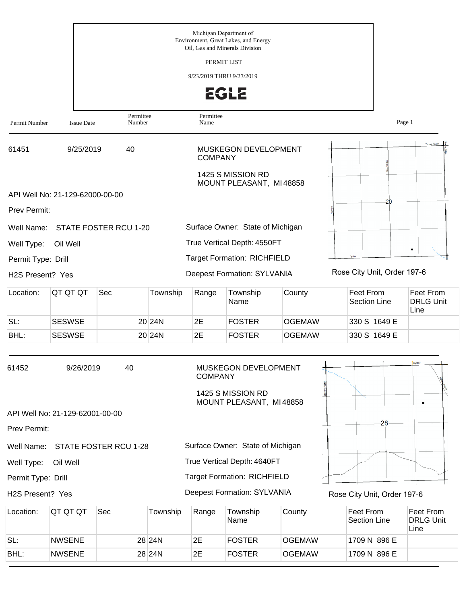|                    |                                 |                                         |          |                   | Michigan Department of                                                 |               |                             |                                       |  |  |
|--------------------|---------------------------------|-----------------------------------------|----------|-------------------|------------------------------------------------------------------------|---------------|-----------------------------|---------------------------------------|--|--|
|                    |                                 |                                         |          |                   | Environment, Great Lakes, and Energy<br>Oil. Gas and Minerals Division |               |                             |                                       |  |  |
|                    |                                 | PERMIT LIST<br>9/23/2019 THRU 9/27/2019 |          |                   |                                                                        |               |                             |                                       |  |  |
|                    |                                 |                                         |          |                   |                                                                        |               |                             |                                       |  |  |
|                    |                                 |                                         |          |                   | 2612                                                                   |               |                             |                                       |  |  |
| Permit Number      | <b>Issue Date</b>               | Permittee<br>Number                     |          | Permittee<br>Name |                                                                        |               |                             | Page 1                                |  |  |
| 61451              | 9/25/2019                       | 40                                      |          | <b>COMPANY</b>    | MUSKEGON DEVELOPMENT                                                   |               |                             |                                       |  |  |
|                    |                                 |                                         |          |                   | 1425 S MISSION RD<br>MOUNT PLEASANT, MI48858                           |               |                             |                                       |  |  |
|                    | API Well No: 21-129-62000-00-00 |                                         |          |                   |                                                                        |               | 20                          |                                       |  |  |
| Prev Permit:       |                                 |                                         |          |                   |                                                                        |               |                             |                                       |  |  |
| Well Name:         |                                 | STATE FOSTER RCU 1-20                   |          |                   | Surface Owner: State of Michigan                                       |               |                             |                                       |  |  |
| Well Type:         | Oil Well                        |                                         |          |                   | True Vertical Depth: 4550FT                                            |               |                             | $\bullet$                             |  |  |
| Permit Type: Drill |                                 |                                         |          |                   | <b>Target Formation: RICHFIELD</b>                                     |               |                             |                                       |  |  |
| H2S Present? Yes   |                                 |                                         |          |                   | <b>Deepest Formation: SYLVANIA</b>                                     |               | Rose City Unit, Order 197-6 |                                       |  |  |
| Location:          | QT QT QT                        | Sec                                     | Township | Range             | Township<br>Name                                                       | County        | Feet From<br>Section Line   | Feet From<br><b>DRLG Unit</b><br>Line |  |  |
| SL:                | <b>SESWSE</b>                   |                                         | 20 24N   | 2E                | <b>FOSTER</b>                                                          | <b>OGEMAW</b> | 330 S 1649 E                |                                       |  |  |
| BHL:               | <b>SESWSE</b>                   |                                         | 20 24N   | 2E                | <b>FOSTER</b>                                                          | <b>OGEMAW</b> | 330 S 1649 E                |                                       |  |  |
| 61452              | 9/26/2019                       | 40                                      |          | <b>COMPANY</b>    | MUSKEGON DEVELOPMENT<br>1425 S MISSION RD                              |               |                             | Ovste                                 |  |  |

API Well No: 21-129-62001-00-00

Prev Permit:

Well Name: STATE FOSTER RCU 1-28

Well Type: Oil Well

Permit Type: Drill

H2S Present? Yes

Deepest Formation: SYLVANIA

Rose City Unit, Order 197-6

28

| Location: | IQT QT QT     | <b>Sec</b> | Township | Range | Township<br><b>Name</b> | County        | ∣Feet From l<br>Section Line | Feet From<br><b>DRLG Unit</b><br>Line |
|-----------|---------------|------------|----------|-------|-------------------------|---------------|------------------------------|---------------------------------------|
| SL:       | <b>NWSENE</b> |            | 28 24N   | 2Е    | <b>FOSTER</b>           | <b>OGEMAW</b> | 1709 N 896 E                 |                                       |
| BHL:      | <b>NWSENE</b> |            | 28 24N   | 2E    | <b>FOSTER</b>           | <b>OGEMAW</b> | 1709 N 896 E                 |                                       |

MOUNT PLEASANT, MI 48858

Surface Owner: State of Michigan

True Vertical Depth: 4640FT

Target Formation: RICHFIELD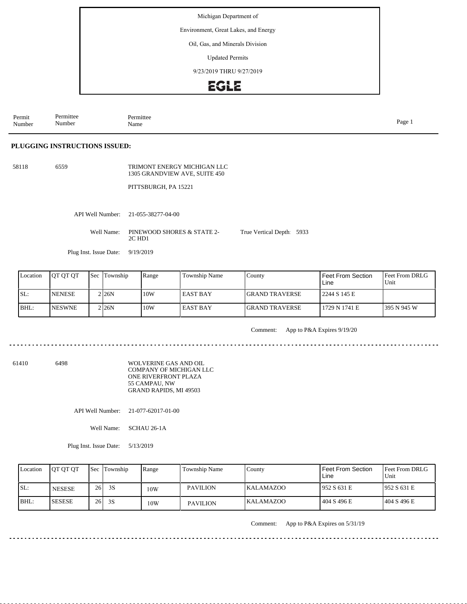Environment, Great Lakes, and Energy

#### Oil, Gas, and Minerals Division

Updated Permits

9/23/2019 THRU 9/27/2019

### **EGLE**

Permit Number Permittee Number Permittee<br>Name Name Page 1

### **PLUGGING INSTRUCTIONS ISSUED:**

58118 6559

TRIMONT ENERGY MICHIGAN LLC 1305 GRANDVIEW AVE, SUITE 450

PITTSBURGH, PA 15221

API Well Number: 21-055-38277-04-00

Well Name: PINEWOOD SHORES & STATE 2-2C HD1

Plug Inst. Issue Date: 9/19/2019

| Location | <b>IOT OT OT</b> | <b>Sec</b> Township | Range | Township Name   | County                 | Feet From Section<br>Line | <b>IFeet From DRLG</b><br>Unit |
|----------|------------------|---------------------|-------|-----------------|------------------------|---------------------------|--------------------------------|
| ISL:     | <b>INENESE</b>   | 2126N               | 10W   | <b>EAST BAY</b> | <b>IGRAND TRAVERSE</b> | 2244 S 145 E              |                                |
| BHL:     | <b>NESWNE</b>    | 2 <sub>126</sub> N  | 10W   | <b>EAST BAY</b> | <b>IGRAND TRAVERSE</b> | 1729 N 1741 E             | 1395 N 945 W                   |

Comment: App to P&A Expires 9/19/20

True Vertical Depth: 5933

61410 6498

WOLVERINE GAS AND OIL COMPANY OF MICHIGAN LLC ONE RIVERFRONT PLAZA 55 CAMPAU, NW GRAND RAPIDS, MI 49503

API Well Number: 21-077-62017-01-00

Well Name: SCHAU 26-1A

Plug Inst. Issue Date: 5/13/2019

| Location | <b>OT OT OT</b> |    | <b>Sec</b> Township | Range | Township Name   | County           | Feet From Section<br>Line | <b>IFeet From DRLG</b><br>Unit |
|----------|-----------------|----|---------------------|-------|-----------------|------------------|---------------------------|--------------------------------|
| ISL:     | <b>NESESE</b>   | 26 | 3S                  | 10W   | <b>PAVILION</b> | <b>KALAMAZOO</b> | 952 S 631 E               | 1952 S 631 E                   |
| $IBHL$ : | <b>ISESESE</b>  | 26 | 3S                  | 10W   | <b>PAVILION</b> | IKALAMAZOO       | 404 S 496 E               | 1404 S 496 E                   |

Comment: App to P&A Expires on 5/31/19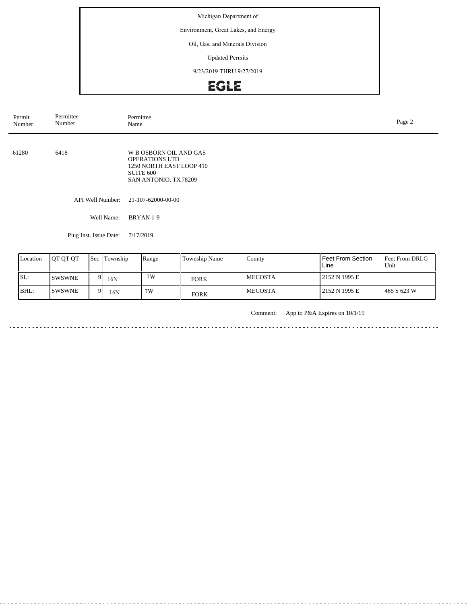Environment, Great Lakes, and Energy

### Oil, Gas, and Minerals Division

Updated Permits

9/23/2019 THRU 9/27/2019

# EGLE

| Permit<br>Number | Permittee<br>Number | Permittee<br>Name                                                                                                 | Page 2 |
|------------------|---------------------|-------------------------------------------------------------------------------------------------------------------|--------|
| 61280            | 6418                | W B OSBORN OIL AND GAS<br><b>OPERATIONS LTD</b><br>1250 NORTH EAST LOOP 410<br>SUITE 600<br>SAN ANTONIO, TX 78209 |        |
|                  | API Well Number:    | 21-107-62000-00-00                                                                                                |        |
|                  | Well Name:          | BRYAN 1-9                                                                                                         |        |

Plug Inst. Issue Date: 7/17/2019

| Location | <b>IOT OT OT</b> | <b>Sec</b> | Township | Range | Township Name | County          | Feet From Section<br>Line | Feet From DRLG<br>Unit |
|----------|------------------|------------|----------|-------|---------------|-----------------|---------------------------|------------------------|
| ISL:     | <b>ISWSWNE</b>   |            | 16N      | 7W    | <b>FORK</b>   | <b>IMECOSTA</b> | 2152 N 1995 E             |                        |
| BHL:     | <b>ISWSWNE</b>   |            | 16N      | 7W    | <b>FORK</b>   | <b>IMECOSTA</b> | 2152 N 1995 E             | 1465 S 623 W           |

Comment: App to P&A Expires on 10/1/19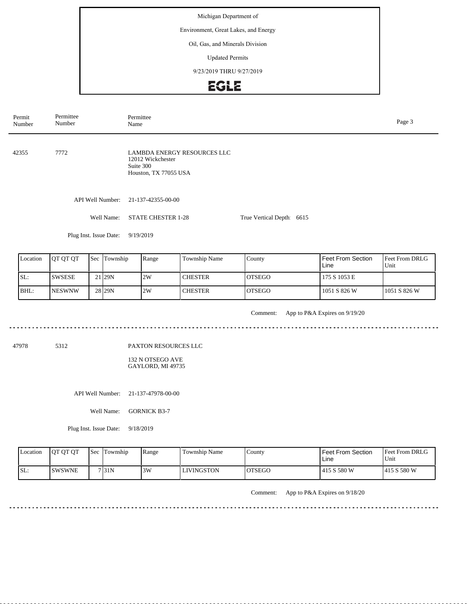Environment, Great Lakes, and Energy

### Oil, Gas, and Minerals Division

Updated Permits

9/23/2019 THRU 9/27/2019

# EGLE

| Permit<br>Number | Permittee<br>Number | Name                                                     | Permittee                                                                              |                |                                                |                                  | Page 3                 |
|------------------|---------------------|----------------------------------------------------------|----------------------------------------------------------------------------------------|----------------|------------------------------------------------|----------------------------------|------------------------|
| 42355            | 7772                |                                                          | LAMBDA ENERGY RESOURCES LLC<br>12012 Wickchester<br>Suite 300<br>Houston, TX 77055 USA |                |                                                |                                  |                        |
|                  |                     | API Well Number:<br>Well Name:<br>Plug Inst. Issue Date: | 21-137-42355-00-00<br><b>STATE CHESTER 1-28</b><br>9/19/2019                           |                | True Vertical Depth: 6615                      |                                  |                        |
|                  |                     |                                                          |                                                                                        |                |                                                |                                  |                        |
| Location         | QT QT QT            | Sec Township                                             | Range                                                                                  | Township Name  | County                                         | <b>Feet From Section</b><br>Line | Feet From DRLG<br>Unit |
| SL:              | <b>SWSESE</b>       | 21 29N                                                   | 2W                                                                                     | <b>CHESTER</b> | <b>OTSEGO</b>                                  | 175 S 1053 E                     |                        |
| BHL:             | <b>NESWNW</b>       | 28 29N                                                   | 2W                                                                                     | <b>CHESTER</b> | <b>OTSEGO</b>                                  | 1051 S 826 W                     | 1051 S 826 W           |
|                  |                     |                                                          |                                                                                        |                | $Common_{t}$ , Ann to DRA Evolves on $0/10/20$ |                                  |                        |

. . . . . . .

Comment: App to P&A Expires on 9/19/20

47978 5312

#### PAXTON RESOURCES LLC

132 N OTSEGO AVE GAYLORD, MI 49735

API Well Number: 21-137-47978-00-00

Well Name: GORNICK B3-7

Plug Inst. Issue Date: 9/18/2019

| <b>Location</b> | <b>IOT OT OT</b> | <b>Sec</b> | Township | Range | Township Name | County        | Feet From Section<br>Line | <b>Feet From DRLG</b><br>Unit |
|-----------------|------------------|------------|----------|-------|---------------|---------------|---------------------------|-------------------------------|
| ISL:            | ISWSWNE          |            | 7131N    | 3W    | LIVINGSTON    | <b>OTSEGO</b> | 415 S 580 W               | 1415 S 580 W                  |

Comment: App to P&A Expires on 9/18/20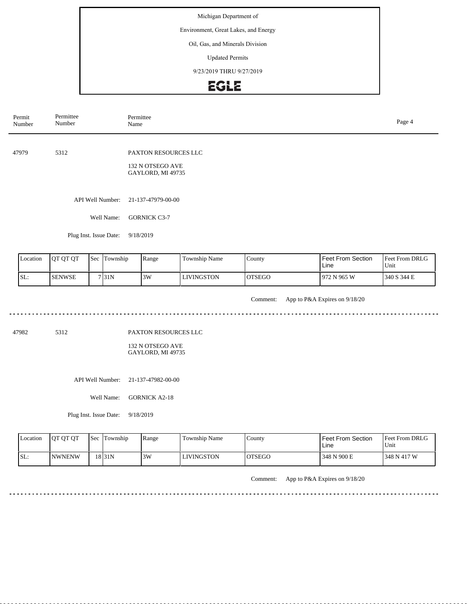Environment, Great Lakes, and Energy

#### Oil, Gas, and Minerals Division

Updated Permits

9/23/2019 THRU 9/27/2019

# EGLE

| Permit<br>Number | Permittee<br>Number    | Permittee<br>Name                     | Page 4 |
|------------------|------------------------|---------------------------------------|--------|
|                  |                        |                                       |        |
| 47979            | 5312                   | PAXTON RESOURCES LLC                  |        |
|                  |                        | 132 N OTSEGO AVE<br>GAYLORD, MI 49735 |        |
|                  |                        |                                       |        |
|                  | API Well Number:       | 21-137-47979-00-00                    |        |
|                  | Well Name:             | <b>GORNICK C3-7</b>                   |        |
|                  | Plug Inst. Issue Date: | 9/18/2019                             |        |
|                  | .                      |                                       |        |

| <b>Location</b> | <b>IOT OT OT</b> | <b>Sec</b> | Township | Range | Township Name | County        | Feet From Section<br>Line | <b>Feet From DRLG</b><br>Unit |
|-----------------|------------------|------------|----------|-------|---------------|---------------|---------------------------|-------------------------------|
| ISL:            | <b>ISENWSE</b>   |            | 7131N    | 3W    | LIVINGSTON    | <b>OTSEGO</b> | 972 N 965 W               | 340 S 344 E                   |

Comment: App to P&A Expires on 9/18/20 

47982 5312

PAXTON RESOURCES LLC

132 N OTSEGO AVE GAYLORD, MI 49735

API Well Number: 21-137-47982-00-00

Well Name: GORNICK A2-18

Plug Inst. Issue Date: 9/18/2019

<u>. . . . . . . . . . . .</u>

| Location | <b>OT OT OT</b> | <b>Sec Township</b> | Range | Township Name     | County  | <b>Feet From Section</b><br>Line | <b>Feet From DRLG</b><br>Unit |
|----------|-----------------|---------------------|-------|-------------------|---------|----------------------------------|-------------------------------|
| ISL:     | <b>INWNENW</b>  | 18 <sub>31N</sub>   | 3W    | <b>LIVINGSTON</b> | IOTSEGO | 348 N 900 E                      | 348 N 417 W                   |

Comment: App to P&A Expires on 9/18/20

......................................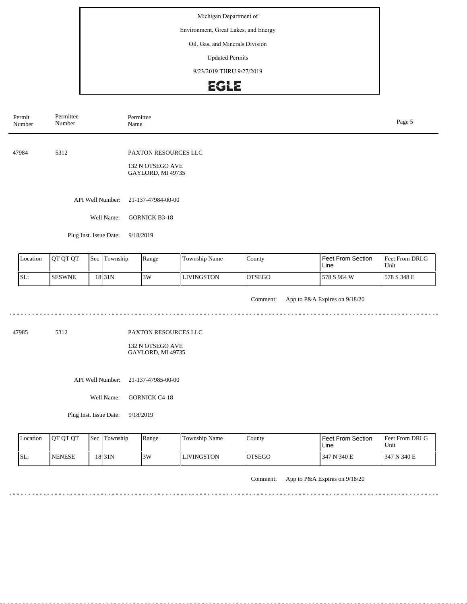Environment, Great Lakes, and Energy

#### Oil, Gas, and Minerals Division

Updated Permits

9/23/2019 THRU 9/27/2019

# EGLE

| Permit<br>Number | Permittee<br>Number    | Permittee<br>Name                     | Page 5 |
|------------------|------------------------|---------------------------------------|--------|
|                  |                        |                                       |        |
| 47984            | 5312                   | PAXTON RESOURCES LLC                  |        |
|                  |                        | 132 N OTSEGO AVE<br>GAYLORD, MI 49735 |        |
|                  |                        |                                       |        |
|                  | API Well Number:       | 21-137-47984-00-00                    |        |
|                  | Well Name:             | <b>GORNICK B3-18</b>                  |        |
|                  | Plug Inst. Issue Date: | 9/18/2019                             |        |
|                  |                        |                                       |        |

| <b>L</b> ocation | <b>IOT OT OT</b> | <b>ISec</b> | Township | Range | Township Name | County        | Feet From Section<br>Line | <b>Feet From DRLG</b><br>Unit |
|------------------|------------------|-------------|----------|-------|---------------|---------------|---------------------------|-------------------------------|
| SL:              | <b>ISESWNE</b>   |             | 18 31 N  | 3W    | LIVINGSTON    | <b>OTSEGO</b> | 578 S 964 W               | 1578 S 348 E                  |

Comment: App to P&A Expires on 9/18/20 

47985 5312

PAXTON RESOURCES LLC

132 N OTSEGO AVE GAYLORD, MI 49735

API Well Number: 21-137-47985-00-00

Well Name: GORNICK C4-18

Plug Inst. Issue Date: 9/18/2019

. . . . . . . . . .

| <b>Location</b> | <b>OT OT OT</b> | <b>Sec</b> | Township | Range | Township Name | County  | <b>Feet From Section</b><br>Line | <b>Feet From DRLG</b><br>Unit |
|-----------------|-----------------|------------|----------|-------|---------------|---------|----------------------------------|-------------------------------|
| SL:             | <b>INENESE</b>  |            | 18 31 N  | 3W    | LIVINGSTON    | IOTSEGO | 347 N 340 E                      | 1347 N 340 E                  |

Comment: App to P&A Expires on 9/18/20

......................................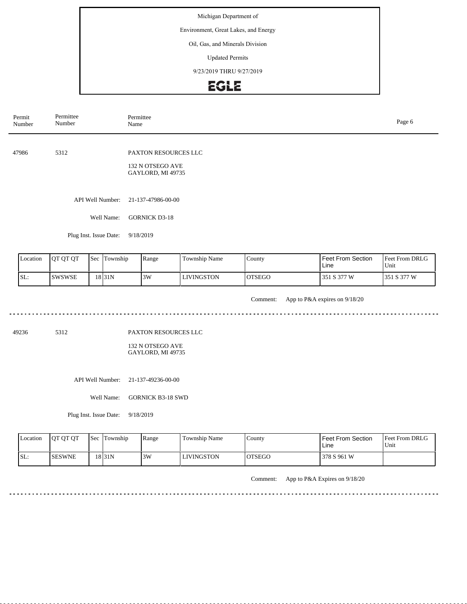Environment, Great Lakes, and Energy

#### Oil, Gas, and Minerals Division

Updated Permits

9/23/2019 THRU 9/27/2019

### **EGLE**

| Permit<br>Number | Permittee<br>Number                   | Permittee<br>Page 6<br>Name           |               |                  |                   |                               |  |
|------------------|---------------------------------------|---------------------------------------|---------------|------------------|-------------------|-------------------------------|--|
|                  |                                       |                                       |               |                  |                   |                               |  |
| 47986            | 5312                                  | PAXTON RESOURCES LLC                  |               |                  |                   |                               |  |
|                  |                                       | 132 N OTSEGO AVE<br>GAYLORD, MI 49735 |               |                  |                   |                               |  |
|                  |                                       |                                       |               |                  |                   |                               |  |
|                  | API Well Number:                      | 21-137-47986-00-00                    |               |                  |                   |                               |  |
|                  | Well Name:                            | <b>GORNICK D3-18</b>                  |               |                  |                   |                               |  |
|                  | Plug Inst. Issue Date:                | 9/18/2019                             |               |                  |                   |                               |  |
|                  |                                       |                                       |               |                  |                   |                               |  |
| $I$ ocation      | $\int$ Sac Township<br>$\ln$ ot $\ln$ | $D_{ana}$                             | Township Name | $C_{\text{out}}$ | Foot From Soction | $E_{\text{out}}$ Erom DPI $G$ |  |

| <b>Location</b> | <b>IOT OT OT</b> | l Sec | <b>Township</b>    | Range | Township Name | County        | Feet From Section<br>Line | Feet From DRLG<br>Unit |
|-----------------|------------------|-------|--------------------|-------|---------------|---------------|---------------------------|------------------------|
| SL:             | ISWSWSE          |       | 18 <sub>31</sub> N | 3W    | LIVINGSTON    | <b>OTSEGO</b> | l 351 S 377 W             | l S 377 W<br>351       |

Comment: App to P&A expires on 9/18/20 

49236 5312

PAXTON RESOURCES LLC

132 N OTSEGO AVE GAYLORD, MI 49735

API Well Number: 21-137-49236-00-00

Well Name: GORNICK B3-18 SWD

Plug Inst. Issue Date: 9/18/2019

<u>. . . . . . . . . . . .</u>

| Location | <b>OT OT OT</b> | <b>Sec</b> Township | Range | Township Name     | County  | <b>Feet From Section</b><br>Line | <b>Feet From DRLG</b><br>Unit |
|----------|-----------------|---------------------|-------|-------------------|---------|----------------------------------|-------------------------------|
| ISL:     | <b>ISESWNE</b>  | 18 <sub>31N</sub>   | 3W    | <b>LIVINGSTON</b> | IOTSEGO | 378 S 961 W                      |                               |

Comment: App to P&A Expires on 9/18/20

......................................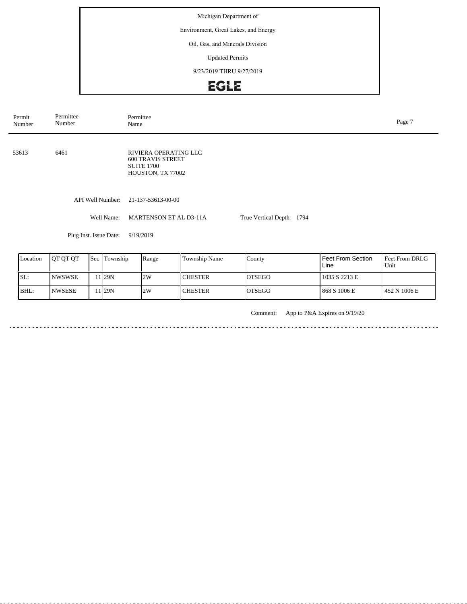Environment, Great Lakes, and Energy

### Oil, Gas, and Minerals Division

Updated Permits

9/23/2019 THRU 9/27/2019

# EGLE

| Permit<br>Number | Permittee<br>Number       | Permittee<br>Name                                                                           |                           |                          | Page 7            |
|------------------|---------------------------|---------------------------------------------------------------------------------------------|---------------------------|--------------------------|-------------------|
| 53613            | 6461                      | RIVIERA OPERATING LLC<br><b>600 TRAVIS STREET</b><br><b>SUITE 1700</b><br>HOUSTON, TX 77002 |                           |                          |                   |
|                  | API Well Number:          | 21-137-53613-00-00                                                                          |                           |                          |                   |
|                  | Well Name:                | <b>MARTENSON ET AL D3-11A</b>                                                               | True Vertical Depth: 1794 |                          |                   |
|                  | Plug Inst. Issue Date:    | 9/19/2019                                                                                   |                           |                          |                   |
| Location         | Ιοτοτοτ<br>$Sec$ Township | $\mathsf{R}$ ange<br>Township Name                                                          | $C_{\text{Ountv}}$        | <b>Feet From Section</b> | $Fnet$ From DRI G |

| Location | <b>OT OT OT</b> | <b>Sec Township</b> | Range | Township Name | County  | Feet From Section<br>Line | <b>Feet From DRLG</b><br>Unit |
|----------|-----------------|---------------------|-------|---------------|---------|---------------------------|-------------------------------|
| ISL:     | INWSWSE         | 11 I29N             | 2W    | l CHESTER     | IOTSEGO | 1035 S 2213 E             |                               |
| BHL:     | <b>INWSESE</b>  | 11 <sub>29N</sub>   | 2W    | l CHESTER     | IOTSEGO | 868 S 1006 E              | 1452 N 1006 E                 |

Comment: App to P&A Expires on 9/19/20

 $- - - - -$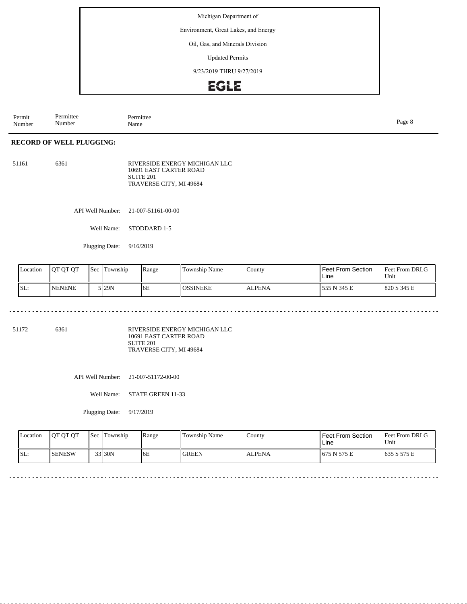Environment, Great Lakes, and Energy

### Oil, Gas, and Minerals Division

Updated Permits

9/23/2019 THRU 9/27/2019

### **EGLE**

Permit Number Permittee Number Permittee<br>Name Name Page 8

### **RECORD OF WELL PLUGGING:**

51161 6361 RIVERSIDE ENERGY MICHIGAN LLC 10691 EAST CARTER ROAD SUITE 201 TRAVERSE CITY, MI 49684

API Well Number: 21-007-51161-00-00

Well Name: STODDARD 1-5

Plugging Date: 9/16/2019

 $\sim$   $\sim$ 

| Location | 10T OT OT      | Sec | Township | Range | <b>Township Name</b> | County.       | <b>Feet From Section</b><br>Line | <b>Feet From DRLG</b><br>'Unit |
|----------|----------------|-----|----------|-------|----------------------|---------------|----------------------------------|--------------------------------|
| SL:      | <b>INENENE</b> |     | 129N     | 6E    | <b>OSSINEKE</b>      | <b>ALPENA</b> | 555 N 345 E                      | 1820 S 345 E                   |

. . . . . . . . . . . .

 $- - -$ 

51172 6361

RIVERSIDE ENERGY MICHIGAN LLC 10691 EAST CARTER ROAD SUITE 201 TRAVERSE CITY, MI 49684

API Well Number: 21-007-51172-00-00

Well Name: STATE GREEN 11-33

Plugging Date: 9/17/2019

| Location | <b>OT OT OT</b> | l Sec | Township | Range | Township Name | County        | Feet From Section<br>Line | <b>Feet From DRLG</b><br>Unit |
|----------|-----------------|-------|----------|-------|---------------|---------------|---------------------------|-------------------------------|
| SL:      | ISENESW         |       | 33 30N   | 6E    | <b>GREEN</b>  | <b>ALPENA</b> | 1675 N 575 E              | 1635 S 575 E                  |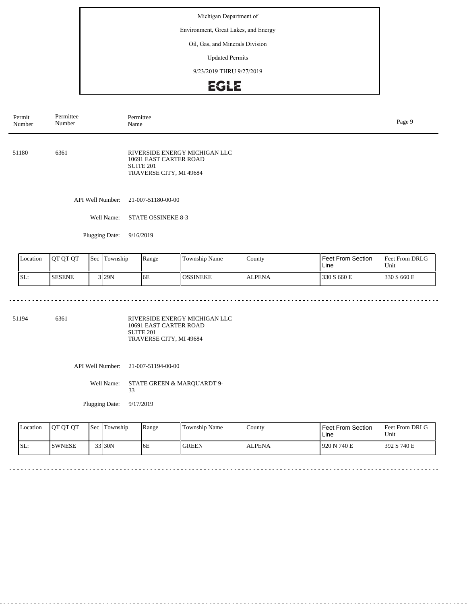Environment, Great Lakes, and Energy

#### Oil, Gas, and Minerals Division

Updated Permits

9/23/2019 THRU 9/27/2019

# EGLE

| Permit<br>Number | Permittee<br>Number | Permittee<br>Name                                                                                          | Page 9 |
|------------------|---------------------|------------------------------------------------------------------------------------------------------------|--------|
| 51180            | 6361                | RIVERSIDE ENERGY MICHIGAN LLC<br>10691 EAST CARTER ROAD<br>SUITE <sub>201</sub><br>TRAVERSE CITY, MI 49684 |        |
|                  | API Well Number:    | 21-007-51180-00-00                                                                                         |        |
|                  | Well Name:          | <b>STATE OSSINEKE 8-3</b>                                                                                  |        |
|                  | Plugging Date:      | 9/16/2019                                                                                                  |        |

| Location | <b>OT OT OT</b> | <b>Sec</b> | Township | Range | <b>Township Name</b> | County        | <b>Feet From Section</b><br>Line | <b>Feet From DRLG</b><br>Unit |
|----------|-----------------|------------|----------|-------|----------------------|---------------|----------------------------------|-------------------------------|
| ISL:     | <b>SESENE</b>   |            | $3$ 29N  | 6E    | <b>OSSINEKE</b>      | <b>ALPENA</b> | 330 S 660 E                      | 330 S 660 E                   |

 $\sim$   $\sim$   $\sim$ 

. . . . . . . . . . . . . . . . . .

 $\sim$   $\sim$ 

51194 6361

RIVERSIDE ENERGY MICHIGAN LLC 10691 EAST CARTER ROAD SUITE 201 TRAVERSE CITY, MI 49684

API Well Number: 21-007-51194-00-00

Well Name: STATE GREEN & MARQUARDT 9-33

Plugging Date: 9/17/2019

<u>. . . . . . . .</u>

| <b>L</b> ocation | <b>OT OT OT</b> | <b>Sec</b> | Township | Range | Township Name | County        | <b>Feet From Section</b><br>Line | <b>Feet From DRLG</b><br>Unit |
|------------------|-----------------|------------|----------|-------|---------------|---------------|----------------------------------|-------------------------------|
| ISL:             | ISWNESE         |            | 33 30N   | 6E    | <b>GREEN</b>  | <b>ALPENA</b> | 920 N 740 E                      | 392 S 740 E                   |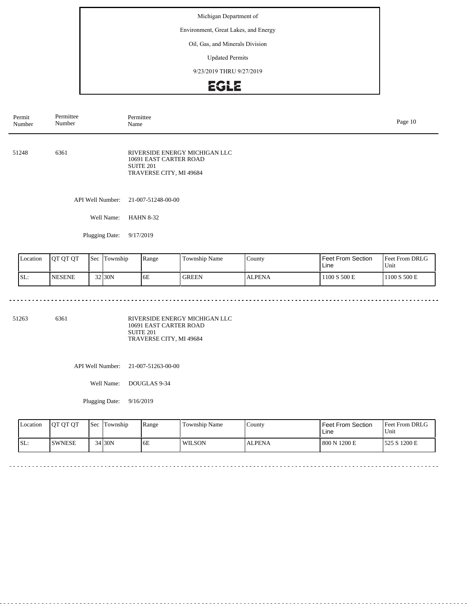Environment, Great Lakes, and Energy

### Oil, Gas, and Minerals Division

Updated Permits

9/23/2019 THRU 9/27/2019

# EGLE

| Permittee<br>Number | Permittee<br>Name                                                                                          | Page 10 |
|---------------------|------------------------------------------------------------------------------------------------------------|---------|
| 6361                | RIVERSIDE ENERGY MICHIGAN LLC<br>10691 EAST CARTER ROAD<br>SUITE <sub>201</sub><br>TRAVERSE CITY, MI 49684 |         |
| API Well Number:    | 21-007-51248-00-00                                                                                         |         |
| Well Name:          | <b>HAHN 8-32</b>                                                                                           |         |
| Plugging Date:      | 9/17/2019                                                                                                  |         |
|                     |                                                                                                            |         |

| Location | <b>IOT OT OT</b> | <b>Sec</b> | Township | Range | Township Name | County        | <b>Feet From Section</b><br>Line | <b>Feet From DRLG</b><br>Unit |
|----------|------------------|------------|----------|-------|---------------|---------------|----------------------------------|-------------------------------|
| ISL:     | <b>NESENE</b>    |            | $32$ 30N | 6E    | <b>GREEN</b>  | <b>ALPENA</b> | 1100 S 500 E                     | 1100 S 500 E                  |

 $\sim$   $\sim$  $\sim$   $\sim$   $\sim$   $\sim$  . . . . . . . . . . . . . . . . . . .

51263 6361

RIVERSIDE ENERGY MICHIGAN LLC 10691 EAST CARTER ROAD SUITE 201 TRAVERSE CITY, MI 49684

API Well Number: 21-007-51263-00-00

Well Name: DOUGLAS 9-34

Plugging Date: 9/16/2019

<u>. . . . . . . .</u>

| <b>Location</b> | <b>OT OT OT</b> | <b>Sec</b> | Township | Range | Township Name | County        | Feet From Section<br>∟ine | <b>Feet From DRLG</b><br>Unit |
|-----------------|-----------------|------------|----------|-------|---------------|---------------|---------------------------|-------------------------------|
| SL:             | <b>ISWNESE</b>  |            | $34$ 30N | 6E    | <b>WILSON</b> | <b>ALPENA</b> | 800 N 1200 E              | 525 S 1200 E                  |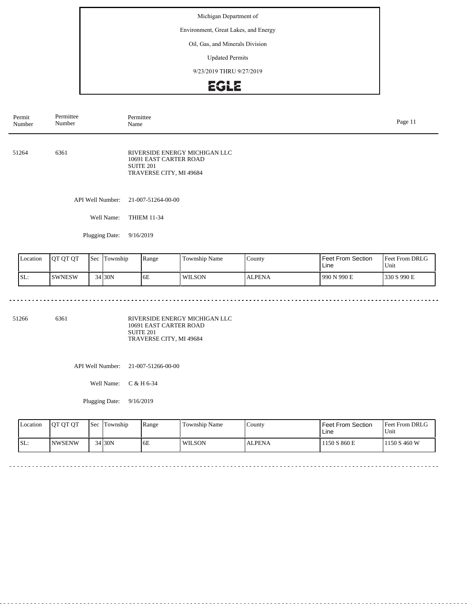Environment, Great Lakes, and Energy

### Oil, Gas, and Minerals Division

Updated Permits

9/23/2019 THRU 9/27/2019

# EGLE

| Permit<br>Number | Permittee<br>Number | Permittee<br>Name                                                                                          | Page 11 |
|------------------|---------------------|------------------------------------------------------------------------------------------------------------|---------|
| 51264            | 6361                | RIVERSIDE ENERGY MICHIGAN LLC<br>10691 EAST CARTER ROAD<br>SUITE <sub>201</sub><br>TRAVERSE CITY, MI 49684 |         |
|                  | API Well Number:    | 21-007-51264-00-00                                                                                         |         |
|                  | Well Name:          | <b>THIEM 11-34</b>                                                                                         |         |
|                  | Plugging Date:      | 9/16/2019                                                                                                  |         |
|                  |                     |                                                                                                            |         |

| Location | <b>IOT OT OT</b> | Sec | Township | Range | <b>Township Name</b> | County        | Feet From Section<br>Line | <b>Feet From DRLG</b><br>Unit |
|----------|------------------|-----|----------|-------|----------------------|---------------|---------------------------|-------------------------------|
| SL:      | <b>SWNESW</b>    |     | $34$ 30N | 6E    | WILSON               | <b>ALPENA</b> | 990 N 990 E               | 1330 S 990 E                  |

 $\sim$   $\sim$  $\sim$   $\sim$   $\sim$   $\sim$  . . . . . . . . . . . . . . . . . . .

51266 6361

RIVERSIDE ENERGY MICHIGAN LLC 10691 EAST CARTER ROAD SUITE 201 TRAVERSE CITY, MI 49684

API Well Number: 21-007-51266-00-00

Well Name: C & H 6-34

<u>. . . . . . . .</u>

Plugging Date: 9/16/2019

| Location | <b>IOT OT OT</b> | <b>Sec</b> | Township | Range | Township Name | County        | Feet From Section<br>Line | <b>Feet From DRLG</b><br>Unit |
|----------|------------------|------------|----------|-------|---------------|---------------|---------------------------|-------------------------------|
| ISL:     | <b>INWSENW</b>   |            | 34 30N   | 6E    | WILSON        | <b>ALPENA</b> | 1150 S 860 E              | 1150 S 460 W                  |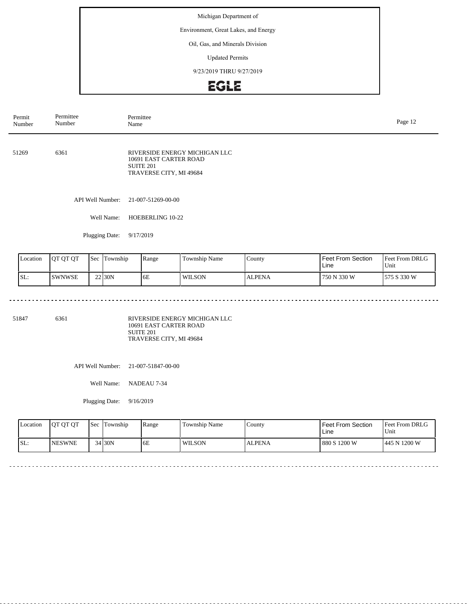Environment, Great Lakes, and Energy

### Oil, Gas, and Minerals Division

Updated Permits

9/23/2019 THRU 9/27/2019

# EGLE

| Permit<br>Number | Permittee<br>Number | Permittee<br>Name                                                                                          | Page 12 |
|------------------|---------------------|------------------------------------------------------------------------------------------------------------|---------|
| 51269            | 6361                | RIVERSIDE ENERGY MICHIGAN LLC<br>10691 EAST CARTER ROAD<br>SUITE <sub>201</sub><br>TRAVERSE CITY, MI 49684 |         |
|                  | API Well Number:    | 21-007-51269-00-00                                                                                         |         |
|                  | Well Name:          | HOEBERLING 10-22                                                                                           |         |
|                  | Plugging Date:      | 9/17/2019                                                                                                  |         |
|                  |                     |                                                                                                            |         |

| Location | <b>JOT OT OT</b> | <b>Sec</b> | Township | Range | Township Name | County        | Feet From Section<br>Line | <b>Feet From DRLG</b><br>'Unit |
|----------|------------------|------------|----------|-------|---------------|---------------|---------------------------|--------------------------------|
| ISL:     | <b>SWNWSE</b>    |            | 22 30N   | 6E    | <b>WILSON</b> | <b>ALPENA</b> | l 750 N 330 W             | 575 S 330 W                    |

 $\sim$   $\sim$  $\sim$   $\sim$   $\sim$   $\sim$  . . . . . . . . . . . . . . . . . . .

51847 6361

RIVERSIDE ENERGY MICHIGAN LLC 10691 EAST CARTER ROAD SUITE 201 TRAVERSE CITY, MI 49684

API Well Number: 21-007-51847-00-00

Well Name: NADEAU 7-34

Plugging Date: 9/16/2019

<u>o dia a dia a</u>

| Location | <b>OT OT OT</b> | <b>Sec</b> | Township | Range | Township Name | County        | Feet From Section<br>Line | <b>Feet From DRLG</b><br>Unit |
|----------|-----------------|------------|----------|-------|---------------|---------------|---------------------------|-------------------------------|
| ISL:     | <b>INESWNE</b>  |            | 34 30N   | 6E    | <b>WILSON</b> | <b>ALPENA</b> | 880 S 1200 W              | 445 N 1200 W                  |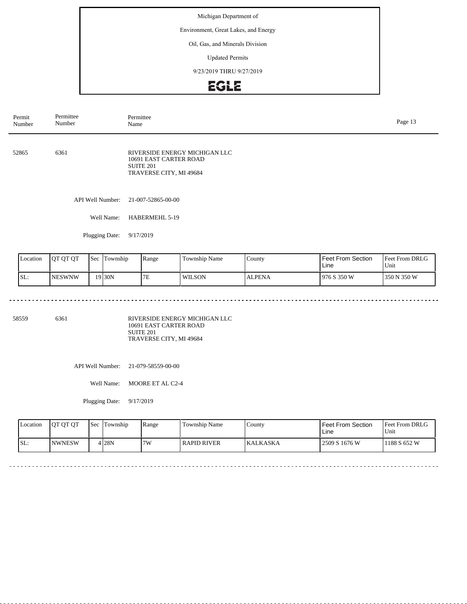Environment, Great Lakes, and Energy

### Oil, Gas, and Minerals Division

Updated Permits

9/23/2019 THRU 9/27/2019

# EGLE

| Permit<br>Number | Permittee<br>Number | Permittee<br>Name                                                                                          | Page 13 |
|------------------|---------------------|------------------------------------------------------------------------------------------------------------|---------|
| 52865<br>6361    |                     | RIVERSIDE ENERGY MICHIGAN LLC<br>10691 EAST CARTER ROAD<br>SUITE <sub>201</sub><br>TRAVERSE CITY, MI 49684 |         |
|                  | API Well Number:    | 21-007-52865-00-00                                                                                         |         |
|                  | Well Name:          | HABERMEHL 5-19                                                                                             |         |
|                  | Plugging Date:      | 9/17/2019                                                                                                  |         |
|                  |                     |                                                                                                            |         |

| Location | <b>IQT OT OT</b> | <b>Sec</b> | Township           | Range | Township Name | County        | Feet From Section<br>Line | <b>Feet From DRLG</b><br>'Unit |
|----------|------------------|------------|--------------------|-------|---------------|---------------|---------------------------|--------------------------------|
| ISL:     | <b>NESWNW</b>    |            | 19 <sub>30</sub> N | 7E    | <b>WILSON</b> | <b>ALPENA</b> | 1976 S 350 W              | 350 N 350 W                    |

58559 6361

RIVERSIDE ENERGY MICHIGAN LLC 10691 EAST CARTER ROAD SUITE 201 TRAVERSE CITY, MI 49684

API Well Number: 21-079-58559-00-00

Well Name: MOORE ET AL C2-4

Plugging Date: 9/17/2019

<u>. . . . . . . . . . . . . .</u>

| <b>Location</b> | <b>OT OT OT</b> | <b>Sec</b> | Township | Range | Township Name | County           | Feet From Section<br>Line | <b>Feet From DRLG</b><br>Unit |
|-----------------|-----------------|------------|----------|-------|---------------|------------------|---------------------------|-------------------------------|
| SL:             | <b>NWNESW</b>   |            | 4 28N    | 17W   | RAPID RIVER   | <b>IKALKASKA</b> | 2509 S 1676 W             | 188 S 652 W                   |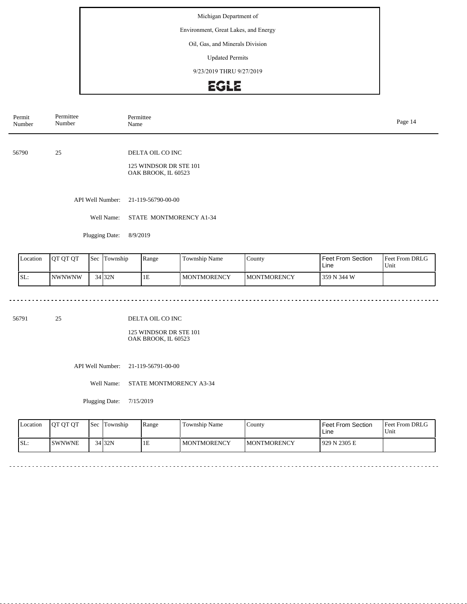Environment, Great Lakes, and Energy

### Oil, Gas, and Minerals Division

Updated Permits

9/23/2019 THRU 9/27/2019

# EGLE

| Permittee<br>Permit<br>Number<br>Number |            | Permittee<br>Name                             |  |  |  |  |  |
|-----------------------------------------|------------|-----------------------------------------------|--|--|--|--|--|
|                                         |            |                                               |  |  |  |  |  |
| 56790                                   | 25         | DELTA OIL CO INC                              |  |  |  |  |  |
|                                         |            | 125 WINDSOR DR STE 101<br>OAK BROOK, IL 60523 |  |  |  |  |  |
|                                         |            | API Well Number: 21-119-56790-00-00           |  |  |  |  |  |
|                                         | Well Name: | STATE MONTMORENCY A1-34                       |  |  |  |  |  |

Plugging Date: 8/9/2019

| Location | <b>IOT OT OT</b> | <b>Sec</b> | Township | Range | <b>Township Name</b> | County              | <b>Feet From Section</b><br>Line | Feet From DRLG<br>Unit |
|----------|------------------|------------|----------|-------|----------------------|---------------------|----------------------------------|------------------------|
| ISL:     | <b>NWNWNW</b>    |            | 34 32N   | 1E    | <b>I MONTMORENCY</b> | <b>IMONTMORENCY</b> | 359 N 344 W                      |                        |

56791 25

DELTA OIL CO INC

125 WINDSOR DR STE 101 OAK BROOK, IL 60523

API Well Number: 21-119-56791-00-00

Well Name: STATE MONTMORENCY A3-34

Plugging Date: 7/15/2019

| <b>Location</b> | <b>OT OT OT</b> | <b>Sec</b> | Township | Range | Township Name      | County              | l Feet From Section<br>Line | Feet From DRLG<br>Unit |
|-----------------|-----------------|------------|----------|-------|--------------------|---------------------|-----------------------------|------------------------|
| SL:             | <b>ISWNWNE</b>  |            | 34 32N   | ΙE    | <b>MONTMORENCY</b> | <b>IMONTMORENCY</b> | 1929 N 2305 E               |                        |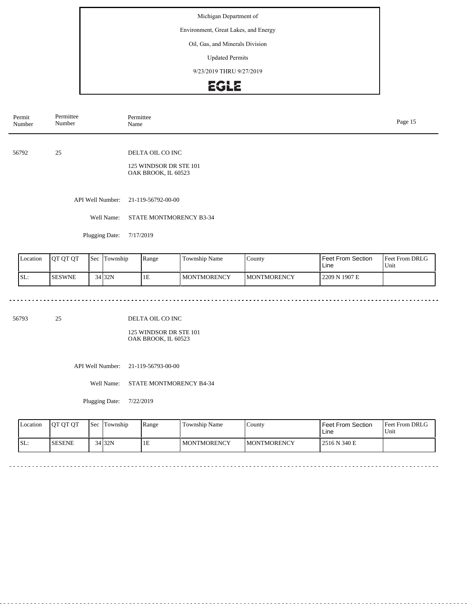Environment, Great Lakes, and Energy

### Oil, Gas, and Minerals Division

Updated Permits

9/23/2019 THRU 9/27/2019

# EGLE

| Permit<br>Number | Permittee<br>Number | Permittee<br>Name                                                 | Page 15 |
|------------------|---------------------|-------------------------------------------------------------------|---------|
| 56792            | 25                  | DELTA OIL CO INC<br>125 WINDSOR DR STE 101<br>OAK BROOK, IL 60523 |         |
|                  | API Well Number:    | 21-119-56792-00-00                                                |         |
|                  | Well Name:          | STATE MONTMORENCY B3-34                                           |         |

Plugging Date: 7/17/2019

| Location | <b>IOT OT OT</b> | <b>Sec</b> | Township | Range | <b>Township Name</b> | County              | <b>Feet From Section</b><br>Line | Feet From DRLG<br>Unit |
|----------|------------------|------------|----------|-------|----------------------|---------------------|----------------------------------|------------------------|
| ISL:     | <b>ISESWNE</b>   |            | 34 32N   | 1E    | <b>I MONTMORENCY</b> | <b>IMONTMORENCY</b> | 2209 N 1907 E                    |                        |

56793 25

DELTA OIL CO INC

125 WINDSOR DR STE 101 OAK BROOK, IL 60523

API Well Number: 21-119-56793-00-00

Well Name: STATE MONTMORENCY B4-34

Plugging Date: 7/22/2019

| <b>Location</b> | <b>OT OT OT</b> | <b>Sec</b> | Township | Range | Township Name      | County              | Feet From Section<br>Line | Feet From DRLG<br>Unit |
|-----------------|-----------------|------------|----------|-------|--------------------|---------------------|---------------------------|------------------------|
| SL:             | <b>SESENE</b>   |            | 34 32N   | ΙE    | <b>MONTMORENCY</b> | <b>IMONTMORENCY</b> | 12516 N 340 E             |                        |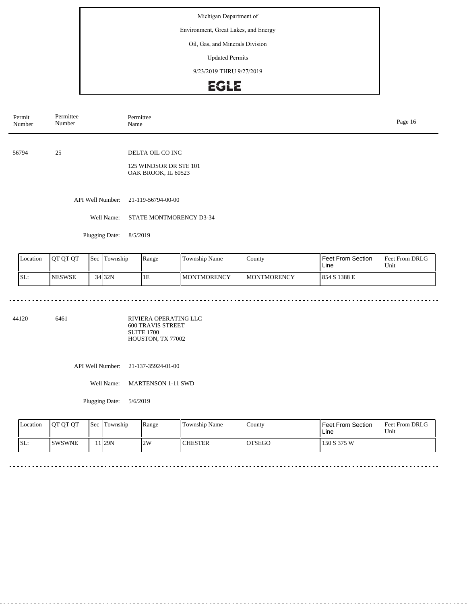Environment, Great Lakes, and Energy

### Oil, Gas, and Minerals Division

Updated Permits

9/23/2019 THRU 9/27/2019

# EGLE

| Permit<br>Number | Permittee<br>Number | Permittee<br>Name                                                 |  |  |  |  |
|------------------|---------------------|-------------------------------------------------------------------|--|--|--|--|
| 56794            | 25                  | DELTA OIL CO INC<br>125 WINDSOR DR STE 101<br>OAK BROOK, IL 60523 |  |  |  |  |
|                  | API Well Number:    | 21-119-56794-00-00                                                |  |  |  |  |
|                  | Well Name:          | STATE MONTMORENCY D3-34                                           |  |  |  |  |

Plugging Date: 8/5/2019

<u>. . . . . . . . . . . . .</u>

| <b>Location</b> | <b>JOT OT OT</b> | Sec | lTownship | Range | <b>Township Name</b> | County              | <b>Feet From Section</b><br>Line | <b>Feet From DRLG</b><br><b>Unit</b> |
|-----------------|------------------|-----|-----------|-------|----------------------|---------------------|----------------------------------|--------------------------------------|
| SL:             | <b>NESWSE</b>    |     | 34 32N    | 1 E   | <b>MONTMORENCY</b>   | <b>IMONTMORENCY</b> | 854 S 1388 E                     |                                      |

<u>e e e e e e e e</u>

 $\sim$   $\sim$   $\sim$ 

44120 6461

RIVIERA OPERATING LLC 600 TRAVIS STREET SUITE 1700 HOUSTON, TX 77002

API Well Number: 21-137-35924-01-00

Well Name: MARTENSON 1-11 SWD

Plugging Date: 5/6/2019

| Location | <b>OT OT OT</b> | <b>Sec</b> | Township           | Range | Township Name  | County        | l Feet From Section<br>Line | <b>Feet From DRLG</b><br>Unit |
|----------|-----------------|------------|--------------------|-------|----------------|---------------|-----------------------------|-------------------------------|
| SL:      | <b>ISWSWNE</b>  |            | $1$ <sub>29N</sub> | 2W    | <b>CHESTER</b> | <b>OTSEGO</b> | 150 S 375 W                 |                               |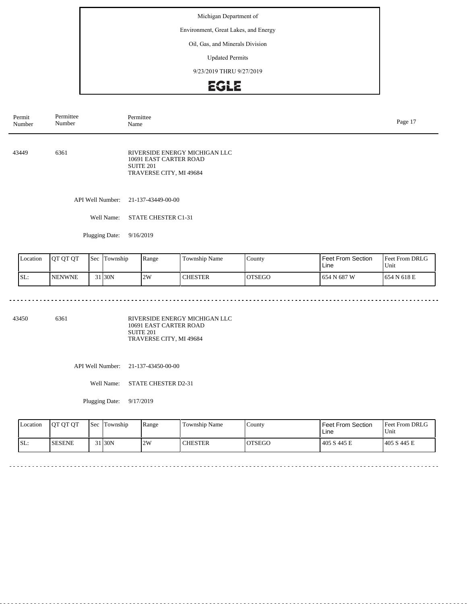Environment, Great Lakes, and Energy

### Oil, Gas, and Minerals Division

Updated Permits

9/23/2019 THRU 9/27/2019

# EGLE

| Permit<br>Number | Permittee<br>Number | Permittee<br>Name                                                                                          | Page 17 |
|------------------|---------------------|------------------------------------------------------------------------------------------------------------|---------|
| 43449            | 6361                | RIVERSIDE ENERGY MICHIGAN LLC<br>10691 EAST CARTER ROAD<br>SUITE <sub>201</sub><br>TRAVERSE CITY, MI 49684 |         |
|                  | API Well Number:    | 21-137-43449-00-00                                                                                         |         |
|                  | Well Name:          | <b>STATE CHESTER C1-31</b>                                                                                 |         |
|                  | Plugging Date:      | 9/16/2019                                                                                                  |         |

| Location | <b>IOT OT OT</b> | <b>Sec</b> | Township | Range | <b>Township Name</b> | County        | Feet From Section<br>Line | <b>Feet From DRLG</b><br>Unit |
|----------|------------------|------------|----------|-------|----------------------|---------------|---------------------------|-------------------------------|
| ISL:     | <b>INENWNE</b>   |            | 31 30N   | 2W    | <b>CHESTER</b>       | <b>OTSEGO</b> | 654 N 687 W               | 1654 N 618 E                  |

43450 6361

RIVERSIDE ENERGY MICHIGAN LLC 10691 EAST CARTER ROAD SUITE 201 TRAVERSE CITY, MI 49684

API Well Number: 21-137-43450-00-00

Well Name: STATE CHESTER D2-31

Plugging Date: 9/17/2019

<u>. . . . . . . . .</u>

| <b>Location</b> | <b>OT OT OT</b> | <b>Sec</b> | Township | Range | Township Name  | County        | Feet From Section<br>Line | <b>Feet From DRLG</b><br>Unit |
|-----------------|-----------------|------------|----------|-------|----------------|---------------|---------------------------|-------------------------------|
| SL:             | <b>SESENE</b>   |            | 31 30N   | 2W    | <b>CHESTER</b> | <b>OTSEGO</b> | 405 S 445 E               | 1405 S 445 E                  |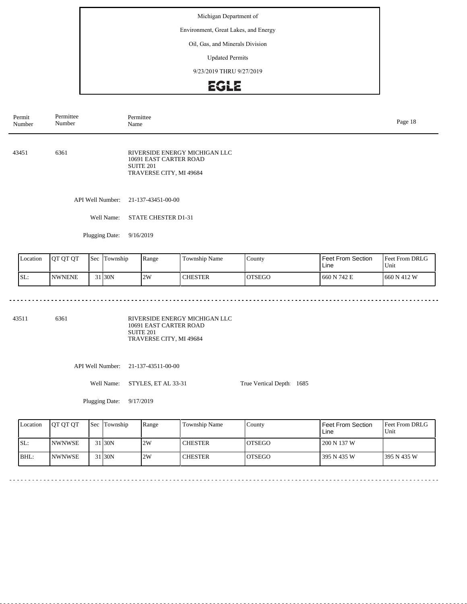Environment, Great Lakes, and Energy

#### Oil, Gas, and Minerals Division

Updated Permits

9/23/2019 THRU 9/27/2019

# EGLE

| Permit<br>Number | Permittee<br>Number | Permittee<br>Name                                                                                      |  |  |  |  |
|------------------|---------------------|--------------------------------------------------------------------------------------------------------|--|--|--|--|
| 43451            | 6361                | RIVERSIDE ENERGY MICHIGAN LLC<br>10691 EAST CARTER ROAD<br><b>SUITE 201</b><br>TRAVERSE CITY, MI 49684 |  |  |  |  |
|                  | API Well Number:    | 21-137-43451-00-00                                                                                     |  |  |  |  |
|                  | Well Name:          | STATE CHESTER D1-31                                                                                    |  |  |  |  |
|                  | Plugging Date:      | 9/16/2019                                                                                              |  |  |  |  |

| Location | <b>OT OT OT</b> | <b>Sec</b> | Township           | Range | Township Name  | County  | Feet From Section<br>Line | <b>Feet From DRLG</b><br>Unit |
|----------|-----------------|------------|--------------------|-------|----------------|---------|---------------------------|-------------------------------|
| SL:      | <b>INWNENE</b>  |            | 31 <sub>30</sub> N | 2W    | <b>CHESTER</b> | IOTSEGO | 660 N 742 E               | 1660 N 412 W                  |

43511 6361

RIVERSIDE ENERGY MICHIGAN LLC 10691 EAST CARTER ROAD SUITE 201 TRAVERSE CITY, MI 49684

> $\sim$   $\sim$  $\frac{1}{2} \left( \frac{1}{2} \right) \left( \frac{1}{2} \right) \left( \frac{1}{2} \right) \left( \frac{1}{2} \right)$

API Well Number: 21-137-43511-00-00

Well Name: STYLES, ET AL 33-31

Plugging Date: 9/17/2019

<u>. . . . . . . . . . . . . .</u>

| Location | <b>IOT OT OT</b> | Sec Township | Range | Township Name  | County         | Feet From Section<br>Line | <b>Feet From DRLG</b><br>Unit |
|----------|------------------|--------------|-------|----------------|----------------|---------------------------|-------------------------------|
| SL:      | <b>INWNWSE</b>   | 31 30N       | 2W    | <b>CHESTER</b> | <b>IOTSEGO</b> | 1 200 N 137 W             |                               |
| $ BHL$ : | <b>INWNWSE</b>   | 1 30N        | 2W    | <b>CHESTER</b> | <b>IOTSEGO</b> | 395 N 435 W               | 1395 N 435 W                  |

 $\sim$   $\sim$ 

True Vertical Depth: 1685

 $\frac{1}{2}$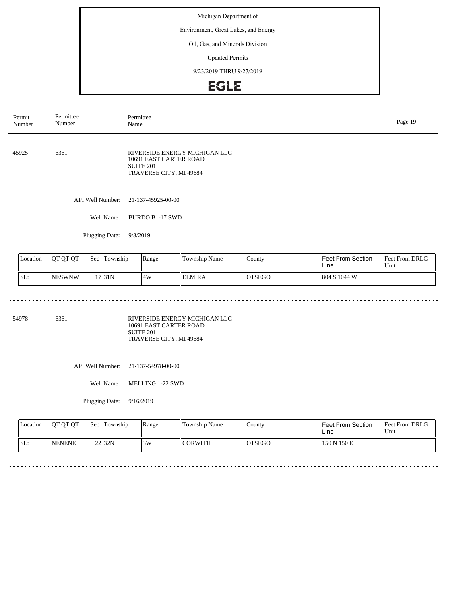Environment, Great Lakes, and Energy

### Oil, Gas, and Minerals Division

Updated Permits

9/23/2019 THRU 9/27/2019

# EGLE

| Permit<br>Number | Permittee<br>Number | Permittee<br>Name                                                                               | Page 19 |
|------------------|---------------------|-------------------------------------------------------------------------------------------------|---------|
| 45925            | 6361                | RIVERSIDE ENERGY MICHIGAN LLC<br>10691 EAST CARTER ROAD<br>SUITE 201<br>TRAVERSE CITY, MI 49684 |         |
|                  | API Well Number:    | 21-137-45925-00-00                                                                              |         |
|                  | Well Name:          | <b>BURDO B1-17 SWD</b>                                                                          |         |
|                  | Plugging Date:      | 9/3/2019                                                                                        |         |
|                  |                     |                                                                                                 |         |

| Location | <b>IOT OT OT</b> | <b>Sec</b> | Township | Range | Township Name | County        | <b>Feet From Section</b><br>Line | <b>Feet From DRLG</b><br>Unit |
|----------|------------------|------------|----------|-------|---------------|---------------|----------------------------------|-------------------------------|
| ISL:     | <b>NESWNW</b>    |            | 17 31 N  | 4W    | <b>ELMIRA</b> | <b>OTSEGO</b> | 804 S 1044 W                     |                               |

 $\sim$   $\sim$   $\sim$ 

54978 6361

RIVERSIDE ENERGY MICHIGAN LLC 10691 EAST CARTER ROAD SUITE 201 TRAVERSE CITY, MI 49684

API Well Number: 21-137-54978-00-00

Well Name: MELLING 1-22 SWD

Plugging Date: 9/16/2019

<u>. . . . . . . .</u>

| <b>Location</b> | <b>OT OT OT</b> | <b>Sec</b> | Township | Range | Township Name | County         | Feet From Section<br>Line | <b>Feet From DRLG</b><br>Unit |
|-----------------|-----------------|------------|----------|-------|---------------|----------------|---------------------------|-------------------------------|
| SL:             | <b>NENENE</b>   |            | $22$ 32N | 3W    | CORWITH       | <b>'OTSEGO</b> | 150 N 150 E               |                               |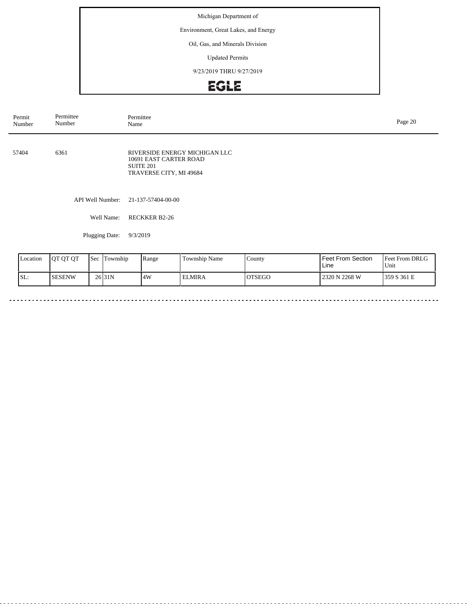Environment, Great Lakes, and Energy

### Oil, Gas, and Minerals Division

Updated Permits

9/23/2019 THRU 9/27/2019

# EGLE

| Permit<br>Number | Permittee<br>Number | Permittee<br>Name                                                                                          |  |  |  |  |
|------------------|---------------------|------------------------------------------------------------------------------------------------------------|--|--|--|--|
| 57404            | 6361                | RIVERSIDE ENERGY MICHIGAN LLC<br>10691 EAST CARTER ROAD<br>SUITE <sub>201</sub><br>TRAVERSE CITY, MI 49684 |  |  |  |  |
|                  | API Well Number:    | 21-137-57404-00-00                                                                                         |  |  |  |  |
|                  | Well Name:          | <b>RECKKER B2-26</b>                                                                                       |  |  |  |  |
|                  | Plugging Date:      | 9/3/2019                                                                                                   |  |  |  |  |
|                  |                     |                                                                                                            |  |  |  |  |

| Location | <b>OT OT OT</b> | <b>Sec</b> | Township           | Range | <b>Township Name</b> | County         | <b>Feet From Section</b><br>Line | <b>Feet From DRLG</b><br>Unit |
|----------|-----------------|------------|--------------------|-------|----------------------|----------------|----------------------------------|-------------------------------|
| SL:      | <b>SESENW</b>   |            | 26 <sub>31</sub> N | 4W    | ' ELMIRA             | <b>IOTSEGO</b> | 2320 N 2268 W                    | 1359 S 361 E                  |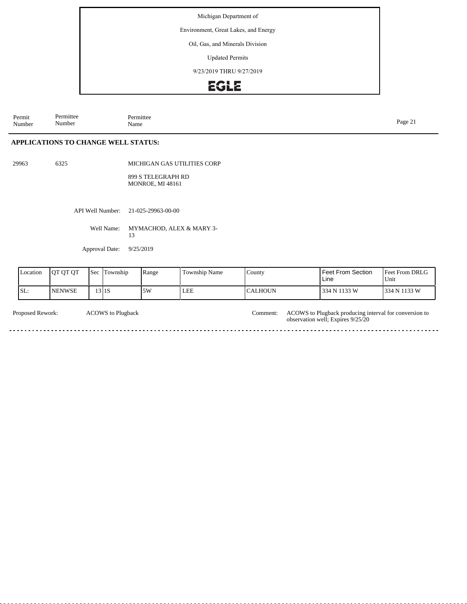Environment, Great Lakes, and Energy

### Oil, Gas, and Minerals Division

Updated Permits

9/23/2019 THRU 9/27/2019

# EGLE

Permit Number Permittee Number Permittee<br>Name Name Page 21

### **APPLICATIONS TO CHANGE WELL STATUS:**

29963 6325

MICHIGAN GAS UTILITIES CORP

899 S TELEGRAPH RD MONROE, MI 48161

API Well Number: 21-025-29963-00-00

Well Name: MYMACHOD, ALEX & MARY 3-13

Approval Date: 9/25/2019

| Location | <b>QT QT QT</b> | <b>Sec</b> | Township  | Range | Township Name | <b>County</b> | l Feet From Section<br>Line | <b>Feet From DRLG</b><br>Unit |
|----------|-----------------|------------|-----------|-------|---------------|---------------|-----------------------------|-------------------------------|
| SL:      | <b>INENWSE</b>  |            | $13$   1S | 5W    | LEE           | ICALHOUN      | 334 N 1133 W                | 334 N 1133 W                  |

| Proposed Rework: | <b>ACOWS</b> to Plugback | Comment: ACOWS to Plugback producing interval for conversion to<br>observation well; Expires 9/25/20 |
|------------------|--------------------------|------------------------------------------------------------------------------------------------------|
|                  |                          |                                                                                                      |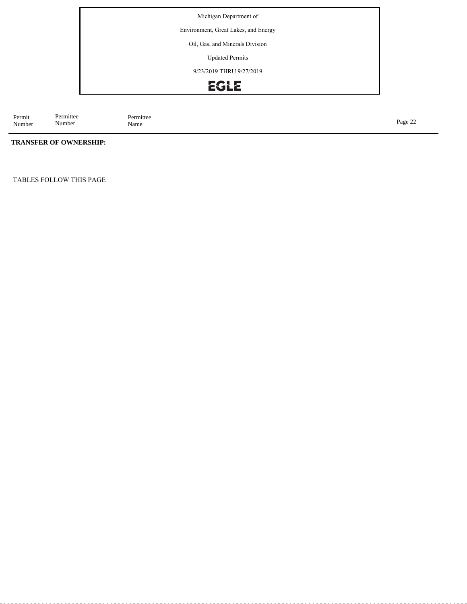Environment, Great Lakes, and Energy

Oil, Gas, and Minerals Division

Updated Permits

9/23/2019 THRU 9/27/2019



Permit Number Permittee Number Permittee<br>Name Page 22<br>Name Page 22

### **TRANSFER OF OWNERSHIP:**

TABLES FOLLOW THIS PAGE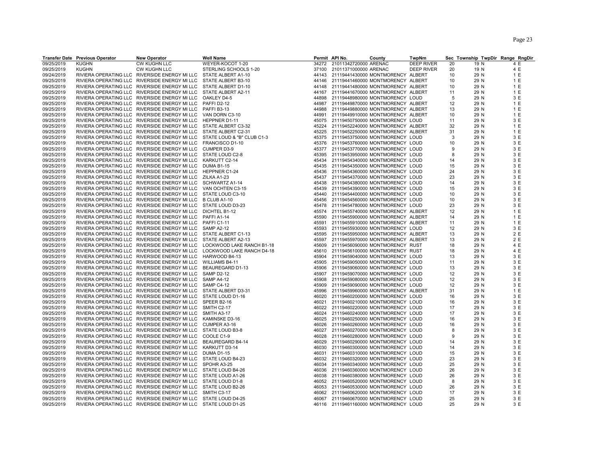|            | <b>Transfer Date Previous Operator</b> | <b>New Operator</b>                                              | <b>Well Name</b>                                                         |       | Permit API No.                    | County | TwpNm             |              |      | Sec Township TwpDir Range RngDir |
|------------|----------------------------------------|------------------------------------------------------------------|--------------------------------------------------------------------------|-------|-----------------------------------|--------|-------------------|--------------|------|----------------------------------|
| 09/25/2019 | <b>KUGHN</b>                           | CW KUGHN LLC                                                     | WEYER-KOCOT 1-20                                                         |       | 34272 21011342720000 ARENAC       |        | <b>DEEP RIVER</b> | 20           | 19 N | 4 E                              |
| 09/25/2019 | <b>KUGHN</b>                           | <b>CW KUGHN LLC</b>                                              | STERLING SCHOOLS 1-20                                                    |       | 37100 21011371000000 ARENAC       |        | <b>DEEP RIVER</b> | 20           | 19 N | 4 E                              |
| 09/24/2019 |                                        | RIVIERA OPERATING LLC RIVERSIDE ENERGY MI LLC STATE ALBERT A1-10 |                                                                          | 44143 | 21119441430000 MONTMORENCY ALBERT |        |                   | 10           | 29 N | 1 E                              |
| 09/25/2019 |                                        | RIVIERA OPERATING LLC RIVERSIDE ENERGY MI LLC                    | STATE ALBERT B3-10                                                       | 44146 | 21119441460000 MONTMORENCY ALBERT |        |                   | 10           | 29 N | 1E                               |
| 09/25/2019 |                                        | RIVIERA OPERATING LLC RIVERSIDE ENERGY MI LLC                    | STATE ALBERT D1-10                                                       | 44148 | 21119441480000 MONTMORENCY ALBERT |        |                   | 10           | 29 N | 1 E                              |
| 09/25/2019 |                                        | RIVIERA OPERATING LLC RIVERSIDE ENERGY MI LLC                    | STATE ALBERT A2-11                                                       | 44167 | 21119441670000 MONTMORENCY ALBERT |        |                   | 11           | 29 N | 1E                               |
| 09/25/2019 |                                        | RIVIERA OPERATING LLC RIVERSIDE ENERGY MI LLC                    | OAKLEY D4-5                                                              | 44898 | 21119448980000 MONTMORENCY LOUD   |        |                   | 5            | 29 N | 3 E                              |
| 09/25/2019 |                                        | RIVIERA OPERATING LLC RIVERSIDE ENERGY MI LLC                    | PAFFI D2-12                                                              | 44987 | 21119449870000 MONTMORENCY ALBERT |        |                   | 12           | 29 N | 1 E                              |
| 09/25/2019 |                                        | RIVIERA OPERATING LLC RIVERSIDE ENERGY MI LLC PAFFI B3-13        |                                                                          | 44988 | 21119449880000 MONTMORENCY ALBERT |        |                   | 13           | 29 N | 1 E                              |
| 09/25/2019 |                                        | RIVIERA OPERATING LLC RIVERSIDE ENERGY MI LLC                    | VAN DORN C3-10                                                           | 44991 | 21119449910000 MONTMORENCY ALBERT |        |                   | 10           | 29 N | 1E                               |
| 09/25/2019 |                                        | RIVIERA OPERATING LLC RIVERSIDE ENERGY MI LLC                    | HEPPNER D1-11                                                            | 45075 | 21119450750000 MONTMORENCY LOUD   |        |                   | 11           | 29 N | 3 E                              |
| 09/25/2019 |                                        | RIVIERA OPERATING LLC RIVERSIDE ENERGY MI LLC STATE ALBERT C3-32 |                                                                          | 45224 | 21119452240000 MONTMORENCY ALBERT |        |                   | 32           | 29 N | 1 E                              |
| 09/25/2019 |                                        | RIVIERA OPERATING LLC RIVERSIDE ENERGY MI LLC                    |                                                                          | 45225 | 21119452250000 MONTMORENCY ALBERT |        |                   | 31           | 29 N | 1 E                              |
|            |                                        |                                                                  | STATE ALBERT C2-31                                                       |       |                                   |        |                   |              |      |                                  |
| 09/25/2019 |                                        |                                                                  | RIVIERA OPERATING LLC RIVERSIDE ENERGY MI LLC STATE LOUD & "B" CLUB C1-3 | 45375 | 21119453750000 MONTMORENCY LOUD   |        |                   | 3            | 29 N | 3 E                              |
| 09/25/2019 |                                        | RIVIERA OPERATING LLC RIVERSIDE ENERGY MI LLC                    | FRANCISCO D1-10                                                          | 45376 | 21119453760000 MONTMORENCY LOUD   |        |                   | 10           | 29 N | 3 E                              |
| 09/25/2019 |                                        | RIVIERA OPERATING LLC RIVERSIDE ENERGY MI LLC                    | <b>CUMPER D3-9</b>                                                       | 45377 | 21119453770000 MONTMORENCY LOUD   |        |                   | <sub>9</sub> | 29 N | 3 E                              |
| 09/25/2019 |                                        | RIVIERA OPERATING LLC RIVERSIDE ENERGY MI LLC STATE LOUD C2-8    |                                                                          | 45395 | 21119453950000 MONTMORENCY LOUD   |        |                   | 8            | 29 N | 3 E                              |
| 09/25/2019 |                                        | RIVIERA OPERATING LLC RIVERSIDE ENERGY MI LLC                    | KARKUTT C2-14                                                            | 45434 | 21119454340000 MONTMORENCY LOUD   |        |                   | 14           | 29 N | 3 E                              |
| 09/25/2019 |                                        | RIVIERA OPERATING LLC RIVERSIDE ENERGY MI LLC DUMA B1-15         |                                                                          | 45435 | 21119454350000 MONTMORENCY LOUD   |        |                   | 15           | 29 N | 3 E                              |
| 09/25/2019 |                                        | RIVIERA OPERATING LLC RIVERSIDE ENERGY MI LLC                    | <b>HEPPNER C1-24</b>                                                     | 45436 | 21119454360000 MONTMORENCY LOUD   |        |                   | 24           | 29 N | 3 E                              |
| 09/25/2019 |                                        | RIVIERA OPERATING LLC RIVERSIDE ENERGY MI LLC ZILKA A1-23        |                                                                          | 45437 | 21119454370000 MONTMORENCY LOUD   |        |                   | 23           | 29 N | 3 E                              |
| 09/25/2019 |                                        | RIVIERA OPERATING LLC RIVERSIDE ENERGY MI LLC SCHWARTZ A1-14     |                                                                          | 45438 | 21119454380000 MONTMORENCY LOUD   |        |                   | 14           | 29 N | 3 E                              |
| 09/25/2019 |                                        | RIVIERA OPERATING LLC RIVERSIDE ENERGY MI LLC VAN OCHTEN C3-15   |                                                                          | 45439 | 21119454390000 MONTMORENCY LOUD   |        |                   | 15           | 29 N | 3 E                              |
| 09/25/2019 |                                        | RIVIERA OPERATING LLC RIVERSIDE ENERGY MI LLC STATE LOUD C3-10   |                                                                          | 45440 | 21119454400000 MONTMORENCY LOUD   |        |                   | 10           | 29 N | 3 E                              |
| 09/25/2019 |                                        | RIVIERA OPERATING LLC RIVERSIDE ENERGY MI LLC B CLUB A1-10       |                                                                          | 45456 | 21119454560000 MONTMORENCY LOUD   |        |                   | 10           | 29 N | 3 E                              |
| 09/25/2019 |                                        | RIVIERA OPERATING LLC RIVERSIDE ENERGY MI LLC STATE LOUD D3-23   |                                                                          | 45478 | 21119454780000 MONTMORENCY LOUD   |        |                   | 23           | 29 N | 3 E                              |
| 09/25/2019 |                                        | RIVIERA OPERATING LLC RIVERSIDE ENERGY MI LLC DICHTEL B1-12      |                                                                          | 45574 | 21119455740000 MONTMORENCY ALBERT |        |                   | 12           | 29 N | 1 E                              |
| 09/25/2019 |                                        | RIVIERA OPERATING LLC RIVERSIDE ENERGY MI LLC                    | PAFFI A1-14                                                              | 45590 | 21119455900000 MONTMORENCY ALBERT |        |                   | 14           | 29 N | 1 E                              |
| 09/25/2019 |                                        | RIVIERA OPERATING LLC RIVERSIDE ENERGY MI LLC                    | PAFFIC1-11                                                               | 45591 | 21119455910000 MONTMORENCY ALBERT |        |                   | 11           | 29 N | 1 E                              |
| 09/25/2019 |                                        | RIVIERA OPERATING LLC RIVERSIDE ENERGY MI LLC                    | <b>SAMP A2-12</b>                                                        | 45593 | 21119455930000 MONTMORENCY LOUD   |        |                   | 12           | 29 N | 3 E                              |
| 09/25/2019 |                                        | RIVIERA OPERATING LLC RIVERSIDE ENERGY MI LLC STATE ALBERT C1-13 |                                                                          | 45595 | 21119455950000 MONTMORENCY ALBERT |        |                   | 13           | 29 N | 2 E                              |
| 09/25/2019 |                                        | RIVIERA OPERATING LLC RIVERSIDE ENERGY MI LLC STATE ALBERT A2-13 |                                                                          | 45597 | 21119455970000 MONTMORENCY ALBERT |        |                   | 13           | 29 N | 2 E                              |
| 09/25/2019 |                                        |                                                                  | RIVIERA OPERATING LLC RIVERSIDE ENERGY MI LLC LOCKWOOD LAKE RANCH B1-18  | 45609 | 21119456090000 MONTMORENCY RUST   |        |                   | 18           | 29 N | 4 E                              |
| 09/25/2019 |                                        | RIVIERA OPERATING LLC RIVERSIDE ENERGY MI LLC                    | LOCKWOOD LAKE RANCH D4-18                                                | 45610 | 21119456100000 MONTMORENCY RUST   |        |                   | 18           | 29 N | 4 E                              |
| 09/25/2019 |                                        | RIVIERA OPERATING LLC RIVERSIDE ENERGY MI LLC                    | HARWOOD B4-13                                                            | 45904 | 21119459040000 MONTMORENCY LOUD   |        |                   | 13           | 29 N | 3 E                              |
| 09/25/2019 |                                        | RIVIERA OPERATING LLC RIVERSIDE ENERGY MI LLC                    | <b>WILLIAMS B4-11</b>                                                    | 45905 | 21119459050000 MONTMORENCY LOUD   |        |                   | 11           | 29 N | 3 E                              |
| 09/25/2019 |                                        | RIVIERA OPERATING LLC RIVERSIDE ENERGY MI LLC BEAUREGARD D1-13   |                                                                          | 45906 | 21119459060000 MONTMORENCY LOUD   |        |                   | 13           | 29 N | 3 E                              |
| 09/25/2019 |                                        | RIVIERA OPERATING LLC RIVERSIDE ENERGY MI LLC                    | SAMP D2-12                                                               | 45907 | 21119459070000 MONTMORENCY LOUD   |        |                   | 12           | 29 N | 3 E                              |
| 09/25/2019 |                                        | RIVIERA OPERATING LLC RIVERSIDE ENERGY MI LLC                    | <b>SAMP A4-12</b>                                                        | 45908 | 21119459080000 MONTMORENCY LOUD   |        |                   | 12           | 29 N | 3 E                              |
| 09/25/2019 |                                        | RIVIERA OPERATING LLC RIVERSIDE ENERGY MI LLC                    | SAMP C4-12                                                               | 45909 | 21119459090000 MONTMORENCY LOUD   |        |                   | 12           | 29 N | 3 E                              |
| 09/25/2019 |                                        | RIVIERA OPERATING LLC RIVERSIDE ENERGY MI LLC STATE ALBERT D3-31 |                                                                          | 45996 | 21119459960000 MONTMORENCY ALBERT |        |                   | 31           | 29 N | 1 E                              |
|            |                                        | RIVIERA OPERATING LLC RIVERSIDE ENERGY MI LLC STATE LOUD D1-16   |                                                                          | 46020 | 21119460200000 MONTMORENCY LOUD   |        |                   | 16           |      | 3 E                              |
| 09/25/2019 |                                        |                                                                  | SPEER B2-16                                                              | 46021 |                                   |        |                   | 16           | 29 N | 3 E                              |
| 09/25/2019 |                                        | RIVIERA OPERATING LLC RIVERSIDE ENERGY MI LLC                    |                                                                          |       | 21119460210000 MONTMORENCY LOUD   |        |                   |              | 29 N | 3 E                              |
| 09/25/2019 |                                        | RIVIERA OPERATING LLC RIVERSIDE ENERGY MI LLC                    | SMITH C2-17                                                              | 46022 | 21119460220000 MONTMORENCY LOUD   |        |                   | 17           | 29 N |                                  |
| 09/25/2019 |                                        | RIVIERA OPERATING LLC RIVERSIDE ENERGY MI LLC                    | SMITH A3-17                                                              | 46024 | 21119460240000 MONTMORENCY LOUD   |        |                   | 17           | 29 N | 3 E                              |
| 09/25/2019 |                                        | RIVIERA OPERATING LLC RIVERSIDE ENERGY MI LLC KAMINSKE D3-16     |                                                                          | 46025 | 21119460250000 MONTMORENCY LOUD   |        |                   | 16           | 29 N | 3 E                              |
| 09/25/2019 |                                        | RIVIERA OPERATING LLC RIVERSIDE ENERGY MI LLC                    | CUMPER A3-16                                                             | 46026 | 21119460260000 MONTMORENCY LOUD   |        |                   | 16           | 29 N | 3 E                              |
| 09/25/2019 |                                        | RIVIERA OPERATING LLC RIVERSIDE ENERGY MI LLC STATE LOUD B3-8    |                                                                          | 46027 | 21119460270000 MONTMORENCY LOUD   |        |                   | 8            | 29 N | 3 E                              |
| 09/25/2019 |                                        | RIVIERA OPERATING LLC RIVERSIDE ENERGY MI LLC                    | COOLE C1-9                                                               | 46028 | 21119460280000 MONTMORENCY LOUD   |        |                   | 9            | 29 N | 3 E                              |
| 09/25/2019 |                                        | RIVIERA OPERATING LLC RIVERSIDE ENERGY MI LLC                    | BEAUREGARD B4-14                                                         | 46029 | 21119460290000 MONTMORENCY LOUD   |        |                   | 14           | 29 N | 3 E                              |
| 09/25/2019 |                                        | RIVIERA OPERATING LLC RIVERSIDE ENERGY MI LLC                    | KARKUTT D3-14                                                            | 46030 | 21119460300000 MONTMORENCY LOUD   |        |                   | 14           | 29 N | 3 E                              |
| 09/25/2019 |                                        | RIVIERA OPERATING LLC RIVERSIDE ENERGY MI LLC                    | <b>DUMA D1-15</b>                                                        | 46031 | 21119460310000 MONTMORENCY LOUD   |        |                   | 15           | 29 N | 3 E                              |
| 09/25/2019 |                                        | RIVIERA OPERATING LLC RIVERSIDE ENERGY MI LLC STATE LOUD B4-23   |                                                                          | 46032 | 21119460320000 MONTMORENCY LOUD   |        |                   | 23           | 29 N | 3 E                              |
| 09/25/2019 |                                        | RIVIERA OPERATING LLC RIVERSIDE ENERGY MI LLC SPOHR A3-25        |                                                                          | 46034 | 21119460340000 MONTMORENCY LOUD   |        |                   | 25           | 29 N | 3 E                              |
| 09/25/2019 |                                        | RIVIERA OPERATING LLC RIVERSIDE ENERGY MI LLC                    | STATE LOUD B4-26                                                         | 46036 | 21119460360000 MONTMORENCY LOUD   |        |                   | 26           | 29 N | 3 E                              |
| 09/25/2019 |                                        | RIVIERA OPERATING LLC RIVERSIDE ENERGY MI LLC STATE LOUD A1-26   |                                                                          | 46038 | 21119460380000 MONTMORENCY LOUD   |        |                   | 26           | 29 N | 3 E                              |
| 09/25/2019 |                                        | RIVIERA OPERATING LLC RIVERSIDE ENERGY MI LLC STATE LOUD D1-8    |                                                                          | 46052 | 21119460520000 MONTMORENCY LOUD   |        |                   | 8            | 29 N | 3 E                              |
| 09/25/2019 |                                        | RIVIERA OPERATING LLC RIVERSIDE ENERGY MI LLC STATE LOUD B2-26   |                                                                          | 46053 | 21119460530000 MONTMORENCY LOUD   |        |                   | 26           | 29 N | 3 E                              |
| 09/25/2019 |                                        | RIVIERA OPERATING LLC RIVERSIDE ENERGY MI LLC                    | SMITH C3-17                                                              | 46062 | 21119460620000 MONTMORENCY LOUD   |        |                   | 17           | 29 N | 3 E                              |
| 09/25/2019 |                                        | RIVIERA OPERATING LLC RIVERSIDE ENERGY MI LLC STATE LOUD D4-25   |                                                                          | 46067 | 21119460670000 MONTMORENCY LOUD   |        |                   | 25           | 29 N | 3 E                              |
| 09/25/2019 |                                        | RIVIERA OPERATING LLC RIVERSIDE ENERGY MI LLC STATE LOUD D1-25   |                                                                          | 46116 | 21119461160000 MONTMORENCY LOUD   |        |                   | 25           | 29 N | 3 E                              |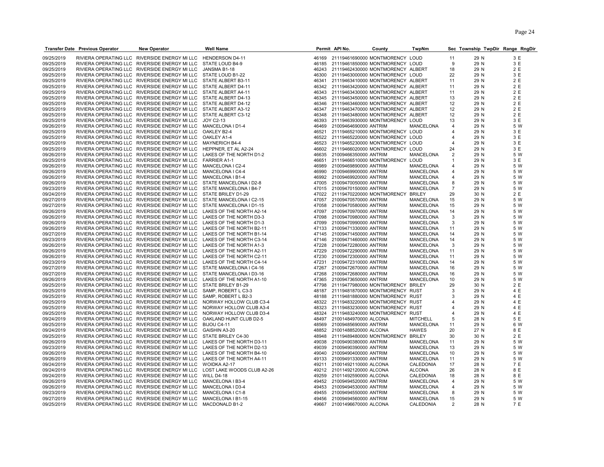|            | <b>Transfer Date Previous Operator</b> | New Operator                                                           | <b>Well Name</b>                                                         |       | Permit API No.                    | County                            | TwpNm            |                       | Sec Township TwpDir Range RngDir |     |
|------------|----------------------------------------|------------------------------------------------------------------------|--------------------------------------------------------------------------|-------|-----------------------------------|-----------------------------------|------------------|-----------------------|----------------------------------|-----|
| 09/25/2019 |                                        | RIVIERA OPERATING LLC RIVERSIDE ENERGY MI LLC                          | <b>HENDERSON D4-11</b>                                                   | 46169 | 21119461690000 MONTMORENCY LOUD   |                                   |                  | 11                    | 29 N                             | 3 E |
| 09/25/2019 |                                        | RIVIERA OPERATING LLC RIVERSIDE ENERGY MI LLC                          | STATE LOUD B4-9                                                          | 46185 | 21119461850000 MONTMORENCY LOUD   |                                   |                  | 9                     | 29 N                             | 3 E |
| 09/25/2019 |                                        | RIVIERA OPERATING LLC RIVERSIDE ENERGY MI LLC                          | JANSMA B1-18                                                             | 46243 | 21119462430000 MONTMORENCY ALBERT |                                   |                  | 18                    | 29 N                             | 2 E |
| 09/25/2019 |                                        | RIVIERA OPERATING LLC RIVERSIDE ENERGY MI LLC                          | STATE LOUD B1-22                                                         | 46300 | 21119463000000 MONTMORENCY LOUD   |                                   |                  | 22                    | 29 N                             | 3 E |
| 09/25/2019 |                                        | RIVIERA OPERATING LLC RIVERSIDE ENERGY MI LLC                          | STATE ALBERT B3-11                                                       | 46341 |                                   | 21119463410000 MONTMORENCY ALBERT |                  | 11                    | 29 N                             | 2 E |
| 09/25/2019 |                                        | RIVIERA OPERATING LLC RIVERSIDE ENERGY MI LLC                          | STATE ALBERT D4-11                                                       | 46342 | 21119463420000 MONTMORENCY ALBERT |                                   |                  | 11                    | 29 N                             | 2 E |
| 09/25/2019 |                                        | RIVIERA OPERATING LLC RIVERSIDE ENERGY MI LLC                          | STATE ALBERT A4-11                                                       | 46343 | 21119463430000 MONTMORENCY ALBERT |                                   |                  | 11                    | 29 N                             | 2 E |
| 09/25/2019 |                                        | RIVIERA OPERATING LLC RIVERSIDE ENERGY MI LLC                          | STATE ALBERT D4-13                                                       | 46345 |                                   | 21119463450000 MONTMORENCY ALBERT |                  | 13                    | 29 N                             | 2 E |
| 09/25/2019 |                                        | RIVIERA OPERATING LLC RIVERSIDE ENERGY MI LLC                          | STATE ALBERT D4-12                                                       | 46346 | 21119463460000 MONTMORENCY ALBERT |                                   |                  | 12                    | 29 N                             | 2 E |
| 09/25/2019 |                                        | RIVIERA OPERATING LLC RIVERSIDE ENERGY MI LLC                          | STATE ALBERT A3-12                                                       | 46347 | 21119463470000 MONTMORENCY ALBERT |                                   |                  | 12                    | 29 N                             | 2 E |
| 09/25/2019 |                                        | RIVIERA OPERATING LLC RIVERSIDE ENERGY MI LLC                          | STATE ALBERT C3-12                                                       | 46348 |                                   | 21119463480000 MONTMORENCY ALBERT |                  | 12                    | 29 N                             | 2 E |
| 09/25/2019 |                                        | RIVIERA OPERATING LLC RIVERSIDE ENERGY MI LLC                          | JOY C2-13                                                                | 46393 |                                   | 21119463930000 MONTMORENCY LOUD   |                  | 13                    | 29 N                             | 3 E |
| 09/26/2019 |                                        | RIVIERA OPERATING LLC RIVERSIDE ENERGY MI LLC                          | MANCELONA I D1-4                                                         | 46469 | 21009464690000 ANTRIM             |                                   | <b>MANCELONA</b> | $\overline{4}$        | 29 N                             | 5 W |
| 09/25/2019 |                                        | RIVIERA OPERATING LLC RIVERSIDE ENERGY MI LLC                          | OAKLEY B2-4                                                              | 46521 |                                   | 21119465210000 MONTMORENCY LOUD   |                  | 4                     | 29 N                             | 3 E |
| 09/25/2019 |                                        | RIVIERA OPERATING LLC RIVERSIDE ENERGY MI LLC                          | OAKLEY A1-4                                                              | 46522 | 21119465220000 MONTMORENCY LOUD   |                                   |                  |                       | 29 N                             | 3 E |
| 09/25/2019 |                                        | RIVIERA OPERATING LLC RIVERSIDE ENERGY MI LLC                          | <b>MAYNERICH B4-4</b>                                                    | 46523 | 21119465230000 MONTMORENCY LOUD   |                                   |                  | 4                     | 29 N                             | 3 E |
| 09/25/2019 |                                        | RIVIERA OPERATING LLC RIVERSIDE ENERGY MI LLC                          | HEPPNER. ET AL A2-24                                                     | 46602 | 21119466020000 MONTMORENCY LOUD   |                                   |                  | 24                    | 29 N                             | 3 E |
| 09/26/2019 |                                        | RIVIERA OPERATING LLC RIVERSIDE ENERGY MI LLC                          | LAKES OF THE NORTH D1-2                                                  | 46635 | 21009466350000 ANTRIM             |                                   | <b>MANCELONA</b> |                       | 29 N                             | 5 W |
| 09/25/2019 |                                        | RIVIERA OPERATING LLC RIVERSIDE ENERGY MI LLC                          | <b>FARRIER A1-1</b>                                                      | 46651 | 21119466510000 MONTMORENCY LOUD   |                                   |                  | 1                     | 29 N                             | 3 E |
| 09/26/2019 |                                        | RIVIERA OPERATING LLC RIVERSIDE ENERGY MI LLC                          | MANCELONA I C2-4                                                         | 46989 | 21009469890000 ANTRIM             |                                   | MANCELONA        | $\boldsymbol{\Delta}$ | 29 N                             | 5 W |
| 09/26/2019 |                                        | RIVIERA OPERATING LLC RIVERSIDE ENERGY MI LLC                          | MANCELONA I C4-4                                                         | 46990 | 21009469900000 ANTRIM             |                                   | MANCELONA        |                       | 29 N                             | 5 W |
| 09/26/2019 |                                        | RIVIERA OPERATING LLC RIVERSIDE ENERGY MI LLC                          | MANCELONA I B1-4                                                         | 46992 | 21009469920000 ANTRIM             |                                   | MANCELONA        | 4                     | 29 N                             | 5 W |
| 09/26/2019 |                                        | RIVIERA OPERATING LLC RIVERSIDE ENERGY MI LLC                          | STATE MANCELONA I D2-8                                                   | 47005 | 21009470050000 ANTRIM             |                                   | MANCELONA        | 8                     | 29 N                             | 5 W |
| 09/23/2019 |                                        | RIVIERA OPERATING LLC RIVERSIDE ENERGY MI LLC                          | STATE MANCELONA I B4-7                                                   | 47015 | 21009470150000 ANTRIM             |                                   | MANCELONA        | $\overline{7}$        | 29 N                             | 5 W |
| 09/24/2019 |                                        | RIVIERA OPERATING LLC RIVERSIDE ENERGY MI LLC                          | STATE BRILEY D1-29                                                       | 47022 | 21119470220000 MONTMORENCY        |                                   | <b>BRILEY</b>    | 29                    | 30 N                             | 2 E |
| 09/27/2019 |                                        | RIVIERA OPERATING LLC RIVERSIDE ENERGY MI LLC                          | STATE MANCELONA I C2-15                                                  | 47057 | 21009470570000 ANTRIM             |                                   | MANCELONA        | 15                    | 29 N                             | 5 W |
| 09/27/2019 |                                        | RIVIERA OPERATING LLC RIVERSIDE ENERGY MI LLC                          | STATE MANCELONA I D1-15                                                  | 47058 | 21009470580000 ANTRIM             |                                   | MANCELONA        | 15                    | 29 N                             | 5 W |
| 09/26/2019 |                                        | RIVIERA OPERATING LLC RIVERSIDE ENERGY MI LLC                          | LAKES OF THE NORTH A2-14                                                 | 47097 | 21009470970000 ANTRIM             |                                   | MANCELONA        | 14                    | 29 N                             | 5 W |
| 09/26/2019 |                                        | RIVIERA OPERATING LLC RIVERSIDE ENERGY MI LLC                          | LAKES OF THE NORTH D3-3                                                  | 47098 | 21009470980000 ANTRIM             |                                   | MANCELONA        | 3                     | 29 N                             | 5 W |
| 09/26/2019 |                                        | RIVIERA OPERATING LLC RIVERSIDE ENERGY MI LLC                          | LAKES OF THE NORTH D1-3                                                  | 47099 | 21009470990000 ANTRIM             |                                   | <b>MANCELONA</b> | 3                     | 29 N                             | 5 W |
| 09/26/2019 |                                        | RIVIERA OPERATING LLC RIVERSIDE ENERGY MI LLC                          | LAKES OF THE NORTH B2-11                                                 | 47133 | 21009471330000 ANTRIM             |                                   | MANCELONA        | 11                    | 29 N                             | 5 W |
| 09/27/2019 |                                        | RIVIERA OPERATING LLC RIVERSIDE ENERGY MI LLC LAKES OF THE NORTH B1-14 |                                                                          | 47145 | 21009471450000 ANTRIM             |                                   | MANCELONA        | 14                    | 29 N                             | 5 W |
| 09/23/2019 |                                        | RIVIERA OPERATING LLC RIVERSIDE ENERGY MI LLC LAKES OF THE NORTH C3-14 |                                                                          | 47146 | 21009471460000 ANTRIM             |                                   | MANCELONA        | 14                    | 29 N                             | 5 W |
| 09/26/2019 |                                        | RIVIERA OPERATING LLC RIVERSIDE ENERGY MI LLC                          | LAKES OF THE NORTH A1-3                                                  | 47228 | 21009472280000 ANTRIM             |                                   | MANCELONA        | 3                     | 29 N                             | 5 W |
| 09/26/2019 |                                        | RIVIERA OPERATING LLC RIVERSIDE ENERGY MI LLC                          | LAKES OF THE NORTH A2-11                                                 | 47229 | 21009472290000 ANTRIM             |                                   | MANCELONA        | 11                    | 29 N                             | 5 W |
| 09/26/2019 |                                        | RIVIERA OPERATING LLC RIVERSIDE ENERGY MI LLC                          | LAKES OF THE NORTH C2-11                                                 | 47230 | 21009472300000 ANTRIM             |                                   | MANCELONA        | 11                    | 29 N                             | 5 W |
| 09/23/2019 |                                        | RIVIERA OPERATING LLC RIVERSIDE ENERGY MI LLC                          | LAKES OF THE NORTH C4-14                                                 | 47231 | 21009472310000 ANTRIM             |                                   | MANCELONA        | 14                    | 29 N                             | 5 W |
| 09/27/2019 |                                        | RIVIERA OPERATING LLC RIVERSIDE ENERGY MI LLC                          | STATE MANCELONA I C4-16                                                  | 47267 | 21009472670000 ANTRIM             |                                   | MANCELONA        | 16                    | 29 N                             | 5 W |
| 09/27/2019 |                                        | RIVIERA OPERATING LLC RIVERSIDE ENERGY MI LLC                          | STATE MANCELONA I D3-16                                                  | 47268 | 21009472680000 ANTRIM             |                                   | MANCELONA        | 16                    | 29 N                             | 5 W |
| 09/26/2019 |                                        | RIVIERA OPERATING LLC RIVERSIDE ENERGY MI LLC                          | LAKES OF THE NORTH A1-10                                                 | 47365 | 21009473650000 ANTRIM             |                                   | MANCELONA        | 10                    | 29 N                             | 5 W |
| 09/25/2019 |                                        | RIVIERA OPERATING LLC RIVERSIDE ENERGY MI LLC                          | STATE BRILEY B1-29                                                       | 47798 | 21119477980000 MONTMORENCY BRILEY |                                   |                  | 29                    | 30 N                             | 2 E |
| 09/25/2019 |                                        | RIVIERA OPERATING LLC RIVERSIDE ENERGY MI LLC                          | SAMP, ROBERT L C3-3                                                      | 48187 | 21119481870000 MONTMORENCY RUST   |                                   |                  | 3                     | 29 N                             | 4 E |
| 09/25/2019 |                                        | RIVIERA OPERATING LLC RIVERSIDE ENERGY MI LLC                          | SAMP, ROBERT L B2-3                                                      | 48188 | 21119481880000 MONTMORENCY RUST   |                                   |                  | 3                     | 29 N                             | 4 E |
| 09/25/2019 |                                        | RIVIERA OPERATING LLC RIVERSIDE ENERGY MI LLC                          | NORWAY HOLLOW CLUB C3-4                                                  | 48322 | 21119483220000 MONTMORENCY RUST   |                                   |                  |                       | 29 N                             | 4 E |
| 09/25/2019 |                                        | RIVIERA OPERATING LLC RIVERSIDE ENERGY MI LLC                          | NORWAY HOLLOW CLUB A3-4                                                  | 48323 | 21119483230000 MONTMORENCY RUST   |                                   |                  |                       | 29 N                             | 4 E |
| 09/25/2019 |                                        | RIVIERA OPERATING LLC RIVERSIDE ENERGY MI LLC                          | NORWAY HOLLOW CLUB D3-4                                                  | 48324 | 21119483240000 MONTMORENCY RUST   |                                   |                  | 4                     | 29 N                             | 4 E |
| 09/24/2019 |                                        | RIVIERA OPERATING LLC RIVERSIDE ENERGY MI LLC                          | OAKLAND HUNT CLUB D2-5                                                   | 48497 | 21001484970000 ALCONA             |                                   | <b>MITCHELL</b>  | 5                     | 28 N                             | 5 E |
| 09/25/2019 |                                        | RIVIERA OPERATING LLC RIVERSIDE ENERGY MI LLC                          | BIJOU C4-11                                                              | 48569 | 21009485690000 ANTRIM             |                                   | <b>MANCELONA</b> | 11                    | 29 N                             | 6 W |
| 09/24/2019 |                                        | RIVIERA OPERATING LLC RIVERSIDE ENERGY MI LLC                          | GAISHIN A3-20                                                            | 48852 | 21001488520000 ALCONA             |                                   | <b>HAWES</b>     | 20                    | 27 N                             | 8 E |
| 09/25/2019 |                                        | RIVIERA OPERATING LLC RIVERSIDE ENERGY MI LLC                          | STATE BRILEY C4-30                                                       | 48948 | 21119489480000 MONTMORENCY        |                                   | <b>BRILEY</b>    | 30                    | 30 N                             | 2 E |
| 09/26/2019 |                                        | RIVIERA OPERATING LLC RIVERSIDE ENERGY MI LLC                          | LAKES OF THE NORTH D3-11                                                 | 49038 | 21009490380000 ANTRIM             |                                   | MANCELONA        | 11                    | 29 N                             | 5 W |
| 09/23/2019 |                                        | RIVIERA OPERATING LLC RIVERSIDE ENERGY MI LLC                          | LAKES OF THE NORTH D2-13                                                 | 49039 | 21009490390000 ANTRIM             |                                   | MANCELONA        | 13                    | 29 N                             | 5 W |
| 09/26/2019 |                                        | RIVIERA OPERATING LLC RIVERSIDE ENERGY MI LLC                          | LAKES OF THE NORTH B4-10                                                 | 49040 | 21009490400000 ANTRIM             |                                   | MANCELONA        | 10                    | 29 N                             | 5 W |
| 09/26/2019 |                                        | RIVIERA OPERATING LLC RIVERSIDE ENERGY MI LLC                          | LAKES OF THE NORTH A4-11                                                 | 49133 | 21009491330000 ANTRIM             |                                   | MANCELONA        | 11                    | 29 N                             | 5 W |
| 09/24/2019 |                                        | RIVIERA OPERATING LLC RIVERSIDE ENERGY MI LLC                          | WOIDKA A2-17                                                             | 49211 | 21001492110000 ALCONA             |                                   | CALEDONIA        | 17                    | 28 N                             | 7 E |
| 09/24/2019 |                                        |                                                                        | RIVIERA OPERATING LLC RIVERSIDE ENERGY MI LLC LOST LAKE WOODS CLUB A2-26 | 49212 | 21011492120000 ALCONA             |                                   | <b>ALCONA</b>    | 26                    | 28 N                             | 8 E |
| 09/24/2019 |                                        | RIVIERA OPERATING LLC RIVERSIDE ENERGY MI LLC                          | <b>WILL D4-18</b>                                                        | 49259 | 21011492590000 ALCONA             |                                   | CALEDONIA        | 18                    | 28 N                             | 8 E |
| 09/26/2019 |                                        | RIVIERA OPERATING LLC RIVERSIDE ENERGY MI LLC                          | MANCELONA I B3-4                                                         | 49452 | 21009494520000 ANTRIM             |                                   | MANCELONA        | $\overline{4}$        | 29 N                             | 5 W |
| 09/26/2019 |                                        | RIVIERA OPERATING LLC RIVERSIDE ENERGY MI LLC                          | MANCELONA I D3-4                                                         | 49453 | 21009494530000 ANTRIM             |                                   | MANCELONA        | 4                     | 29 N                             | 5 W |
| 09/23/2019 |                                        | RIVIERA OPERATING LLC RIVERSIDE ENERGY MI LLC                          | MANCELONA I C1-8                                                         | 49455 | 21009494550000 ANTRIM             |                                   | MANCELONA        | 8                     | 29 N                             | 5 W |
| 09/27/2019 |                                        | RIVIERA OPERATING LLC RIVERSIDE ENERGY MI LLC                          | MANCELONA I B1-15                                                        | 49456 | 21009494560000 ANTRIM             |                                   | MANCELONA        | 15                    | 29 N                             | 5 W |
| 09/25/2019 |                                        | RIVIERA OPERATING LLC RIVERSIDE ENERGY MI LLC MACDONALD B1-2           |                                                                          |       | 49667 21001496670000 ALCONA       |                                   | CALEDONIA        | $\overline{2}$        | 28 N                             | 7 E |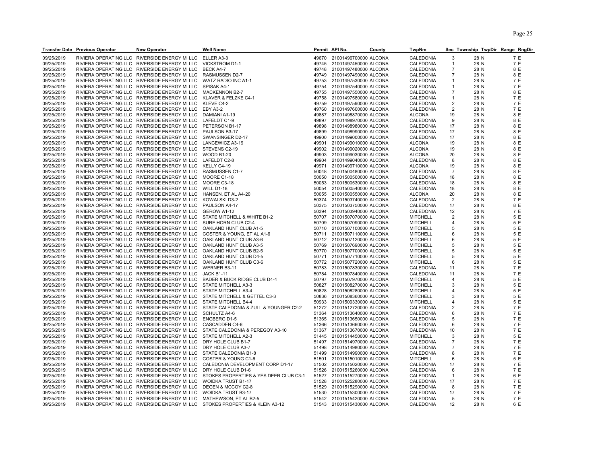| 09/25/2019<br>RIVIERA OPERATING LLC RIVERSIDE ENERGY MI LLC<br>ELLER A3-3<br>49670 21001496700000 ALCONA<br>CALEDONIA<br>3<br>28 N<br>7 E<br>09/25/2019<br>RIVIERA OPERATING LLC RIVERSIDE ENERGY MI LLC<br><b>VICKSTROM D1-1</b><br>49745 21001497450000 ALCONA<br>CALEDONIA<br>28 N<br>7 E<br>$\mathbf{1}$<br>8 E<br>09/25/2019<br>RIVIERA OPERATING LLC<br>RIVERSIDE ENERGY MI LLC<br>21001497480000 ALCONA<br>CALEDONIA<br>$\overline{7}$<br>BECK A4-7<br>49748<br>28 N<br>09/25/2019<br>RIVIERA OPERATING LLC RIVERSIDE ENERGY MI LLC<br>RASMUSSEN D2-7<br>49749<br>21001497490000 ALCONA<br>CALEDONIA<br>$\overline{7}$<br>28 N<br>8 E<br>09/25/2019<br>RIVIERA OPERATING LLC RIVERSIDE ENERGY MI LLC<br>WATZ RADIO INC A1-1<br>49753<br>21001497530000 ALCONA<br>CALEDONIA<br>28 N<br>7 E<br>$\mathbf{1}$<br>7 E<br>09/25/2019<br>RIVIERA OPERATING LLC RIVERSIDE ENERGY MI LLC<br>SPISAK A4-1<br>49754<br>21001497540000 ALCONA<br>CALEDONIA<br>28 N<br>$\mathbf{1}$<br>28 N<br>8 E<br>09/25/2019<br>RIVIERA OPERATING LLC RIVERSIDE ENERGY MI LLC<br><b>MACKENNON B2-7</b><br>49755<br>21001497550000 ALCONA<br>CALEDONIA<br>$\overline{7}$<br>09/25/2019<br>RIVIERA OPERATING LLC RIVERSIDE ENERGY MI LLC<br>7 E<br>KLAVER & FELZKE C4-1<br>49758<br>21001497580000 ALCONA<br>CALEDONIA<br>28 N<br>$\mathbf{1}$<br>09/25/2019<br>RIVIERA OPERATING LLC RIVERSIDE ENERGY MI LLC<br>7 E<br>KLEVE C4-2<br>49759<br>21001497590000 ALCONA<br>CALEDONIA<br>2<br>28 N<br>09/25/2019<br>RIVIERA OPERATING LLC RIVERSIDE ENERGY MI LLC<br>21001497600000 ALCONA<br>$\overline{2}$<br>28 N<br>7 E<br>EBY A3-2<br>49760<br>CALEDONIA<br>09/25/2019<br>RIVIERA OPERATING LLC RIVERSIDE ENERGY MI LLC<br>DAMIANI A1-19<br>21001498870000 ALCONA<br><b>ALCONA</b><br>28 N<br>8 E<br>49887<br>19<br>09/25/2019<br>RIVIERA OPERATING LLC RIVERSIDE ENERGY MI LLC<br>8 E<br>LAFELDT C1-9<br>49897<br>21001498970000 ALCONA<br>CALEDONIA<br>9<br>28 N<br>09/25/2019<br>RIVIERA OPERATING LLC RIVERSIDE ENERGY MI LLC<br>17<br>28 N<br>8 E<br>PETERSON B1-17<br>49898<br>21001498980000 ALCONA<br>CALEDONIA<br>09/25/2019<br>RIVIERA OPERATING LLC RIVERSIDE ENERGY MI LLC<br>PAULSON B3-17<br>49899<br>21001498990000 ALCONA<br>CALEDONIA<br>17<br>28 N<br>8 E<br>8 E<br>09/25/2019<br>RIVIERA OPERATING LLC RIVERSIDE ENERGY MI LLC<br>SWANSINGER D2-17<br>49900<br>21001499000000 ALCONA<br>CALEDONIA<br>17<br>28 N<br>09/25/2019<br>RIVIERA OPERATING LLC RIVERSIDE ENERGY MI LLC<br>8 E<br>LANCEWICZ A3-19<br>49901<br>21001499010000 ALCONA<br><b>ALCONA</b><br>19<br>28 N<br>09/25/2019<br>RIVIERA OPERATING LLC RIVERSIDE ENERGY MI LLC<br>21001499020000 ALCONA<br><b>ALCONA</b><br>STEVENS C2-19<br>49902<br>19<br>28 N<br>8 E<br>09/25/2019<br>RIVIERA OPERATING LLC RIVERSIDE ENERGY MI LLC<br><b>WOOD B1-20</b><br>49903<br>21001499030000 ALCONA<br><b>ALCONA</b><br>20<br>28 N<br>8 E<br>09/25/2019<br>RIVIERA OPERATING LLC RIVERSIDE ENERGY MI LLC<br>8 E<br>LAFELDT C2-8<br>49904<br>21001499040000 ALCONA<br>CALEDONIA<br>8<br>28 N<br>09/25/2019<br>RIVIERA OPERATING LLC RIVERSIDE ENERGY MI LLC<br>KELLY C4-19<br>21001499710000 ALCONA<br><b>ALCONA</b><br>28 N<br>8 E<br>49971<br>19<br>09/25/2019<br>RIVIERA OPERATING LLC RIVERSIDE ENERGY MI LLC<br>RASMUSSEN C1-7<br>21001500480000 ALCONA<br>CALEDONIA<br>28 N<br>8 E<br>50048<br>$\overline{7}$<br>09/25/2019<br>RIVIERA OPERATING LLC RIVERSIDE ENERGY MI LLC<br>21001500500000 ALCONA<br>CALEDONIA<br>28 N<br>8 E<br>MOORE C1-18<br>50050<br>18<br>09/25/2019<br>RIVIERA OPERATING LLC RIVERSIDE ENERGY MI LLC<br>MOORE C3-18<br>21001500530000 ALCONA<br>CALEDONIA<br>28 N<br>8 E<br>50053<br>18<br>09/25/2019<br>RIVIERA OPERATING LLC RIVERSIDE ENERGY MI LLC<br><b>WILL D1-18</b><br>50054<br>21001500540000 ALCONA<br>CALEDONIA<br>28 N<br>8 E<br>18<br>8 E<br>09/25/2019<br>RIVIERA OPERATING LLC RIVERSIDE ENERGY MI LLC<br>HANSEN, ET AL A4-20<br><b>ALCONA</b><br>20<br>28 N<br>50055<br>21001500550000 ALCONA<br>09/25/2019<br>RIVIERA OPERATING LLC RIVERSIDE ENERGY MI LLC<br>28 N<br>7 E<br>KOWALSKI D3-2<br>50374<br>21001503740000 ALCONA<br>CALEDONIA<br>$\overline{2}$<br>09/25/2019<br>RIVIERA OPERATING LLC RIVERSIDE ENERGY MI LLC<br>PAULSON A4-17<br>21001503750000 ALCONA<br>CALEDONIA<br>28 N<br>8 E<br>50375<br>17<br>09/25/2019<br>RIVIERA OPERATING LLC RIVERSIDE ENERGY MI LLC<br>7 E<br>GEROW A1-12<br>50394<br>21001503940000 ALCONA<br>CALEDONIA<br>12<br>28 N<br>09/25/2019<br>RIVIERA OPERATING LLC RIVERSIDE ENERGY MI LLC<br>STATE MITCHELL & WHITE B1-2<br>21001507070000 ALCONA<br>$\overline{2}$<br>5 E<br>50707<br><b>MITCHELL</b><br>28 N<br>09/25/2019<br>RIVIERA OPERATING LLC RIVERSIDE ENERGY MI LLC<br>SURE HORN CLUB C2-4<br>21001507090000 ALCONA<br><b>MITCHELL</b><br>4<br>28 N<br>5 E<br>50709<br>5 E<br>09/25/2019<br>RIVIERA OPERATING LLC RIVERSIDE ENERGY MI LLC<br>OAKLAND HUNT CLUB A1-5<br>50710<br>21001507100000 ALCONA<br><b>MITCHELL</b><br>5<br>28 N<br>5 E<br>09/25/2019<br>RIVIERA OPERATING LLC RIVERSIDE ENERGY MI LLC<br>COSTER & YOUNG, ET AL A1-6<br>50711<br>21001507110000 ALCONA<br><b>MITCHELL</b><br>28 N<br>6<br>09/25/2019<br>RIVIERA OPERATING LLC RIVERSIDE ENERGY MI LLC<br>OAKLAND HUNT CLUB A3-6<br>50712 21001507120000 ALCONA<br><b>MITCHELL</b><br>6<br>28 N<br>5 E<br>5 E<br>09/25/2019<br>RIVIERA OPERATING LLC RIVERSIDE ENERGY MI LLC<br>OAKLAND HUNT CLUB A3-5<br>50769<br>21001507690000 ALCONA<br><b>MITCHELL</b><br>5<br>28 N<br>RIVIERA OPERATING LLC RIVERSIDE ENERGY MI LLC<br>5 E<br>09/25/2019<br>OAKLAND HUNT CLUB B2-5<br>50770<br>21001507700000 ALCONA<br><b>MITCHELL</b><br>5<br>28 N<br>09/25/2019<br>RIVIERA OPERATING LLC RIVERSIDE ENERGY MI LLC<br>5<br>28 N<br>5 E<br>OAKLAND HUNT CLUB D4-5<br>50771<br>21001507710000 ALCONA<br><b>MITCHELL</b><br>5 E<br>09/25/2019<br>RIVIERA OPERATING LLC RIVERSIDE ENERGY MI LLC<br>OAKLAND HUNT CLUB C3-6<br>50772 21001507720000 ALCONA<br><b>MITCHELL</b><br>6<br>28 N<br>7 E<br>09/25/2019<br>RIVIERA OPERATING LLC RIVERSIDE ENERGY MI LLC<br>50783<br>28 N<br>WERNER B3-11<br>21001507830000 ALCONA<br>CALEDONIA<br>11<br>09/25/2019<br>RIVIERA OPERATING LLC RIVERSIDE ENERGY MI LLC<br><b>JACK B1-11</b><br>50784<br>21001507840000 ALCONA<br>CALEDONIA<br>28 N<br>7 E<br>11<br>09/25/2019<br>RIVIERA OPERATING LLC RIVERSIDE ENERGY MI LLC<br>BADER & BUCK RIDGE CLUB D4-4<br>21001507970000 ALCONA<br><b>MITCHELL</b><br>5 E<br>50797<br>4<br>28 N<br>5 E<br>09/25/2019<br>RIVIERA OPERATING LLC RIVERSIDE ENERGY MI LLC<br>STATE MITCHELL A3-3<br>21001508270000 ALCONA<br>3<br>50827<br><b>MITCHELL</b><br>28 N<br>RIVIERA OPERATING LLC RIVERSIDE ENERGY MI LLC<br>5 E<br>09/25/2019<br><b>STATE MITCHELL A3-4</b><br>21001508280000 ALCONA<br><b>MITCHELL</b><br>28 N<br>50828<br>4<br>09/25/2019<br>RIVIERA OPERATING LLC RIVERSIDE ENERGY MI LLC<br>STATE MITCHELL & GETTEL C3-3<br>21001508360000 ALCONA<br><b>MITCHELL</b><br>28 N<br>5 E<br>50836<br>3<br>5 E<br>09/25/2019<br>RIVIERA OPERATING LLC RIVERSIDE ENERGY MI LLC<br>STATE MITCHELL B4-4<br>50933<br>21001509330000 ALCONA<br><b>MITCHELL</b><br>28 N<br>4<br>09/25/2019<br>RIVIERA OPERATING LLC RIVERSIDE ENERGY MI LLC<br>STATE CALEDONIA & ZULL & YOUNGER C2-2<br>$\overline{2}$<br>28 N<br>7 E<br>51272<br>21001512720000 ALCONA<br>CALEDONIA<br>09/25/2019<br>RIVIERA OPERATING LLC RIVERSIDE ENERGY MI LLC<br>CALEDONIA<br>7 E<br><b>SCHULTZ A4-6</b><br>51364<br>21001513640000 ALCONA<br>6<br>28 N<br>09/25/2019<br>RIVIERA OPERATING LLC RIVERSIDE ENERGY MI LLC<br>5<br>7 E<br><b>ENGBERG D1-5</b><br>51365<br>21001513650000 ALCONA<br>CALEDONIA<br>28 N<br>7 E<br>09/25/2019<br>RIVIERA OPERATING LLC RIVERSIDE ENERGY MI LLC<br>CASCADDEN C4-6<br>6<br>28 N<br>51366<br>21001513660000 ALCONA<br>CALEDONIA<br>09/25/2019<br>RIVIERA OPERATING LLC RIVERSIDE ENERGY MI LLC<br>STATE CALEDONIA & PEREGOY A3-10<br>CALEDONIA<br>28 N<br>7 E<br>51367<br>21001513670000 ALCONA<br>10<br>5 E<br>09/25/2019<br>RIVIERA OPERATING LLC RIVERSIDE ENERGY MI LLC<br>STATE MITCHELL A2-3<br>51445<br>21001514450000 ALCONA<br><b>MITCHELL</b><br>3<br>28 N<br>$\overline{7}$<br>7 E<br>09/25/2019<br>RIVIERA OPERATING LLC RIVERSIDE ENERGY MI LLC<br>DRY HOLE CLUB B1-7<br>51497<br>21001514970000 ALCONA<br>CALEDONIA<br>28 N<br>09/25/2019<br>RIVIERA OPERATING LLC RIVERSIDE ENERGY MI LLC<br>DRY HOLE CLUB A3-7<br>51498<br>21001514980000 ALCONA<br>CALEDONIA<br>$\overline{7}$<br>28 N<br>7 E<br>7 E<br>09/25/2019<br>RIVIERA OPERATING LLC RIVERSIDE ENERGY MI LLC<br>STATE CALEDONIA B1-8<br>51499<br>21001514990000 ALCONA<br>CALEDONIA<br>8<br>28 N<br>RIVIERA OPERATING LLC RIVERSIDE ENERGY MI LLC<br>5 E<br>09/25/2019<br>COSTER & YOUNG C1-6<br>21001515010000 ALCONA<br><b>MITCHELL</b><br>6<br>28 N<br>51501<br>09/25/2019<br>RIVIERA OPERATING LLC RIVERSIDE ENERGY MI LLC<br>CALEDONIA DEVELOPMENT CORP D1-17<br>21001515020000 ALCONA<br>CALEDONIA<br>28 N<br>7 E<br>51502<br>17<br>7 E<br>09/25/2019<br>RIVIERA OPERATING LLC RIVERSIDE ENERGY MI LLC<br>DRY HOLE CLUB D1-6<br>51526<br>21001515260000 ALCONA<br>CALEDONIA<br>6<br>28 N<br>09/25/2019<br>RIVIERA OPERATING LLC RIVERSIDE ENERGY MI LLC<br>STOKES PROPERTIES & YES DEER CLUB C3-1<br>28 N<br>6 E<br>51527<br>21001515270000 ALCONA<br>CALEDONIA<br>$\mathbf 1$<br>09/25/2019<br>RIVIERA OPERATING LLC RIVERSIDE ENERGY MI LLC<br>WOIDKA TRUST B1-17<br>21001525280000 ALCONA<br>CALEDONIA<br>28 N<br>7 E<br>51528<br>17<br>09/25/2019<br>RIVIERA OPERATING LLC RIVERSIDE ENERGY MI LLC<br>DEGEN & MCCOY C2-8<br>21001515290000 ALCONA<br>CALEDONIA<br>28 N<br>7 E<br>51529<br>8<br>7 E<br>09/25/2019<br>RIVIERA OPERATING LLC RIVERSIDE ENERGY MI LLC<br><b>WOIDKA TRUST B3-17</b><br>17<br>28 N<br>51530<br>21001515300000 ALCONA<br>CALEDONIA<br>09/25/2019<br>RIVIERA OPERATING LLC RIVERSIDE ENERGY MI LLC<br>7 E<br>MATHEWSON, ET AL B2-5<br>21001515420000 ALCONA<br>CALEDONIA<br>5<br>28 N<br>51542<br>09/25/2019<br>RIVIERA OPERATING LLC RIVERSIDE ENERGY MI LLC<br>STOKES PROPERTIES & KLEIN A3-12<br>21001515430000 ALCONA<br>CALEDONIA<br>28 N<br>6 E<br>51543<br>12 | <b>Transfer Date Previous Operator</b> | <b>New Operator</b> | Well Name | Permit API No. | County | <b>TwpNm</b> | Sec Township TwpDir Range RngDir |  |
|----------------------------------------------------------------------------------------------------------------------------------------------------------------------------------------------------------------------------------------------------------------------------------------------------------------------------------------------------------------------------------------------------------------------------------------------------------------------------------------------------------------------------------------------------------------------------------------------------------------------------------------------------------------------------------------------------------------------------------------------------------------------------------------------------------------------------------------------------------------------------------------------------------------------------------------------------------------------------------------------------------------------------------------------------------------------------------------------------------------------------------------------------------------------------------------------------------------------------------------------------------------------------------------------------------------------------------------------------------------------------------------------------------------------------------------------------------------------------------------------------------------------------------------------------------------------------------------------------------------------------------------------------------------------------------------------------------------------------------------------------------------------------------------------------------------------------------------------------------------------------------------------------------------------------------------------------------------------------------------------------------------------------------------------------------------------------------------------------------------------------------------------------------------------------------------------------------------------------------------------------------------------------------------------------------------------------------------------------------------------------------------------------------------------------------------------------------------------------------------------------------------------------------------------------------------------------------------------------------------------------------------------------------------------------------------------------------------------------------------------------------------------------------------------------------------------------------------------------------------------------------------------------------------------------------------------------------------------------------------------------------------------------------------------------------------------------------------------------------------------------------------------------------------------------------------------------------------------------------------------------------------------------------------------------------------------------------------------------------------------------------------------------------------------------------------------------------------------------------------------------------------------------------------------------------------------------------------------------------------------------------------------------------------------------------------------------------------------------------------------------------------------------------------------------------------------------------------------------------------------------------------------------------------------------------------------------------------------------------------------------------------------------------------------------------------------------------------------------------------------------------------------------------------------------------------------------------------------------------------------------------------------------------------------------------------------------------------------------------------------------------------------------------------------------------------------------------------------------------------------------------------------------------------------------------------------------------------------------------------------------------------------------------------------------------------------------------------------------------------------------------------------------------------------------------------------------------------------------------------------------------------------------------------------------------------------------------------------------------------------------------------------------------------------------------------------------------------------------------------------------------------------------------------------------------------------------------------------------------------------------------------------------------------------------------------------------------------------------------------------------------------------------------------------------------------------------------------------------------------------------------------------------------------------------------------------------------------------------------------------------------------------------------------------------------------------------------------------------------------------------------------------------------------------------------------------------------------------------------------------------------------------------------------------------------------------------------------------------------------------------------------------------------------------------------------------------------------------------------------------------------------------------------------------------------------------------------------------------------------------------------------------------------------------------------------------------------------------------------------------------------------------------------------------------------------------------------------------------------------------------------------------------------------------------------------------------------------------------------------------------------------------------------------------------------------------------------------------------------------------------------------------------------------------------------------------------------------------------------------------------------------------------------------------------------------------------------------------------------------------------------------------------------------------------------------------------------------------------------------------------------------------------------------------------------------------------------------------------------------------------------------------------------------------------------------------------------------------------------------------------------------------------------------------------------------------------------------------------------------------------------------------------------------------------------------------------------------------------------------------------------------------------------------------------------------------------------------------------------------------------------------------------------------------------------------------------------------------------------------------------------------------------------------------------------------------------------------------------------------------------------------------------------------------------------------------------------------------------------------------------------------------------------------------------------------------------------------------------------------------------------------------------------------------------------------------------------------------------------------------------------------------------------------------------------------------------------------------------------------------------------------------------------------------------------------------------------------------------------------------------------------------------------------------------------------------------------------------------------------------------------------------------------------------------------------------------------------------------------------------------------------------------------------------------------------------------------------------------------------------------------------------------------------------------------------------------------------------------------------------------------------------------------------------------------------------------------------------------------------------------------------------------------------------------------------------------------------------------------------------------------------------------------------------------------------------------------------------------------------------------------------------------------------------------------------------------------------------------------------------------------------------------------------------------------------------------------------------------------------------------------------------------------------------------------------------------------------------------------------------------------------------------------------------------------------------------------------------------------------------------------------------------------------------------------------------------------------------------------------------------------------------------------------------------------|----------------------------------------|---------------------|-----------|----------------|--------|--------------|----------------------------------|--|
|                                                                                                                                                                                                                                                                                                                                                                                                                                                                                                                                                                                                                                                                                                                                                                                                                                                                                                                                                                                                                                                                                                                                                                                                                                                                                                                                                                                                                                                                                                                                                                                                                                                                                                                                                                                                                                                                                                                                                                                                                                                                                                                                                                                                                                                                                                                                                                                                                                                                                                                                                                                                                                                                                                                                                                                                                                                                                                                                                                                                                                                                                                                                                                                                                                                                                                                                                                                                                                                                                                                                                                                                                                                                                                                                                                                                                                                                                                                                                                                                                                                                                                                                                                                                                                                                                                                                                                                                                                                                                                                                                                                                                                                                                                                                                                                                                                                                                                                                                                                                                                                                                                                                                                                                                                                                                                                                                                                                                                                                                                                                                                                                                                                                                                                                                                                                                                                                                                                                                                                                                                                                                                                                                                                                                                                                                                                                                                                                                                                                                                                                                                                                                                                                                                                                                                                                                                                                                                                                                                                                                                                                                                                                                                                                                                                                                                                                                                                                                                                                                                                                                                                                                                                                                                                                                                                                                                                                                                                                                                                                                                                                                                                                                                                                                                                                                                                                                                                                                                                                                                                                                                                                                                                                                                                                                                                                                                                                                                                                                                                                                                                                                                                                                                                                                                                                                                                                                                                                                                                                                                                                                                                                                                                                                                                                                                                                                                                                                                                                                                                                                                                                                                                                                                                  |                                        |                     |           |                |        |              |                                  |  |
|                                                                                                                                                                                                                                                                                                                                                                                                                                                                                                                                                                                                                                                                                                                                                                                                                                                                                                                                                                                                                                                                                                                                                                                                                                                                                                                                                                                                                                                                                                                                                                                                                                                                                                                                                                                                                                                                                                                                                                                                                                                                                                                                                                                                                                                                                                                                                                                                                                                                                                                                                                                                                                                                                                                                                                                                                                                                                                                                                                                                                                                                                                                                                                                                                                                                                                                                                                                                                                                                                                                                                                                                                                                                                                                                                                                                                                                                                                                                                                                                                                                                                                                                                                                                                                                                                                                                                                                                                                                                                                                                                                                                                                                                                                                                                                                                                                                                                                                                                                                                                                                                                                                                                                                                                                                                                                                                                                                                                                                                                                                                                                                                                                                                                                                                                                                                                                                                                                                                                                                                                                                                                                                                                                                                                                                                                                                                                                                                                                                                                                                                                                                                                                                                                                                                                                                                                                                                                                                                                                                                                                                                                                                                                                                                                                                                                                                                                                                                                                                                                                                                                                                                                                                                                                                                                                                                                                                                                                                                                                                                                                                                                                                                                                                                                                                                                                                                                                                                                                                                                                                                                                                                                                                                                                                                                                                                                                                                                                                                                                                                                                                                                                                                                                                                                                                                                                                                                                                                                                                                                                                                                                                                                                                                                                                                                                                                                                                                                                                                                                                                                                                                                                                                                                                  |                                        |                     |           |                |        |              |                                  |  |
|                                                                                                                                                                                                                                                                                                                                                                                                                                                                                                                                                                                                                                                                                                                                                                                                                                                                                                                                                                                                                                                                                                                                                                                                                                                                                                                                                                                                                                                                                                                                                                                                                                                                                                                                                                                                                                                                                                                                                                                                                                                                                                                                                                                                                                                                                                                                                                                                                                                                                                                                                                                                                                                                                                                                                                                                                                                                                                                                                                                                                                                                                                                                                                                                                                                                                                                                                                                                                                                                                                                                                                                                                                                                                                                                                                                                                                                                                                                                                                                                                                                                                                                                                                                                                                                                                                                                                                                                                                                                                                                                                                                                                                                                                                                                                                                                                                                                                                                                                                                                                                                                                                                                                                                                                                                                                                                                                                                                                                                                                                                                                                                                                                                                                                                                                                                                                                                                                                                                                                                                                                                                                                                                                                                                                                                                                                                                                                                                                                                                                                                                                                                                                                                                                                                                                                                                                                                                                                                                                                                                                                                                                                                                                                                                                                                                                                                                                                                                                                                                                                                                                                                                                                                                                                                                                                                                                                                                                                                                                                                                                                                                                                                                                                                                                                                                                                                                                                                                                                                                                                                                                                                                                                                                                                                                                                                                                                                                                                                                                                                                                                                                                                                                                                                                                                                                                                                                                                                                                                                                                                                                                                                                                                                                                                                                                                                                                                                                                                                                                                                                                                                                                                                                                                                  |                                        |                     |           |                |        |              |                                  |  |
|                                                                                                                                                                                                                                                                                                                                                                                                                                                                                                                                                                                                                                                                                                                                                                                                                                                                                                                                                                                                                                                                                                                                                                                                                                                                                                                                                                                                                                                                                                                                                                                                                                                                                                                                                                                                                                                                                                                                                                                                                                                                                                                                                                                                                                                                                                                                                                                                                                                                                                                                                                                                                                                                                                                                                                                                                                                                                                                                                                                                                                                                                                                                                                                                                                                                                                                                                                                                                                                                                                                                                                                                                                                                                                                                                                                                                                                                                                                                                                                                                                                                                                                                                                                                                                                                                                                                                                                                                                                                                                                                                                                                                                                                                                                                                                                                                                                                                                                                                                                                                                                                                                                                                                                                                                                                                                                                                                                                                                                                                                                                                                                                                                                                                                                                                                                                                                                                                                                                                                                                                                                                                                                                                                                                                                                                                                                                                                                                                                                                                                                                                                                                                                                                                                                                                                                                                                                                                                                                                                                                                                                                                                                                                                                                                                                                                                                                                                                                                                                                                                                                                                                                                                                                                                                                                                                                                                                                                                                                                                                                                                                                                                                                                                                                                                                                                                                                                                                                                                                                                                                                                                                                                                                                                                                                                                                                                                                                                                                                                                                                                                                                                                                                                                                                                                                                                                                                                                                                                                                                                                                                                                                                                                                                                                                                                                                                                                                                                                                                                                                                                                                                                                                                                                                  |                                        |                     |           |                |        |              |                                  |  |
|                                                                                                                                                                                                                                                                                                                                                                                                                                                                                                                                                                                                                                                                                                                                                                                                                                                                                                                                                                                                                                                                                                                                                                                                                                                                                                                                                                                                                                                                                                                                                                                                                                                                                                                                                                                                                                                                                                                                                                                                                                                                                                                                                                                                                                                                                                                                                                                                                                                                                                                                                                                                                                                                                                                                                                                                                                                                                                                                                                                                                                                                                                                                                                                                                                                                                                                                                                                                                                                                                                                                                                                                                                                                                                                                                                                                                                                                                                                                                                                                                                                                                                                                                                                                                                                                                                                                                                                                                                                                                                                                                                                                                                                                                                                                                                                                                                                                                                                                                                                                                                                                                                                                                                                                                                                                                                                                                                                                                                                                                                                                                                                                                                                                                                                                                                                                                                                                                                                                                                                                                                                                                                                                                                                                                                                                                                                                                                                                                                                                                                                                                                                                                                                                                                                                                                                                                                                                                                                                                                                                                                                                                                                                                                                                                                                                                                                                                                                                                                                                                                                                                                                                                                                                                                                                                                                                                                                                                                                                                                                                                                                                                                                                                                                                                                                                                                                                                                                                                                                                                                                                                                                                                                                                                                                                                                                                                                                                                                                                                                                                                                                                                                                                                                                                                                                                                                                                                                                                                                                                                                                                                                                                                                                                                                                                                                                                                                                                                                                                                                                                                                                                                                                                                                                  |                                        |                     |           |                |        |              |                                  |  |
|                                                                                                                                                                                                                                                                                                                                                                                                                                                                                                                                                                                                                                                                                                                                                                                                                                                                                                                                                                                                                                                                                                                                                                                                                                                                                                                                                                                                                                                                                                                                                                                                                                                                                                                                                                                                                                                                                                                                                                                                                                                                                                                                                                                                                                                                                                                                                                                                                                                                                                                                                                                                                                                                                                                                                                                                                                                                                                                                                                                                                                                                                                                                                                                                                                                                                                                                                                                                                                                                                                                                                                                                                                                                                                                                                                                                                                                                                                                                                                                                                                                                                                                                                                                                                                                                                                                                                                                                                                                                                                                                                                                                                                                                                                                                                                                                                                                                                                                                                                                                                                                                                                                                                                                                                                                                                                                                                                                                                                                                                                                                                                                                                                                                                                                                                                                                                                                                                                                                                                                                                                                                                                                                                                                                                                                                                                                                                                                                                                                                                                                                                                                                                                                                                                                                                                                                                                                                                                                                                                                                                                                                                                                                                                                                                                                                                                                                                                                                                                                                                                                                                                                                                                                                                                                                                                                                                                                                                                                                                                                                                                                                                                                                                                                                                                                                                                                                                                                                                                                                                                                                                                                                                                                                                                                                                                                                                                                                                                                                                                                                                                                                                                                                                                                                                                                                                                                                                                                                                                                                                                                                                                                                                                                                                                                                                                                                                                                                                                                                                                                                                                                                                                                                                                                  |                                        |                     |           |                |        |              |                                  |  |
|                                                                                                                                                                                                                                                                                                                                                                                                                                                                                                                                                                                                                                                                                                                                                                                                                                                                                                                                                                                                                                                                                                                                                                                                                                                                                                                                                                                                                                                                                                                                                                                                                                                                                                                                                                                                                                                                                                                                                                                                                                                                                                                                                                                                                                                                                                                                                                                                                                                                                                                                                                                                                                                                                                                                                                                                                                                                                                                                                                                                                                                                                                                                                                                                                                                                                                                                                                                                                                                                                                                                                                                                                                                                                                                                                                                                                                                                                                                                                                                                                                                                                                                                                                                                                                                                                                                                                                                                                                                                                                                                                                                                                                                                                                                                                                                                                                                                                                                                                                                                                                                                                                                                                                                                                                                                                                                                                                                                                                                                                                                                                                                                                                                                                                                                                                                                                                                                                                                                                                                                                                                                                                                                                                                                                                                                                                                                                                                                                                                                                                                                                                                                                                                                                                                                                                                                                                                                                                                                                                                                                                                                                                                                                                                                                                                                                                                                                                                                                                                                                                                                                                                                                                                                                                                                                                                                                                                                                                                                                                                                                                                                                                                                                                                                                                                                                                                                                                                                                                                                                                                                                                                                                                                                                                                                                                                                                                                                                                                                                                                                                                                                                                                                                                                                                                                                                                                                                                                                                                                                                                                                                                                                                                                                                                                                                                                                                                                                                                                                                                                                                                                                                                                                                                                  |                                        |                     |           |                |        |              |                                  |  |
|                                                                                                                                                                                                                                                                                                                                                                                                                                                                                                                                                                                                                                                                                                                                                                                                                                                                                                                                                                                                                                                                                                                                                                                                                                                                                                                                                                                                                                                                                                                                                                                                                                                                                                                                                                                                                                                                                                                                                                                                                                                                                                                                                                                                                                                                                                                                                                                                                                                                                                                                                                                                                                                                                                                                                                                                                                                                                                                                                                                                                                                                                                                                                                                                                                                                                                                                                                                                                                                                                                                                                                                                                                                                                                                                                                                                                                                                                                                                                                                                                                                                                                                                                                                                                                                                                                                                                                                                                                                                                                                                                                                                                                                                                                                                                                                                                                                                                                                                                                                                                                                                                                                                                                                                                                                                                                                                                                                                                                                                                                                                                                                                                                                                                                                                                                                                                                                                                                                                                                                                                                                                                                                                                                                                                                                                                                                                                                                                                                                                                                                                                                                                                                                                                                                                                                                                                                                                                                                                                                                                                                                                                                                                                                                                                                                                                                                                                                                                                                                                                                                                                                                                                                                                                                                                                                                                                                                                                                                                                                                                                                                                                                                                                                                                                                                                                                                                                                                                                                                                                                                                                                                                                                                                                                                                                                                                                                                                                                                                                                                                                                                                                                                                                                                                                                                                                                                                                                                                                                                                                                                                                                                                                                                                                                                                                                                                                                                                                                                                                                                                                                                                                                                                                                                  |                                        |                     |           |                |        |              |                                  |  |
|                                                                                                                                                                                                                                                                                                                                                                                                                                                                                                                                                                                                                                                                                                                                                                                                                                                                                                                                                                                                                                                                                                                                                                                                                                                                                                                                                                                                                                                                                                                                                                                                                                                                                                                                                                                                                                                                                                                                                                                                                                                                                                                                                                                                                                                                                                                                                                                                                                                                                                                                                                                                                                                                                                                                                                                                                                                                                                                                                                                                                                                                                                                                                                                                                                                                                                                                                                                                                                                                                                                                                                                                                                                                                                                                                                                                                                                                                                                                                                                                                                                                                                                                                                                                                                                                                                                                                                                                                                                                                                                                                                                                                                                                                                                                                                                                                                                                                                                                                                                                                                                                                                                                                                                                                                                                                                                                                                                                                                                                                                                                                                                                                                                                                                                                                                                                                                                                                                                                                                                                                                                                                                                                                                                                                                                                                                                                                                                                                                                                                                                                                                                                                                                                                                                                                                                                                                                                                                                                                                                                                                                                                                                                                                                                                                                                                                                                                                                                                                                                                                                                                                                                                                                                                                                                                                                                                                                                                                                                                                                                                                                                                                                                                                                                                                                                                                                                                                                                                                                                                                                                                                                                                                                                                                                                                                                                                                                                                                                                                                                                                                                                                                                                                                                                                                                                                                                                                                                                                                                                                                                                                                                                                                                                                                                                                                                                                                                                                                                                                                                                                                                                                                                                                                                  |                                        |                     |           |                |        |              |                                  |  |
|                                                                                                                                                                                                                                                                                                                                                                                                                                                                                                                                                                                                                                                                                                                                                                                                                                                                                                                                                                                                                                                                                                                                                                                                                                                                                                                                                                                                                                                                                                                                                                                                                                                                                                                                                                                                                                                                                                                                                                                                                                                                                                                                                                                                                                                                                                                                                                                                                                                                                                                                                                                                                                                                                                                                                                                                                                                                                                                                                                                                                                                                                                                                                                                                                                                                                                                                                                                                                                                                                                                                                                                                                                                                                                                                                                                                                                                                                                                                                                                                                                                                                                                                                                                                                                                                                                                                                                                                                                                                                                                                                                                                                                                                                                                                                                                                                                                                                                                                                                                                                                                                                                                                                                                                                                                                                                                                                                                                                                                                                                                                                                                                                                                                                                                                                                                                                                                                                                                                                                                                                                                                                                                                                                                                                                                                                                                                                                                                                                                                                                                                                                                                                                                                                                                                                                                                                                                                                                                                                                                                                                                                                                                                                                                                                                                                                                                                                                                                                                                                                                                                                                                                                                                                                                                                                                                                                                                                                                                                                                                                                                                                                                                                                                                                                                                                                                                                                                                                                                                                                                                                                                                                                                                                                                                                                                                                                                                                                                                                                                                                                                                                                                                                                                                                                                                                                                                                                                                                                                                                                                                                                                                                                                                                                                                                                                                                                                                                                                                                                                                                                                                                                                                                                                                  |                                        |                     |           |                |        |              |                                  |  |
|                                                                                                                                                                                                                                                                                                                                                                                                                                                                                                                                                                                                                                                                                                                                                                                                                                                                                                                                                                                                                                                                                                                                                                                                                                                                                                                                                                                                                                                                                                                                                                                                                                                                                                                                                                                                                                                                                                                                                                                                                                                                                                                                                                                                                                                                                                                                                                                                                                                                                                                                                                                                                                                                                                                                                                                                                                                                                                                                                                                                                                                                                                                                                                                                                                                                                                                                                                                                                                                                                                                                                                                                                                                                                                                                                                                                                                                                                                                                                                                                                                                                                                                                                                                                                                                                                                                                                                                                                                                                                                                                                                                                                                                                                                                                                                                                                                                                                                                                                                                                                                                                                                                                                                                                                                                                                                                                                                                                                                                                                                                                                                                                                                                                                                                                                                                                                                                                                                                                                                                                                                                                                                                                                                                                                                                                                                                                                                                                                                                                                                                                                                                                                                                                                                                                                                                                                                                                                                                                                                                                                                                                                                                                                                                                                                                                                                                                                                                                                                                                                                                                                                                                                                                                                                                                                                                                                                                                                                                                                                                                                                                                                                                                                                                                                                                                                                                                                                                                                                                                                                                                                                                                                                                                                                                                                                                                                                                                                                                                                                                                                                                                                                                                                                                                                                                                                                                                                                                                                                                                                                                                                                                                                                                                                                                                                                                                                                                                                                                                                                                                                                                                                                                                                                                  |                                        |                     |           |                |        |              |                                  |  |
|                                                                                                                                                                                                                                                                                                                                                                                                                                                                                                                                                                                                                                                                                                                                                                                                                                                                                                                                                                                                                                                                                                                                                                                                                                                                                                                                                                                                                                                                                                                                                                                                                                                                                                                                                                                                                                                                                                                                                                                                                                                                                                                                                                                                                                                                                                                                                                                                                                                                                                                                                                                                                                                                                                                                                                                                                                                                                                                                                                                                                                                                                                                                                                                                                                                                                                                                                                                                                                                                                                                                                                                                                                                                                                                                                                                                                                                                                                                                                                                                                                                                                                                                                                                                                                                                                                                                                                                                                                                                                                                                                                                                                                                                                                                                                                                                                                                                                                                                                                                                                                                                                                                                                                                                                                                                                                                                                                                                                                                                                                                                                                                                                                                                                                                                                                                                                                                                                                                                                                                                                                                                                                                                                                                                                                                                                                                                                                                                                                                                                                                                                                                                                                                                                                                                                                                                                                                                                                                                                                                                                                                                                                                                                                                                                                                                                                                                                                                                                                                                                                                                                                                                                                                                                                                                                                                                                                                                                                                                                                                                                                                                                                                                                                                                                                                                                                                                                                                                                                                                                                                                                                                                                                                                                                                                                                                                                                                                                                                                                                                                                                                                                                                                                                                                                                                                                                                                                                                                                                                                                                                                                                                                                                                                                                                                                                                                                                                                                                                                                                                                                                                                                                                                                                                  |                                        |                     |           |                |        |              |                                  |  |
|                                                                                                                                                                                                                                                                                                                                                                                                                                                                                                                                                                                                                                                                                                                                                                                                                                                                                                                                                                                                                                                                                                                                                                                                                                                                                                                                                                                                                                                                                                                                                                                                                                                                                                                                                                                                                                                                                                                                                                                                                                                                                                                                                                                                                                                                                                                                                                                                                                                                                                                                                                                                                                                                                                                                                                                                                                                                                                                                                                                                                                                                                                                                                                                                                                                                                                                                                                                                                                                                                                                                                                                                                                                                                                                                                                                                                                                                                                                                                                                                                                                                                                                                                                                                                                                                                                                                                                                                                                                                                                                                                                                                                                                                                                                                                                                                                                                                                                                                                                                                                                                                                                                                                                                                                                                                                                                                                                                                                                                                                                                                                                                                                                                                                                                                                                                                                                                                                                                                                                                                                                                                                                                                                                                                                                                                                                                                                                                                                                                                                                                                                                                                                                                                                                                                                                                                                                                                                                                                                                                                                                                                                                                                                                                                                                                                                                                                                                                                                                                                                                                                                                                                                                                                                                                                                                                                                                                                                                                                                                                                                                                                                                                                                                                                                                                                                                                                                                                                                                                                                                                                                                                                                                                                                                                                                                                                                                                                                                                                                                                                                                                                                                                                                                                                                                                                                                                                                                                                                                                                                                                                                                                                                                                                                                                                                                                                                                                                                                                                                                                                                                                                                                                                                                                  |                                        |                     |           |                |        |              |                                  |  |
|                                                                                                                                                                                                                                                                                                                                                                                                                                                                                                                                                                                                                                                                                                                                                                                                                                                                                                                                                                                                                                                                                                                                                                                                                                                                                                                                                                                                                                                                                                                                                                                                                                                                                                                                                                                                                                                                                                                                                                                                                                                                                                                                                                                                                                                                                                                                                                                                                                                                                                                                                                                                                                                                                                                                                                                                                                                                                                                                                                                                                                                                                                                                                                                                                                                                                                                                                                                                                                                                                                                                                                                                                                                                                                                                                                                                                                                                                                                                                                                                                                                                                                                                                                                                                                                                                                                                                                                                                                                                                                                                                                                                                                                                                                                                                                                                                                                                                                                                                                                                                                                                                                                                                                                                                                                                                                                                                                                                                                                                                                                                                                                                                                                                                                                                                                                                                                                                                                                                                                                                                                                                                                                                                                                                                                                                                                                                                                                                                                                                                                                                                                                                                                                                                                                                                                                                                                                                                                                                                                                                                                                                                                                                                                                                                                                                                                                                                                                                                                                                                                                                                                                                                                                                                                                                                                                                                                                                                                                                                                                                                                                                                                                                                                                                                                                                                                                                                                                                                                                                                                                                                                                                                                                                                                                                                                                                                                                                                                                                                                                                                                                                                                                                                                                                                                                                                                                                                                                                                                                                                                                                                                                                                                                                                                                                                                                                                                                                                                                                                                                                                                                                                                                                                                                  |                                        |                     |           |                |        |              |                                  |  |
|                                                                                                                                                                                                                                                                                                                                                                                                                                                                                                                                                                                                                                                                                                                                                                                                                                                                                                                                                                                                                                                                                                                                                                                                                                                                                                                                                                                                                                                                                                                                                                                                                                                                                                                                                                                                                                                                                                                                                                                                                                                                                                                                                                                                                                                                                                                                                                                                                                                                                                                                                                                                                                                                                                                                                                                                                                                                                                                                                                                                                                                                                                                                                                                                                                                                                                                                                                                                                                                                                                                                                                                                                                                                                                                                                                                                                                                                                                                                                                                                                                                                                                                                                                                                                                                                                                                                                                                                                                                                                                                                                                                                                                                                                                                                                                                                                                                                                                                                                                                                                                                                                                                                                                                                                                                                                                                                                                                                                                                                                                                                                                                                                                                                                                                                                                                                                                                                                                                                                                                                                                                                                                                                                                                                                                                                                                                                                                                                                                                                                                                                                                                                                                                                                                                                                                                                                                                                                                                                                                                                                                                                                                                                                                                                                                                                                                                                                                                                                                                                                                                                                                                                                                                                                                                                                                                                                                                                                                                                                                                                                                                                                                                                                                                                                                                                                                                                                                                                                                                                                                                                                                                                                                                                                                                                                                                                                                                                                                                                                                                                                                                                                                                                                                                                                                                                                                                                                                                                                                                                                                                                                                                                                                                                                                                                                                                                                                                                                                                                                                                                                                                                                                                                                                                  |                                        |                     |           |                |        |              |                                  |  |
|                                                                                                                                                                                                                                                                                                                                                                                                                                                                                                                                                                                                                                                                                                                                                                                                                                                                                                                                                                                                                                                                                                                                                                                                                                                                                                                                                                                                                                                                                                                                                                                                                                                                                                                                                                                                                                                                                                                                                                                                                                                                                                                                                                                                                                                                                                                                                                                                                                                                                                                                                                                                                                                                                                                                                                                                                                                                                                                                                                                                                                                                                                                                                                                                                                                                                                                                                                                                                                                                                                                                                                                                                                                                                                                                                                                                                                                                                                                                                                                                                                                                                                                                                                                                                                                                                                                                                                                                                                                                                                                                                                                                                                                                                                                                                                                                                                                                                                                                                                                                                                                                                                                                                                                                                                                                                                                                                                                                                                                                                                                                                                                                                                                                                                                                                                                                                                                                                                                                                                                                                                                                                                                                                                                                                                                                                                                                                                                                                                                                                                                                                                                                                                                                                                                                                                                                                                                                                                                                                                                                                                                                                                                                                                                                                                                                                                                                                                                                                                                                                                                                                                                                                                                                                                                                                                                                                                                                                                                                                                                                                                                                                                                                                                                                                                                                                                                                                                                                                                                                                                                                                                                                                                                                                                                                                                                                                                                                                                                                                                                                                                                                                                                                                                                                                                                                                                                                                                                                                                                                                                                                                                                                                                                                                                                                                                                                                                                                                                                                                                                                                                                                                                                                                                                  |                                        |                     |           |                |        |              |                                  |  |
|                                                                                                                                                                                                                                                                                                                                                                                                                                                                                                                                                                                                                                                                                                                                                                                                                                                                                                                                                                                                                                                                                                                                                                                                                                                                                                                                                                                                                                                                                                                                                                                                                                                                                                                                                                                                                                                                                                                                                                                                                                                                                                                                                                                                                                                                                                                                                                                                                                                                                                                                                                                                                                                                                                                                                                                                                                                                                                                                                                                                                                                                                                                                                                                                                                                                                                                                                                                                                                                                                                                                                                                                                                                                                                                                                                                                                                                                                                                                                                                                                                                                                                                                                                                                                                                                                                                                                                                                                                                                                                                                                                                                                                                                                                                                                                                                                                                                                                                                                                                                                                                                                                                                                                                                                                                                                                                                                                                                                                                                                                                                                                                                                                                                                                                                                                                                                                                                                                                                                                                                                                                                                                                                                                                                                                                                                                                                                                                                                                                                                                                                                                                                                                                                                                                                                                                                                                                                                                                                                                                                                                                                                                                                                                                                                                                                                                                                                                                                                                                                                                                                                                                                                                                                                                                                                                                                                                                                                                                                                                                                                                                                                                                                                                                                                                                                                                                                                                                                                                                                                                                                                                                                                                                                                                                                                                                                                                                                                                                                                                                                                                                                                                                                                                                                                                                                                                                                                                                                                                                                                                                                                                                                                                                                                                                                                                                                                                                                                                                                                                                                                                                                                                                                                                                  |                                        |                     |           |                |        |              |                                  |  |
|                                                                                                                                                                                                                                                                                                                                                                                                                                                                                                                                                                                                                                                                                                                                                                                                                                                                                                                                                                                                                                                                                                                                                                                                                                                                                                                                                                                                                                                                                                                                                                                                                                                                                                                                                                                                                                                                                                                                                                                                                                                                                                                                                                                                                                                                                                                                                                                                                                                                                                                                                                                                                                                                                                                                                                                                                                                                                                                                                                                                                                                                                                                                                                                                                                                                                                                                                                                                                                                                                                                                                                                                                                                                                                                                                                                                                                                                                                                                                                                                                                                                                                                                                                                                                                                                                                                                                                                                                                                                                                                                                                                                                                                                                                                                                                                                                                                                                                                                                                                                                                                                                                                                                                                                                                                                                                                                                                                                                                                                                                                                                                                                                                                                                                                                                                                                                                                                                                                                                                                                                                                                                                                                                                                                                                                                                                                                                                                                                                                                                                                                                                                                                                                                                                                                                                                                                                                                                                                                                                                                                                                                                                                                                                                                                                                                                                                                                                                                                                                                                                                                                                                                                                                                                                                                                                                                                                                                                                                                                                                                                                                                                                                                                                                                                                                                                                                                                                                                                                                                                                                                                                                                                                                                                                                                                                                                                                                                                                                                                                                                                                                                                                                                                                                                                                                                                                                                                                                                                                                                                                                                                                                                                                                                                                                                                                                                                                                                                                                                                                                                                                                                                                                                                                                  |                                        |                     |           |                |        |              |                                  |  |
|                                                                                                                                                                                                                                                                                                                                                                                                                                                                                                                                                                                                                                                                                                                                                                                                                                                                                                                                                                                                                                                                                                                                                                                                                                                                                                                                                                                                                                                                                                                                                                                                                                                                                                                                                                                                                                                                                                                                                                                                                                                                                                                                                                                                                                                                                                                                                                                                                                                                                                                                                                                                                                                                                                                                                                                                                                                                                                                                                                                                                                                                                                                                                                                                                                                                                                                                                                                                                                                                                                                                                                                                                                                                                                                                                                                                                                                                                                                                                                                                                                                                                                                                                                                                                                                                                                                                                                                                                                                                                                                                                                                                                                                                                                                                                                                                                                                                                                                                                                                                                                                                                                                                                                                                                                                                                                                                                                                                                                                                                                                                                                                                                                                                                                                                                                                                                                                                                                                                                                                                                                                                                                                                                                                                                                                                                                                                                                                                                                                                                                                                                                                                                                                                                                                                                                                                                                                                                                                                                                                                                                                                                                                                                                                                                                                                                                                                                                                                                                                                                                                                                                                                                                                                                                                                                                                                                                                                                                                                                                                                                                                                                                                                                                                                                                                                                                                                                                                                                                                                                                                                                                                                                                                                                                                                                                                                                                                                                                                                                                                                                                                                                                                                                                                                                                                                                                                                                                                                                                                                                                                                                                                                                                                                                                                                                                                                                                                                                                                                                                                                                                                                                                                                                                                  |                                        |                     |           |                |        |              |                                  |  |
|                                                                                                                                                                                                                                                                                                                                                                                                                                                                                                                                                                                                                                                                                                                                                                                                                                                                                                                                                                                                                                                                                                                                                                                                                                                                                                                                                                                                                                                                                                                                                                                                                                                                                                                                                                                                                                                                                                                                                                                                                                                                                                                                                                                                                                                                                                                                                                                                                                                                                                                                                                                                                                                                                                                                                                                                                                                                                                                                                                                                                                                                                                                                                                                                                                                                                                                                                                                                                                                                                                                                                                                                                                                                                                                                                                                                                                                                                                                                                                                                                                                                                                                                                                                                                                                                                                                                                                                                                                                                                                                                                                                                                                                                                                                                                                                                                                                                                                                                                                                                                                                                                                                                                                                                                                                                                                                                                                                                                                                                                                                                                                                                                                                                                                                                                                                                                                                                                                                                                                                                                                                                                                                                                                                                                                                                                                                                                                                                                                                                                                                                                                                                                                                                                                                                                                                                                                                                                                                                                                                                                                                                                                                                                                                                                                                                                                                                                                                                                                                                                                                                                                                                                                                                                                                                                                                                                                                                                                                                                                                                                                                                                                                                                                                                                                                                                                                                                                                                                                                                                                                                                                                                                                                                                                                                                                                                                                                                                                                                                                                                                                                                                                                                                                                                                                                                                                                                                                                                                                                                                                                                                                                                                                                                                                                                                                                                                                                                                                                                                                                                                                                                                                                                                                                  |                                        |                     |           |                |        |              |                                  |  |
|                                                                                                                                                                                                                                                                                                                                                                                                                                                                                                                                                                                                                                                                                                                                                                                                                                                                                                                                                                                                                                                                                                                                                                                                                                                                                                                                                                                                                                                                                                                                                                                                                                                                                                                                                                                                                                                                                                                                                                                                                                                                                                                                                                                                                                                                                                                                                                                                                                                                                                                                                                                                                                                                                                                                                                                                                                                                                                                                                                                                                                                                                                                                                                                                                                                                                                                                                                                                                                                                                                                                                                                                                                                                                                                                                                                                                                                                                                                                                                                                                                                                                                                                                                                                                                                                                                                                                                                                                                                                                                                                                                                                                                                                                                                                                                                                                                                                                                                                                                                                                                                                                                                                                                                                                                                                                                                                                                                                                                                                                                                                                                                                                                                                                                                                                                                                                                                                                                                                                                                                                                                                                                                                                                                                                                                                                                                                                                                                                                                                                                                                                                                                                                                                                                                                                                                                                                                                                                                                                                                                                                                                                                                                                                                                                                                                                                                                                                                                                                                                                                                                                                                                                                                                                                                                                                                                                                                                                                                                                                                                                                                                                                                                                                                                                                                                                                                                                                                                                                                                                                                                                                                                                                                                                                                                                                                                                                                                                                                                                                                                                                                                                                                                                                                                                                                                                                                                                                                                                                                                                                                                                                                                                                                                                                                                                                                                                                                                                                                                                                                                                                                                                                                                                                                  |                                        |                     |           |                |        |              |                                  |  |
|                                                                                                                                                                                                                                                                                                                                                                                                                                                                                                                                                                                                                                                                                                                                                                                                                                                                                                                                                                                                                                                                                                                                                                                                                                                                                                                                                                                                                                                                                                                                                                                                                                                                                                                                                                                                                                                                                                                                                                                                                                                                                                                                                                                                                                                                                                                                                                                                                                                                                                                                                                                                                                                                                                                                                                                                                                                                                                                                                                                                                                                                                                                                                                                                                                                                                                                                                                                                                                                                                                                                                                                                                                                                                                                                                                                                                                                                                                                                                                                                                                                                                                                                                                                                                                                                                                                                                                                                                                                                                                                                                                                                                                                                                                                                                                                                                                                                                                                                                                                                                                                                                                                                                                                                                                                                                                                                                                                                                                                                                                                                                                                                                                                                                                                                                                                                                                                                                                                                                                                                                                                                                                                                                                                                                                                                                                                                                                                                                                                                                                                                                                                                                                                                                                                                                                                                                                                                                                                                                                                                                                                                                                                                                                                                                                                                                                                                                                                                                                                                                                                                                                                                                                                                                                                                                                                                                                                                                                                                                                                                                                                                                                                                                                                                                                                                                                                                                                                                                                                                                                                                                                                                                                                                                                                                                                                                                                                                                                                                                                                                                                                                                                                                                                                                                                                                                                                                                                                                                                                                                                                                                                                                                                                                                                                                                                                                                                                                                                                                                                                                                                                                                                                                                                                  |                                        |                     |           |                |        |              |                                  |  |
|                                                                                                                                                                                                                                                                                                                                                                                                                                                                                                                                                                                                                                                                                                                                                                                                                                                                                                                                                                                                                                                                                                                                                                                                                                                                                                                                                                                                                                                                                                                                                                                                                                                                                                                                                                                                                                                                                                                                                                                                                                                                                                                                                                                                                                                                                                                                                                                                                                                                                                                                                                                                                                                                                                                                                                                                                                                                                                                                                                                                                                                                                                                                                                                                                                                                                                                                                                                                                                                                                                                                                                                                                                                                                                                                                                                                                                                                                                                                                                                                                                                                                                                                                                                                                                                                                                                                                                                                                                                                                                                                                                                                                                                                                                                                                                                                                                                                                                                                                                                                                                                                                                                                                                                                                                                                                                                                                                                                                                                                                                                                                                                                                                                                                                                                                                                                                                                                                                                                                                                                                                                                                                                                                                                                                                                                                                                                                                                                                                                                                                                                                                                                                                                                                                                                                                                                                                                                                                                                                                                                                                                                                                                                                                                                                                                                                                                                                                                                                                                                                                                                                                                                                                                                                                                                                                                                                                                                                                                                                                                                                                                                                                                                                                                                                                                                                                                                                                                                                                                                                                                                                                                                                                                                                                                                                                                                                                                                                                                                                                                                                                                                                                                                                                                                                                                                                                                                                                                                                                                                                                                                                                                                                                                                                                                                                                                                                                                                                                                                                                                                                                                                                                                                                                                  |                                        |                     |           |                |        |              |                                  |  |
|                                                                                                                                                                                                                                                                                                                                                                                                                                                                                                                                                                                                                                                                                                                                                                                                                                                                                                                                                                                                                                                                                                                                                                                                                                                                                                                                                                                                                                                                                                                                                                                                                                                                                                                                                                                                                                                                                                                                                                                                                                                                                                                                                                                                                                                                                                                                                                                                                                                                                                                                                                                                                                                                                                                                                                                                                                                                                                                                                                                                                                                                                                                                                                                                                                                                                                                                                                                                                                                                                                                                                                                                                                                                                                                                                                                                                                                                                                                                                                                                                                                                                                                                                                                                                                                                                                                                                                                                                                                                                                                                                                                                                                                                                                                                                                                                                                                                                                                                                                                                                                                                                                                                                                                                                                                                                                                                                                                                                                                                                                                                                                                                                                                                                                                                                                                                                                                                                                                                                                                                                                                                                                                                                                                                                                                                                                                                                                                                                                                                                                                                                                                                                                                                                                                                                                                                                                                                                                                                                                                                                                                                                                                                                                                                                                                                                                                                                                                                                                                                                                                                                                                                                                                                                                                                                                                                                                                                                                                                                                                                                                                                                                                                                                                                                                                                                                                                                                                                                                                                                                                                                                                                                                                                                                                                                                                                                                                                                                                                                                                                                                                                                                                                                                                                                                                                                                                                                                                                                                                                                                                                                                                                                                                                                                                                                                                                                                                                                                                                                                                                                                                                                                                                                                                  |                                        |                     |           |                |        |              |                                  |  |
|                                                                                                                                                                                                                                                                                                                                                                                                                                                                                                                                                                                                                                                                                                                                                                                                                                                                                                                                                                                                                                                                                                                                                                                                                                                                                                                                                                                                                                                                                                                                                                                                                                                                                                                                                                                                                                                                                                                                                                                                                                                                                                                                                                                                                                                                                                                                                                                                                                                                                                                                                                                                                                                                                                                                                                                                                                                                                                                                                                                                                                                                                                                                                                                                                                                                                                                                                                                                                                                                                                                                                                                                                                                                                                                                                                                                                                                                                                                                                                                                                                                                                                                                                                                                                                                                                                                                                                                                                                                                                                                                                                                                                                                                                                                                                                                                                                                                                                                                                                                                                                                                                                                                                                                                                                                                                                                                                                                                                                                                                                                                                                                                                                                                                                                                                                                                                                                                                                                                                                                                                                                                                                                                                                                                                                                                                                                                                                                                                                                                                                                                                                                                                                                                                                                                                                                                                                                                                                                                                                                                                                                                                                                                                                                                                                                                                                                                                                                                                                                                                                                                                                                                                                                                                                                                                                                                                                                                                                                                                                                                                                                                                                                                                                                                                                                                                                                                                                                                                                                                                                                                                                                                                                                                                                                                                                                                                                                                                                                                                                                                                                                                                                                                                                                                                                                                                                                                                                                                                                                                                                                                                                                                                                                                                                                                                                                                                                                                                                                                                                                                                                                                                                                                                                                  |                                        |                     |           |                |        |              |                                  |  |
|                                                                                                                                                                                                                                                                                                                                                                                                                                                                                                                                                                                                                                                                                                                                                                                                                                                                                                                                                                                                                                                                                                                                                                                                                                                                                                                                                                                                                                                                                                                                                                                                                                                                                                                                                                                                                                                                                                                                                                                                                                                                                                                                                                                                                                                                                                                                                                                                                                                                                                                                                                                                                                                                                                                                                                                                                                                                                                                                                                                                                                                                                                                                                                                                                                                                                                                                                                                                                                                                                                                                                                                                                                                                                                                                                                                                                                                                                                                                                                                                                                                                                                                                                                                                                                                                                                                                                                                                                                                                                                                                                                                                                                                                                                                                                                                                                                                                                                                                                                                                                                                                                                                                                                                                                                                                                                                                                                                                                                                                                                                                                                                                                                                                                                                                                                                                                                                                                                                                                                                                                                                                                                                                                                                                                                                                                                                                                                                                                                                                                                                                                                                                                                                                                                                                                                                                                                                                                                                                                                                                                                                                                                                                                                                                                                                                                                                                                                                                                                                                                                                                                                                                                                                                                                                                                                                                                                                                                                                                                                                                                                                                                                                                                                                                                                                                                                                                                                                                                                                                                                                                                                                                                                                                                                                                                                                                                                                                                                                                                                                                                                                                                                                                                                                                                                                                                                                                                                                                                                                                                                                                                                                                                                                                                                                                                                                                                                                                                                                                                                                                                                                                                                                                                                                  |                                        |                     |           |                |        |              |                                  |  |
|                                                                                                                                                                                                                                                                                                                                                                                                                                                                                                                                                                                                                                                                                                                                                                                                                                                                                                                                                                                                                                                                                                                                                                                                                                                                                                                                                                                                                                                                                                                                                                                                                                                                                                                                                                                                                                                                                                                                                                                                                                                                                                                                                                                                                                                                                                                                                                                                                                                                                                                                                                                                                                                                                                                                                                                                                                                                                                                                                                                                                                                                                                                                                                                                                                                                                                                                                                                                                                                                                                                                                                                                                                                                                                                                                                                                                                                                                                                                                                                                                                                                                                                                                                                                                                                                                                                                                                                                                                                                                                                                                                                                                                                                                                                                                                                                                                                                                                                                                                                                                                                                                                                                                                                                                                                                                                                                                                                                                                                                                                                                                                                                                                                                                                                                                                                                                                                                                                                                                                                                                                                                                                                                                                                                                                                                                                                                                                                                                                                                                                                                                                                                                                                                                                                                                                                                                                                                                                                                                                                                                                                                                                                                                                                                                                                                                                                                                                                                                                                                                                                                                                                                                                                                                                                                                                                                                                                                                                                                                                                                                                                                                                                                                                                                                                                                                                                                                                                                                                                                                                                                                                                                                                                                                                                                                                                                                                                                                                                                                                                                                                                                                                                                                                                                                                                                                                                                                                                                                                                                                                                                                                                                                                                                                                                                                                                                                                                                                                                                                                                                                                                                                                                                                                                  |                                        |                     |           |                |        |              |                                  |  |
|                                                                                                                                                                                                                                                                                                                                                                                                                                                                                                                                                                                                                                                                                                                                                                                                                                                                                                                                                                                                                                                                                                                                                                                                                                                                                                                                                                                                                                                                                                                                                                                                                                                                                                                                                                                                                                                                                                                                                                                                                                                                                                                                                                                                                                                                                                                                                                                                                                                                                                                                                                                                                                                                                                                                                                                                                                                                                                                                                                                                                                                                                                                                                                                                                                                                                                                                                                                                                                                                                                                                                                                                                                                                                                                                                                                                                                                                                                                                                                                                                                                                                                                                                                                                                                                                                                                                                                                                                                                                                                                                                                                                                                                                                                                                                                                                                                                                                                                                                                                                                                                                                                                                                                                                                                                                                                                                                                                                                                                                                                                                                                                                                                                                                                                                                                                                                                                                                                                                                                                                                                                                                                                                                                                                                                                                                                                                                                                                                                                                                                                                                                                                                                                                                                                                                                                                                                                                                                                                                                                                                                                                                                                                                                                                                                                                                                                                                                                                                                                                                                                                                                                                                                                                                                                                                                                                                                                                                                                                                                                                                                                                                                                                                                                                                                                                                                                                                                                                                                                                                                                                                                                                                                                                                                                                                                                                                                                                                                                                                                                                                                                                                                                                                                                                                                                                                                                                                                                                                                                                                                                                                                                                                                                                                                                                                                                                                                                                                                                                                                                                                                                                                                                                                                                  |                                        |                     |           |                |        |              |                                  |  |
|                                                                                                                                                                                                                                                                                                                                                                                                                                                                                                                                                                                                                                                                                                                                                                                                                                                                                                                                                                                                                                                                                                                                                                                                                                                                                                                                                                                                                                                                                                                                                                                                                                                                                                                                                                                                                                                                                                                                                                                                                                                                                                                                                                                                                                                                                                                                                                                                                                                                                                                                                                                                                                                                                                                                                                                                                                                                                                                                                                                                                                                                                                                                                                                                                                                                                                                                                                                                                                                                                                                                                                                                                                                                                                                                                                                                                                                                                                                                                                                                                                                                                                                                                                                                                                                                                                                                                                                                                                                                                                                                                                                                                                                                                                                                                                                                                                                                                                                                                                                                                                                                                                                                                                                                                                                                                                                                                                                                                                                                                                                                                                                                                                                                                                                                                                                                                                                                                                                                                                                                                                                                                                                                                                                                                                                                                                                                                                                                                                                                                                                                                                                                                                                                                                                                                                                                                                                                                                                                                                                                                                                                                                                                                                                                                                                                                                                                                                                                                                                                                                                                                                                                                                                                                                                                                                                                                                                                                                                                                                                                                                                                                                                                                                                                                                                                                                                                                                                                                                                                                                                                                                                                                                                                                                                                                                                                                                                                                                                                                                                                                                                                                                                                                                                                                                                                                                                                                                                                                                                                                                                                                                                                                                                                                                                                                                                                                                                                                                                                                                                                                                                                                                                                                                                  |                                        |                     |           |                |        |              |                                  |  |
|                                                                                                                                                                                                                                                                                                                                                                                                                                                                                                                                                                                                                                                                                                                                                                                                                                                                                                                                                                                                                                                                                                                                                                                                                                                                                                                                                                                                                                                                                                                                                                                                                                                                                                                                                                                                                                                                                                                                                                                                                                                                                                                                                                                                                                                                                                                                                                                                                                                                                                                                                                                                                                                                                                                                                                                                                                                                                                                                                                                                                                                                                                                                                                                                                                                                                                                                                                                                                                                                                                                                                                                                                                                                                                                                                                                                                                                                                                                                                                                                                                                                                                                                                                                                                                                                                                                                                                                                                                                                                                                                                                                                                                                                                                                                                                                                                                                                                                                                                                                                                                                                                                                                                                                                                                                                                                                                                                                                                                                                                                                                                                                                                                                                                                                                                                                                                                                                                                                                                                                                                                                                                                                                                                                                                                                                                                                                                                                                                                                                                                                                                                                                                                                                                                                                                                                                                                                                                                                                                                                                                                                                                                                                                                                                                                                                                                                                                                                                                                                                                                                                                                                                                                                                                                                                                                                                                                                                                                                                                                                                                                                                                                                                                                                                                                                                                                                                                                                                                                                                                                                                                                                                                                                                                                                                                                                                                                                                                                                                                                                                                                                                                                                                                                                                                                                                                                                                                                                                                                                                                                                                                                                                                                                                                                                                                                                                                                                                                                                                                                                                                                                                                                                                                                                  |                                        |                     |           |                |        |              |                                  |  |
|                                                                                                                                                                                                                                                                                                                                                                                                                                                                                                                                                                                                                                                                                                                                                                                                                                                                                                                                                                                                                                                                                                                                                                                                                                                                                                                                                                                                                                                                                                                                                                                                                                                                                                                                                                                                                                                                                                                                                                                                                                                                                                                                                                                                                                                                                                                                                                                                                                                                                                                                                                                                                                                                                                                                                                                                                                                                                                                                                                                                                                                                                                                                                                                                                                                                                                                                                                                                                                                                                                                                                                                                                                                                                                                                                                                                                                                                                                                                                                                                                                                                                                                                                                                                                                                                                                                                                                                                                                                                                                                                                                                                                                                                                                                                                                                                                                                                                                                                                                                                                                                                                                                                                                                                                                                                                                                                                                                                                                                                                                                                                                                                                                                                                                                                                                                                                                                                                                                                                                                                                                                                                                                                                                                                                                                                                                                                                                                                                                                                                                                                                                                                                                                                                                                                                                                                                                                                                                                                                                                                                                                                                                                                                                                                                                                                                                                                                                                                                                                                                                                                                                                                                                                                                                                                                                                                                                                                                                                                                                                                                                                                                                                                                                                                                                                                                                                                                                                                                                                                                                                                                                                                                                                                                                                                                                                                                                                                                                                                                                                                                                                                                                                                                                                                                                                                                                                                                                                                                                                                                                                                                                                                                                                                                                                                                                                                                                                                                                                                                                                                                                                                                                                                                                                  |                                        |                     |           |                |        |              |                                  |  |
|                                                                                                                                                                                                                                                                                                                                                                                                                                                                                                                                                                                                                                                                                                                                                                                                                                                                                                                                                                                                                                                                                                                                                                                                                                                                                                                                                                                                                                                                                                                                                                                                                                                                                                                                                                                                                                                                                                                                                                                                                                                                                                                                                                                                                                                                                                                                                                                                                                                                                                                                                                                                                                                                                                                                                                                                                                                                                                                                                                                                                                                                                                                                                                                                                                                                                                                                                                                                                                                                                                                                                                                                                                                                                                                                                                                                                                                                                                                                                                                                                                                                                                                                                                                                                                                                                                                                                                                                                                                                                                                                                                                                                                                                                                                                                                                                                                                                                                                                                                                                                                                                                                                                                                                                                                                                                                                                                                                                                                                                                                                                                                                                                                                                                                                                                                                                                                                                                                                                                                                                                                                                                                                                                                                                                                                                                                                                                                                                                                                                                                                                                                                                                                                                                                                                                                                                                                                                                                                                                                                                                                                                                                                                                                                                                                                                                                                                                                                                                                                                                                                                                                                                                                                                                                                                                                                                                                                                                                                                                                                                                                                                                                                                                                                                                                                                                                                                                                                                                                                                                                                                                                                                                                                                                                                                                                                                                                                                                                                                                                                                                                                                                                                                                                                                                                                                                                                                                                                                                                                                                                                                                                                                                                                                                                                                                                                                                                                                                                                                                                                                                                                                                                                                                                                  |                                        |                     |           |                |        |              |                                  |  |
|                                                                                                                                                                                                                                                                                                                                                                                                                                                                                                                                                                                                                                                                                                                                                                                                                                                                                                                                                                                                                                                                                                                                                                                                                                                                                                                                                                                                                                                                                                                                                                                                                                                                                                                                                                                                                                                                                                                                                                                                                                                                                                                                                                                                                                                                                                                                                                                                                                                                                                                                                                                                                                                                                                                                                                                                                                                                                                                                                                                                                                                                                                                                                                                                                                                                                                                                                                                                                                                                                                                                                                                                                                                                                                                                                                                                                                                                                                                                                                                                                                                                                                                                                                                                                                                                                                                                                                                                                                                                                                                                                                                                                                                                                                                                                                                                                                                                                                                                                                                                                                                                                                                                                                                                                                                                                                                                                                                                                                                                                                                                                                                                                                                                                                                                                                                                                                                                                                                                                                                                                                                                                                                                                                                                                                                                                                                                                                                                                                                                                                                                                                                                                                                                                                                                                                                                                                                                                                                                                                                                                                                                                                                                                                                                                                                                                                                                                                                                                                                                                                                                                                                                                                                                                                                                                                                                                                                                                                                                                                                                                                                                                                                                                                                                                                                                                                                                                                                                                                                                                                                                                                                                                                                                                                                                                                                                                                                                                                                                                                                                                                                                                                                                                                                                                                                                                                                                                                                                                                                                                                                                                                                                                                                                                                                                                                                                                                                                                                                                                                                                                                                                                                                                                                                  |                                        |                     |           |                |        |              |                                  |  |
|                                                                                                                                                                                                                                                                                                                                                                                                                                                                                                                                                                                                                                                                                                                                                                                                                                                                                                                                                                                                                                                                                                                                                                                                                                                                                                                                                                                                                                                                                                                                                                                                                                                                                                                                                                                                                                                                                                                                                                                                                                                                                                                                                                                                                                                                                                                                                                                                                                                                                                                                                                                                                                                                                                                                                                                                                                                                                                                                                                                                                                                                                                                                                                                                                                                                                                                                                                                                                                                                                                                                                                                                                                                                                                                                                                                                                                                                                                                                                                                                                                                                                                                                                                                                                                                                                                                                                                                                                                                                                                                                                                                                                                                                                                                                                                                                                                                                                                                                                                                                                                                                                                                                                                                                                                                                                                                                                                                                                                                                                                                                                                                                                                                                                                                                                                                                                                                                                                                                                                                                                                                                                                                                                                                                                                                                                                                                                                                                                                                                                                                                                                                                                                                                                                                                                                                                                                                                                                                                                                                                                                                                                                                                                                                                                                                                                                                                                                                                                                                                                                                                                                                                                                                                                                                                                                                                                                                                                                                                                                                                                                                                                                                                                                                                                                                                                                                                                                                                                                                                                                                                                                                                                                                                                                                                                                                                                                                                                                                                                                                                                                                                                                                                                                                                                                                                                                                                                                                                                                                                                                                                                                                                                                                                                                                                                                                                                                                                                                                                                                                                                                                                                                                                                                                  |                                        |                     |           |                |        |              |                                  |  |
|                                                                                                                                                                                                                                                                                                                                                                                                                                                                                                                                                                                                                                                                                                                                                                                                                                                                                                                                                                                                                                                                                                                                                                                                                                                                                                                                                                                                                                                                                                                                                                                                                                                                                                                                                                                                                                                                                                                                                                                                                                                                                                                                                                                                                                                                                                                                                                                                                                                                                                                                                                                                                                                                                                                                                                                                                                                                                                                                                                                                                                                                                                                                                                                                                                                                                                                                                                                                                                                                                                                                                                                                                                                                                                                                                                                                                                                                                                                                                                                                                                                                                                                                                                                                                                                                                                                                                                                                                                                                                                                                                                                                                                                                                                                                                                                                                                                                                                                                                                                                                                                                                                                                                                                                                                                                                                                                                                                                                                                                                                                                                                                                                                                                                                                                                                                                                                                                                                                                                                                                                                                                                                                                                                                                                                                                                                                                                                                                                                                                                                                                                                                                                                                                                                                                                                                                                                                                                                                                                                                                                                                                                                                                                                                                                                                                                                                                                                                                                                                                                                                                                                                                                                                                                                                                                                                                                                                                                                                                                                                                                                                                                                                                                                                                                                                                                                                                                                                                                                                                                                                                                                                                                                                                                                                                                                                                                                                                                                                                                                                                                                                                                                                                                                                                                                                                                                                                                                                                                                                                                                                                                                                                                                                                                                                                                                                                                                                                                                                                                                                                                                                                                                                                                                                  |                                        |                     |           |                |        |              |                                  |  |
|                                                                                                                                                                                                                                                                                                                                                                                                                                                                                                                                                                                                                                                                                                                                                                                                                                                                                                                                                                                                                                                                                                                                                                                                                                                                                                                                                                                                                                                                                                                                                                                                                                                                                                                                                                                                                                                                                                                                                                                                                                                                                                                                                                                                                                                                                                                                                                                                                                                                                                                                                                                                                                                                                                                                                                                                                                                                                                                                                                                                                                                                                                                                                                                                                                                                                                                                                                                                                                                                                                                                                                                                                                                                                                                                                                                                                                                                                                                                                                                                                                                                                                                                                                                                                                                                                                                                                                                                                                                                                                                                                                                                                                                                                                                                                                                                                                                                                                                                                                                                                                                                                                                                                                                                                                                                                                                                                                                                                                                                                                                                                                                                                                                                                                                                                                                                                                                                                                                                                                                                                                                                                                                                                                                                                                                                                                                                                                                                                                                                                                                                                                                                                                                                                                                                                                                                                                                                                                                                                                                                                                                                                                                                                                                                                                                                                                                                                                                                                                                                                                                                                                                                                                                                                                                                                                                                                                                                                                                                                                                                                                                                                                                                                                                                                                                                                                                                                                                                                                                                                                                                                                                                                                                                                                                                                                                                                                                                                                                                                                                                                                                                                                                                                                                                                                                                                                                                                                                                                                                                                                                                                                                                                                                                                                                                                                                                                                                                                                                                                                                                                                                                                                                                                                                  |                                        |                     |           |                |        |              |                                  |  |
|                                                                                                                                                                                                                                                                                                                                                                                                                                                                                                                                                                                                                                                                                                                                                                                                                                                                                                                                                                                                                                                                                                                                                                                                                                                                                                                                                                                                                                                                                                                                                                                                                                                                                                                                                                                                                                                                                                                                                                                                                                                                                                                                                                                                                                                                                                                                                                                                                                                                                                                                                                                                                                                                                                                                                                                                                                                                                                                                                                                                                                                                                                                                                                                                                                                                                                                                                                                                                                                                                                                                                                                                                                                                                                                                                                                                                                                                                                                                                                                                                                                                                                                                                                                                                                                                                                                                                                                                                                                                                                                                                                                                                                                                                                                                                                                                                                                                                                                                                                                                                                                                                                                                                                                                                                                                                                                                                                                                                                                                                                                                                                                                                                                                                                                                                                                                                                                                                                                                                                                                                                                                                                                                                                                                                                                                                                                                                                                                                                                                                                                                                                                                                                                                                                                                                                                                                                                                                                                                                                                                                                                                                                                                                                                                                                                                                                                                                                                                                                                                                                                                                                                                                                                                                                                                                                                                                                                                                                                                                                                                                                                                                                                                                                                                                                                                                                                                                                                                                                                                                                                                                                                                                                                                                                                                                                                                                                                                                                                                                                                                                                                                                                                                                                                                                                                                                                                                                                                                                                                                                                                                                                                                                                                                                                                                                                                                                                                                                                                                                                                                                                                                                                                                                                                  |                                        |                     |           |                |        |              |                                  |  |
|                                                                                                                                                                                                                                                                                                                                                                                                                                                                                                                                                                                                                                                                                                                                                                                                                                                                                                                                                                                                                                                                                                                                                                                                                                                                                                                                                                                                                                                                                                                                                                                                                                                                                                                                                                                                                                                                                                                                                                                                                                                                                                                                                                                                                                                                                                                                                                                                                                                                                                                                                                                                                                                                                                                                                                                                                                                                                                                                                                                                                                                                                                                                                                                                                                                                                                                                                                                                                                                                                                                                                                                                                                                                                                                                                                                                                                                                                                                                                                                                                                                                                                                                                                                                                                                                                                                                                                                                                                                                                                                                                                                                                                                                                                                                                                                                                                                                                                                                                                                                                                                                                                                                                                                                                                                                                                                                                                                                                                                                                                                                                                                                                                                                                                                                                                                                                                                                                                                                                                                                                                                                                                                                                                                                                                                                                                                                                                                                                                                                                                                                                                                                                                                                                                                                                                                                                                                                                                                                                                                                                                                                                                                                                                                                                                                                                                                                                                                                                                                                                                                                                                                                                                                                                                                                                                                                                                                                                                                                                                                                                                                                                                                                                                                                                                                                                                                                                                                                                                                                                                                                                                                                                                                                                                                                                                                                                                                                                                                                                                                                                                                                                                                                                                                                                                                                                                                                                                                                                                                                                                                                                                                                                                                                                                                                                                                                                                                                                                                                                                                                                                                                                                                                                                                  |                                        |                     |           |                |        |              |                                  |  |
|                                                                                                                                                                                                                                                                                                                                                                                                                                                                                                                                                                                                                                                                                                                                                                                                                                                                                                                                                                                                                                                                                                                                                                                                                                                                                                                                                                                                                                                                                                                                                                                                                                                                                                                                                                                                                                                                                                                                                                                                                                                                                                                                                                                                                                                                                                                                                                                                                                                                                                                                                                                                                                                                                                                                                                                                                                                                                                                                                                                                                                                                                                                                                                                                                                                                                                                                                                                                                                                                                                                                                                                                                                                                                                                                                                                                                                                                                                                                                                                                                                                                                                                                                                                                                                                                                                                                                                                                                                                                                                                                                                                                                                                                                                                                                                                                                                                                                                                                                                                                                                                                                                                                                                                                                                                                                                                                                                                                                                                                                                                                                                                                                                                                                                                                                                                                                                                                                                                                                                                                                                                                                                                                                                                                                                                                                                                                                                                                                                                                                                                                                                                                                                                                                                                                                                                                                                                                                                                                                                                                                                                                                                                                                                                                                                                                                                                                                                                                                                                                                                                                                                                                                                                                                                                                                                                                                                                                                                                                                                                                                                                                                                                                                                                                                                                                                                                                                                                                                                                                                                                                                                                                                                                                                                                                                                                                                                                                                                                                                                                                                                                                                                                                                                                                                                                                                                                                                                                                                                                                                                                                                                                                                                                                                                                                                                                                                                                                                                                                                                                                                                                                                                                                                                                  |                                        |                     |           |                |        |              |                                  |  |
|                                                                                                                                                                                                                                                                                                                                                                                                                                                                                                                                                                                                                                                                                                                                                                                                                                                                                                                                                                                                                                                                                                                                                                                                                                                                                                                                                                                                                                                                                                                                                                                                                                                                                                                                                                                                                                                                                                                                                                                                                                                                                                                                                                                                                                                                                                                                                                                                                                                                                                                                                                                                                                                                                                                                                                                                                                                                                                                                                                                                                                                                                                                                                                                                                                                                                                                                                                                                                                                                                                                                                                                                                                                                                                                                                                                                                                                                                                                                                                                                                                                                                                                                                                                                                                                                                                                                                                                                                                                                                                                                                                                                                                                                                                                                                                                                                                                                                                                                                                                                                                                                                                                                                                                                                                                                                                                                                                                                                                                                                                                                                                                                                                                                                                                                                                                                                                                                                                                                                                                                                                                                                                                                                                                                                                                                                                                                                                                                                                                                                                                                                                                                                                                                                                                                                                                                                                                                                                                                                                                                                                                                                                                                                                                                                                                                                                                                                                                                                                                                                                                                                                                                                                                                                                                                                                                                                                                                                                                                                                                                                                                                                                                                                                                                                                                                                                                                                                                                                                                                                                                                                                                                                                                                                                                                                                                                                                                                                                                                                                                                                                                                                                                                                                                                                                                                                                                                                                                                                                                                                                                                                                                                                                                                                                                                                                                                                                                                                                                                                                                                                                                                                                                                                                                  |                                        |                     |           |                |        |              |                                  |  |
|                                                                                                                                                                                                                                                                                                                                                                                                                                                                                                                                                                                                                                                                                                                                                                                                                                                                                                                                                                                                                                                                                                                                                                                                                                                                                                                                                                                                                                                                                                                                                                                                                                                                                                                                                                                                                                                                                                                                                                                                                                                                                                                                                                                                                                                                                                                                                                                                                                                                                                                                                                                                                                                                                                                                                                                                                                                                                                                                                                                                                                                                                                                                                                                                                                                                                                                                                                                                                                                                                                                                                                                                                                                                                                                                                                                                                                                                                                                                                                                                                                                                                                                                                                                                                                                                                                                                                                                                                                                                                                                                                                                                                                                                                                                                                                                                                                                                                                                                                                                                                                                                                                                                                                                                                                                                                                                                                                                                                                                                                                                                                                                                                                                                                                                                                                                                                                                                                                                                                                                                                                                                                                                                                                                                                                                                                                                                                                                                                                                                                                                                                                                                                                                                                                                                                                                                                                                                                                                                                                                                                                                                                                                                                                                                                                                                                                                                                                                                                                                                                                                                                                                                                                                                                                                                                                                                                                                                                                                                                                                                                                                                                                                                                                                                                                                                                                                                                                                                                                                                                                                                                                                                                                                                                                                                                                                                                                                                                                                                                                                                                                                                                                                                                                                                                                                                                                                                                                                                                                                                                                                                                                                                                                                                                                                                                                                                                                                                                                                                                                                                                                                                                                                                                                                  |                                        |                     |           |                |        |              |                                  |  |
|                                                                                                                                                                                                                                                                                                                                                                                                                                                                                                                                                                                                                                                                                                                                                                                                                                                                                                                                                                                                                                                                                                                                                                                                                                                                                                                                                                                                                                                                                                                                                                                                                                                                                                                                                                                                                                                                                                                                                                                                                                                                                                                                                                                                                                                                                                                                                                                                                                                                                                                                                                                                                                                                                                                                                                                                                                                                                                                                                                                                                                                                                                                                                                                                                                                                                                                                                                                                                                                                                                                                                                                                                                                                                                                                                                                                                                                                                                                                                                                                                                                                                                                                                                                                                                                                                                                                                                                                                                                                                                                                                                                                                                                                                                                                                                                                                                                                                                                                                                                                                                                                                                                                                                                                                                                                                                                                                                                                                                                                                                                                                                                                                                                                                                                                                                                                                                                                                                                                                                                                                                                                                                                                                                                                                                                                                                                                                                                                                                                                                                                                                                                                                                                                                                                                                                                                                                                                                                                                                                                                                                                                                                                                                                                                                                                                                                                                                                                                                                                                                                                                                                                                                                                                                                                                                                                                                                                                                                                                                                                                                                                                                                                                                                                                                                                                                                                                                                                                                                                                                                                                                                                                                                                                                                                                                                                                                                                                                                                                                                                                                                                                                                                                                                                                                                                                                                                                                                                                                                                                                                                                                                                                                                                                                                                                                                                                                                                                                                                                                                                                                                                                                                                                                                                  |                                        |                     |           |                |        |              |                                  |  |
|                                                                                                                                                                                                                                                                                                                                                                                                                                                                                                                                                                                                                                                                                                                                                                                                                                                                                                                                                                                                                                                                                                                                                                                                                                                                                                                                                                                                                                                                                                                                                                                                                                                                                                                                                                                                                                                                                                                                                                                                                                                                                                                                                                                                                                                                                                                                                                                                                                                                                                                                                                                                                                                                                                                                                                                                                                                                                                                                                                                                                                                                                                                                                                                                                                                                                                                                                                                                                                                                                                                                                                                                                                                                                                                                                                                                                                                                                                                                                                                                                                                                                                                                                                                                                                                                                                                                                                                                                                                                                                                                                                                                                                                                                                                                                                                                                                                                                                                                                                                                                                                                                                                                                                                                                                                                                                                                                                                                                                                                                                                                                                                                                                                                                                                                                                                                                                                                                                                                                                                                                                                                                                                                                                                                                                                                                                                                                                                                                                                                                                                                                                                                                                                                                                                                                                                                                                                                                                                                                                                                                                                                                                                                                                                                                                                                                                                                                                                                                                                                                                                                                                                                                                                                                                                                                                                                                                                                                                                                                                                                                                                                                                                                                                                                                                                                                                                                                                                                                                                                                                                                                                                                                                                                                                                                                                                                                                                                                                                                                                                                                                                                                                                                                                                                                                                                                                                                                                                                                                                                                                                                                                                                                                                                                                                                                                                                                                                                                                                                                                                                                                                                                                                                                                                  |                                        |                     |           |                |        |              |                                  |  |
|                                                                                                                                                                                                                                                                                                                                                                                                                                                                                                                                                                                                                                                                                                                                                                                                                                                                                                                                                                                                                                                                                                                                                                                                                                                                                                                                                                                                                                                                                                                                                                                                                                                                                                                                                                                                                                                                                                                                                                                                                                                                                                                                                                                                                                                                                                                                                                                                                                                                                                                                                                                                                                                                                                                                                                                                                                                                                                                                                                                                                                                                                                                                                                                                                                                                                                                                                                                                                                                                                                                                                                                                                                                                                                                                                                                                                                                                                                                                                                                                                                                                                                                                                                                                                                                                                                                                                                                                                                                                                                                                                                                                                                                                                                                                                                                                                                                                                                                                                                                                                                                                                                                                                                                                                                                                                                                                                                                                                                                                                                                                                                                                                                                                                                                                                                                                                                                                                                                                                                                                                                                                                                                                                                                                                                                                                                                                                                                                                                                                                                                                                                                                                                                                                                                                                                                                                                                                                                                                                                                                                                                                                                                                                                                                                                                                                                                                                                                                                                                                                                                                                                                                                                                                                                                                                                                                                                                                                                                                                                                                                                                                                                                                                                                                                                                                                                                                                                                                                                                                                                                                                                                                                                                                                                                                                                                                                                                                                                                                                                                                                                                                                                                                                                                                                                                                                                                                                                                                                                                                                                                                                                                                                                                                                                                                                                                                                                                                                                                                                                                                                                                                                                                                                                                  |                                        |                     |           |                |        |              |                                  |  |
|                                                                                                                                                                                                                                                                                                                                                                                                                                                                                                                                                                                                                                                                                                                                                                                                                                                                                                                                                                                                                                                                                                                                                                                                                                                                                                                                                                                                                                                                                                                                                                                                                                                                                                                                                                                                                                                                                                                                                                                                                                                                                                                                                                                                                                                                                                                                                                                                                                                                                                                                                                                                                                                                                                                                                                                                                                                                                                                                                                                                                                                                                                                                                                                                                                                                                                                                                                                                                                                                                                                                                                                                                                                                                                                                                                                                                                                                                                                                                                                                                                                                                                                                                                                                                                                                                                                                                                                                                                                                                                                                                                                                                                                                                                                                                                                                                                                                                                                                                                                                                                                                                                                                                                                                                                                                                                                                                                                                                                                                                                                                                                                                                                                                                                                                                                                                                                                                                                                                                                                                                                                                                                                                                                                                                                                                                                                                                                                                                                                                                                                                                                                                                                                                                                                                                                                                                                                                                                                                                                                                                                                                                                                                                                                                                                                                                                                                                                                                                                                                                                                                                                                                                                                                                                                                                                                                                                                                                                                                                                                                                                                                                                                                                                                                                                                                                                                                                                                                                                                                                                                                                                                                                                                                                                                                                                                                                                                                                                                                                                                                                                                                                                                                                                                                                                                                                                                                                                                                                                                                                                                                                                                                                                                                                                                                                                                                                                                                                                                                                                                                                                                                                                                                                                                  |                                        |                     |           |                |        |              |                                  |  |
|                                                                                                                                                                                                                                                                                                                                                                                                                                                                                                                                                                                                                                                                                                                                                                                                                                                                                                                                                                                                                                                                                                                                                                                                                                                                                                                                                                                                                                                                                                                                                                                                                                                                                                                                                                                                                                                                                                                                                                                                                                                                                                                                                                                                                                                                                                                                                                                                                                                                                                                                                                                                                                                                                                                                                                                                                                                                                                                                                                                                                                                                                                                                                                                                                                                                                                                                                                                                                                                                                                                                                                                                                                                                                                                                                                                                                                                                                                                                                                                                                                                                                                                                                                                                                                                                                                                                                                                                                                                                                                                                                                                                                                                                                                                                                                                                                                                                                                                                                                                                                                                                                                                                                                                                                                                                                                                                                                                                                                                                                                                                                                                                                                                                                                                                                                                                                                                                                                                                                                                                                                                                                                                                                                                                                                                                                                                                                                                                                                                                                                                                                                                                                                                                                                                                                                                                                                                                                                                                                                                                                                                                                                                                                                                                                                                                                                                                                                                                                                                                                                                                                                                                                                                                                                                                                                                                                                                                                                                                                                                                                                                                                                                                                                                                                                                                                                                                                                                                                                                                                                                                                                                                                                                                                                                                                                                                                                                                                                                                                                                                                                                                                                                                                                                                                                                                                                                                                                                                                                                                                                                                                                                                                                                                                                                                                                                                                                                                                                                                                                                                                                                                                                                                                                                  |                                        |                     |           |                |        |              |                                  |  |
|                                                                                                                                                                                                                                                                                                                                                                                                                                                                                                                                                                                                                                                                                                                                                                                                                                                                                                                                                                                                                                                                                                                                                                                                                                                                                                                                                                                                                                                                                                                                                                                                                                                                                                                                                                                                                                                                                                                                                                                                                                                                                                                                                                                                                                                                                                                                                                                                                                                                                                                                                                                                                                                                                                                                                                                                                                                                                                                                                                                                                                                                                                                                                                                                                                                                                                                                                                                                                                                                                                                                                                                                                                                                                                                                                                                                                                                                                                                                                                                                                                                                                                                                                                                                                                                                                                                                                                                                                                                                                                                                                                                                                                                                                                                                                                                                                                                                                                                                                                                                                                                                                                                                                                                                                                                                                                                                                                                                                                                                                                                                                                                                                                                                                                                                                                                                                                                                                                                                                                                                                                                                                                                                                                                                                                                                                                                                                                                                                                                                                                                                                                                                                                                                                                                                                                                                                                                                                                                                                                                                                                                                                                                                                                                                                                                                                                                                                                                                                                                                                                                                                                                                                                                                                                                                                                                                                                                                                                                                                                                                                                                                                                                                                                                                                                                                                                                                                                                                                                                                                                                                                                                                                                                                                                                                                                                                                                                                                                                                                                                                                                                                                                                                                                                                                                                                                                                                                                                                                                                                                                                                                                                                                                                                                                                                                                                                                                                                                                                                                                                                                                                                                                                                                                                  |                                        |                     |           |                |        |              |                                  |  |
|                                                                                                                                                                                                                                                                                                                                                                                                                                                                                                                                                                                                                                                                                                                                                                                                                                                                                                                                                                                                                                                                                                                                                                                                                                                                                                                                                                                                                                                                                                                                                                                                                                                                                                                                                                                                                                                                                                                                                                                                                                                                                                                                                                                                                                                                                                                                                                                                                                                                                                                                                                                                                                                                                                                                                                                                                                                                                                                                                                                                                                                                                                                                                                                                                                                                                                                                                                                                                                                                                                                                                                                                                                                                                                                                                                                                                                                                                                                                                                                                                                                                                                                                                                                                                                                                                                                                                                                                                                                                                                                                                                                                                                                                                                                                                                                                                                                                                                                                                                                                                                                                                                                                                                                                                                                                                                                                                                                                                                                                                                                                                                                                                                                                                                                                                                                                                                                                                                                                                                                                                                                                                                                                                                                                                                                                                                                                                                                                                                                                                                                                                                                                                                                                                                                                                                                                                                                                                                                                                                                                                                                                                                                                                                                                                                                                                                                                                                                                                                                                                                                                                                                                                                                                                                                                                                                                                                                                                                                                                                                                                                                                                                                                                                                                                                                                                                                                                                                                                                                                                                                                                                                                                                                                                                                                                                                                                                                                                                                                                                                                                                                                                                                                                                                                                                                                                                                                                                                                                                                                                                                                                                                                                                                                                                                                                                                                                                                                                                                                                                                                                                                                                                                                                                                  |                                        |                     |           |                |        |              |                                  |  |
|                                                                                                                                                                                                                                                                                                                                                                                                                                                                                                                                                                                                                                                                                                                                                                                                                                                                                                                                                                                                                                                                                                                                                                                                                                                                                                                                                                                                                                                                                                                                                                                                                                                                                                                                                                                                                                                                                                                                                                                                                                                                                                                                                                                                                                                                                                                                                                                                                                                                                                                                                                                                                                                                                                                                                                                                                                                                                                                                                                                                                                                                                                                                                                                                                                                                                                                                                                                                                                                                                                                                                                                                                                                                                                                                                                                                                                                                                                                                                                                                                                                                                                                                                                                                                                                                                                                                                                                                                                                                                                                                                                                                                                                                                                                                                                                                                                                                                                                                                                                                                                                                                                                                                                                                                                                                                                                                                                                                                                                                                                                                                                                                                                                                                                                                                                                                                                                                                                                                                                                                                                                                                                                                                                                                                                                                                                                                                                                                                                                                                                                                                                                                                                                                                                                                                                                                                                                                                                                                                                                                                                                                                                                                                                                                                                                                                                                                                                                                                                                                                                                                                                                                                                                                                                                                                                                                                                                                                                                                                                                                                                                                                                                                                                                                                                                                                                                                                                                                                                                                                                                                                                                                                                                                                                                                                                                                                                                                                                                                                                                                                                                                                                                                                                                                                                                                                                                                                                                                                                                                                                                                                                                                                                                                                                                                                                                                                                                                                                                                                                                                                                                                                                                                                                                  |                                        |                     |           |                |        |              |                                  |  |
|                                                                                                                                                                                                                                                                                                                                                                                                                                                                                                                                                                                                                                                                                                                                                                                                                                                                                                                                                                                                                                                                                                                                                                                                                                                                                                                                                                                                                                                                                                                                                                                                                                                                                                                                                                                                                                                                                                                                                                                                                                                                                                                                                                                                                                                                                                                                                                                                                                                                                                                                                                                                                                                                                                                                                                                                                                                                                                                                                                                                                                                                                                                                                                                                                                                                                                                                                                                                                                                                                                                                                                                                                                                                                                                                                                                                                                                                                                                                                                                                                                                                                                                                                                                                                                                                                                                                                                                                                                                                                                                                                                                                                                                                                                                                                                                                                                                                                                                                                                                                                                                                                                                                                                                                                                                                                                                                                                                                                                                                                                                                                                                                                                                                                                                                                                                                                                                                                                                                                                                                                                                                                                                                                                                                                                                                                                                                                                                                                                                                                                                                                                                                                                                                                                                                                                                                                                                                                                                                                                                                                                                                                                                                                                                                                                                                                                                                                                                                                                                                                                                                                                                                                                                                                                                                                                                                                                                                                                                                                                                                                                                                                                                                                                                                                                                                                                                                                                                                                                                                                                                                                                                                                                                                                                                                                                                                                                                                                                                                                                                                                                                                                                                                                                                                                                                                                                                                                                                                                                                                                                                                                                                                                                                                                                                                                                                                                                                                                                                                                                                                                                                                                                                                                                                  |                                        |                     |           |                |        |              |                                  |  |
|                                                                                                                                                                                                                                                                                                                                                                                                                                                                                                                                                                                                                                                                                                                                                                                                                                                                                                                                                                                                                                                                                                                                                                                                                                                                                                                                                                                                                                                                                                                                                                                                                                                                                                                                                                                                                                                                                                                                                                                                                                                                                                                                                                                                                                                                                                                                                                                                                                                                                                                                                                                                                                                                                                                                                                                                                                                                                                                                                                                                                                                                                                                                                                                                                                                                                                                                                                                                                                                                                                                                                                                                                                                                                                                                                                                                                                                                                                                                                                                                                                                                                                                                                                                                                                                                                                                                                                                                                                                                                                                                                                                                                                                                                                                                                                                                                                                                                                                                                                                                                                                                                                                                                                                                                                                                                                                                                                                                                                                                                                                                                                                                                                                                                                                                                                                                                                                                                                                                                                                                                                                                                                                                                                                                                                                                                                                                                                                                                                                                                                                                                                                                                                                                                                                                                                                                                                                                                                                                                                                                                                                                                                                                                                                                                                                                                                                                                                                                                                                                                                                                                                                                                                                                                                                                                                                                                                                                                                                                                                                                                                                                                                                                                                                                                                                                                                                                                                                                                                                                                                                                                                                                                                                                                                                                                                                                                                                                                                                                                                                                                                                                                                                                                                                                                                                                                                                                                                                                                                                                                                                                                                                                                                                                                                                                                                                                                                                                                                                                                                                                                                                                                                                                                                                  |                                        |                     |           |                |        |              |                                  |  |
|                                                                                                                                                                                                                                                                                                                                                                                                                                                                                                                                                                                                                                                                                                                                                                                                                                                                                                                                                                                                                                                                                                                                                                                                                                                                                                                                                                                                                                                                                                                                                                                                                                                                                                                                                                                                                                                                                                                                                                                                                                                                                                                                                                                                                                                                                                                                                                                                                                                                                                                                                                                                                                                                                                                                                                                                                                                                                                                                                                                                                                                                                                                                                                                                                                                                                                                                                                                                                                                                                                                                                                                                                                                                                                                                                                                                                                                                                                                                                                                                                                                                                                                                                                                                                                                                                                                                                                                                                                                                                                                                                                                                                                                                                                                                                                                                                                                                                                                                                                                                                                                                                                                                                                                                                                                                                                                                                                                                                                                                                                                                                                                                                                                                                                                                                                                                                                                                                                                                                                                                                                                                                                                                                                                                                                                                                                                                                                                                                                                                                                                                                                                                                                                                                                                                                                                                                                                                                                                                                                                                                                                                                                                                                                                                                                                                                                                                                                                                                                                                                                                                                                                                                                                                                                                                                                                                                                                                                                                                                                                                                                                                                                                                                                                                                                                                                                                                                                                                                                                                                                                                                                                                                                                                                                                                                                                                                                                                                                                                                                                                                                                                                                                                                                                                                                                                                                                                                                                                                                                                                                                                                                                                                                                                                                                                                                                                                                                                                                                                                                                                                                                                                                                                                                                  |                                        |                     |           |                |        |              |                                  |  |
|                                                                                                                                                                                                                                                                                                                                                                                                                                                                                                                                                                                                                                                                                                                                                                                                                                                                                                                                                                                                                                                                                                                                                                                                                                                                                                                                                                                                                                                                                                                                                                                                                                                                                                                                                                                                                                                                                                                                                                                                                                                                                                                                                                                                                                                                                                                                                                                                                                                                                                                                                                                                                                                                                                                                                                                                                                                                                                                                                                                                                                                                                                                                                                                                                                                                                                                                                                                                                                                                                                                                                                                                                                                                                                                                                                                                                                                                                                                                                                                                                                                                                                                                                                                                                                                                                                                                                                                                                                                                                                                                                                                                                                                                                                                                                                                                                                                                                                                                                                                                                                                                                                                                                                                                                                                                                                                                                                                                                                                                                                                                                                                                                                                                                                                                                                                                                                                                                                                                                                                                                                                                                                                                                                                                                                                                                                                                                                                                                                                                                                                                                                                                                                                                                                                                                                                                                                                                                                                                                                                                                                                                                                                                                                                                                                                                                                                                                                                                                                                                                                                                                                                                                                                                                                                                                                                                                                                                                                                                                                                                                                                                                                                                                                                                                                                                                                                                                                                                                                                                                                                                                                                                                                                                                                                                                                                                                                                                                                                                                                                                                                                                                                                                                                                                                                                                                                                                                                                                                                                                                                                                                                                                                                                                                                                                                                                                                                                                                                                                                                                                                                                                                                                                                                                  |                                        |                     |           |                |        |              |                                  |  |
|                                                                                                                                                                                                                                                                                                                                                                                                                                                                                                                                                                                                                                                                                                                                                                                                                                                                                                                                                                                                                                                                                                                                                                                                                                                                                                                                                                                                                                                                                                                                                                                                                                                                                                                                                                                                                                                                                                                                                                                                                                                                                                                                                                                                                                                                                                                                                                                                                                                                                                                                                                                                                                                                                                                                                                                                                                                                                                                                                                                                                                                                                                                                                                                                                                                                                                                                                                                                                                                                                                                                                                                                                                                                                                                                                                                                                                                                                                                                                                                                                                                                                                                                                                                                                                                                                                                                                                                                                                                                                                                                                                                                                                                                                                                                                                                                                                                                                                                                                                                                                                                                                                                                                                                                                                                                                                                                                                                                                                                                                                                                                                                                                                                                                                                                                                                                                                                                                                                                                                                                                                                                                                                                                                                                                                                                                                                                                                                                                                                                                                                                                                                                                                                                                                                                                                                                                                                                                                                                                                                                                                                                                                                                                                                                                                                                                                                                                                                                                                                                                                                                                                                                                                                                                                                                                                                                                                                                                                                                                                                                                                                                                                                                                                                                                                                                                                                                                                                                                                                                                                                                                                                                                                                                                                                                                                                                                                                                                                                                                                                                                                                                                                                                                                                                                                                                                                                                                                                                                                                                                                                                                                                                                                                                                                                                                                                                                                                                                                                                                                                                                                                                                                                                                                                  |                                        |                     |           |                |        |              |                                  |  |
|                                                                                                                                                                                                                                                                                                                                                                                                                                                                                                                                                                                                                                                                                                                                                                                                                                                                                                                                                                                                                                                                                                                                                                                                                                                                                                                                                                                                                                                                                                                                                                                                                                                                                                                                                                                                                                                                                                                                                                                                                                                                                                                                                                                                                                                                                                                                                                                                                                                                                                                                                                                                                                                                                                                                                                                                                                                                                                                                                                                                                                                                                                                                                                                                                                                                                                                                                                                                                                                                                                                                                                                                                                                                                                                                                                                                                                                                                                                                                                                                                                                                                                                                                                                                                                                                                                                                                                                                                                                                                                                                                                                                                                                                                                                                                                                                                                                                                                                                                                                                                                                                                                                                                                                                                                                                                                                                                                                                                                                                                                                                                                                                                                                                                                                                                                                                                                                                                                                                                                                                                                                                                                                                                                                                                                                                                                                                                                                                                                                                                                                                                                                                                                                                                                                                                                                                                                                                                                                                                                                                                                                                                                                                                                                                                                                                                                                                                                                                                                                                                                                                                                                                                                                                                                                                                                                                                                                                                                                                                                                                                                                                                                                                                                                                                                                                                                                                                                                                                                                                                                                                                                                                                                                                                                                                                                                                                                                                                                                                                                                                                                                                                                                                                                                                                                                                                                                                                                                                                                                                                                                                                                                                                                                                                                                                                                                                                                                                                                                                                                                                                                                                                                                                                                                  |                                        |                     |           |                |        |              |                                  |  |
|                                                                                                                                                                                                                                                                                                                                                                                                                                                                                                                                                                                                                                                                                                                                                                                                                                                                                                                                                                                                                                                                                                                                                                                                                                                                                                                                                                                                                                                                                                                                                                                                                                                                                                                                                                                                                                                                                                                                                                                                                                                                                                                                                                                                                                                                                                                                                                                                                                                                                                                                                                                                                                                                                                                                                                                                                                                                                                                                                                                                                                                                                                                                                                                                                                                                                                                                                                                                                                                                                                                                                                                                                                                                                                                                                                                                                                                                                                                                                                                                                                                                                                                                                                                                                                                                                                                                                                                                                                                                                                                                                                                                                                                                                                                                                                                                                                                                                                                                                                                                                                                                                                                                                                                                                                                                                                                                                                                                                                                                                                                                                                                                                                                                                                                                                                                                                                                                                                                                                                                                                                                                                                                                                                                                                                                                                                                                                                                                                                                                                                                                                                                                                                                                                                                                                                                                                                                                                                                                                                                                                                                                                                                                                                                                                                                                                                                                                                                                                                                                                                                                                                                                                                                                                                                                                                                                                                                                                                                                                                                                                                                                                                                                                                                                                                                                                                                                                                                                                                                                                                                                                                                                                                                                                                                                                                                                                                                                                                                                                                                                                                                                                                                                                                                                                                                                                                                                                                                                                                                                                                                                                                                                                                                                                                                                                                                                                                                                                                                                                                                                                                                                                                                                                                                  |                                        |                     |           |                |        |              |                                  |  |
|                                                                                                                                                                                                                                                                                                                                                                                                                                                                                                                                                                                                                                                                                                                                                                                                                                                                                                                                                                                                                                                                                                                                                                                                                                                                                                                                                                                                                                                                                                                                                                                                                                                                                                                                                                                                                                                                                                                                                                                                                                                                                                                                                                                                                                                                                                                                                                                                                                                                                                                                                                                                                                                                                                                                                                                                                                                                                                                                                                                                                                                                                                                                                                                                                                                                                                                                                                                                                                                                                                                                                                                                                                                                                                                                                                                                                                                                                                                                                                                                                                                                                                                                                                                                                                                                                                                                                                                                                                                                                                                                                                                                                                                                                                                                                                                                                                                                                                                                                                                                                                                                                                                                                                                                                                                                                                                                                                                                                                                                                                                                                                                                                                                                                                                                                                                                                                                                                                                                                                                                                                                                                                                                                                                                                                                                                                                                                                                                                                                                                                                                                                                                                                                                                                                                                                                                                                                                                                                                                                                                                                                                                                                                                                                                                                                                                                                                                                                                                                                                                                                                                                                                                                                                                                                                                                                                                                                                                                                                                                                                                                                                                                                                                                                                                                                                                                                                                                                                                                                                                                                                                                                                                                                                                                                                                                                                                                                                                                                                                                                                                                                                                                                                                                                                                                                                                                                                                                                                                                                                                                                                                                                                                                                                                                                                                                                                                                                                                                                                                                                                                                                                                                                                                                                  |                                        |                     |           |                |        |              |                                  |  |
|                                                                                                                                                                                                                                                                                                                                                                                                                                                                                                                                                                                                                                                                                                                                                                                                                                                                                                                                                                                                                                                                                                                                                                                                                                                                                                                                                                                                                                                                                                                                                                                                                                                                                                                                                                                                                                                                                                                                                                                                                                                                                                                                                                                                                                                                                                                                                                                                                                                                                                                                                                                                                                                                                                                                                                                                                                                                                                                                                                                                                                                                                                                                                                                                                                                                                                                                                                                                                                                                                                                                                                                                                                                                                                                                                                                                                                                                                                                                                                                                                                                                                                                                                                                                                                                                                                                                                                                                                                                                                                                                                                                                                                                                                                                                                                                                                                                                                                                                                                                                                                                                                                                                                                                                                                                                                                                                                                                                                                                                                                                                                                                                                                                                                                                                                                                                                                                                                                                                                                                                                                                                                                                                                                                                                                                                                                                                                                                                                                                                                                                                                                                                                                                                                                                                                                                                                                                                                                                                                                                                                                                                                                                                                                                                                                                                                                                                                                                                                                                                                                                                                                                                                                                                                                                                                                                                                                                                                                                                                                                                                                                                                                                                                                                                                                                                                                                                                                                                                                                                                                                                                                                                                                                                                                                                                                                                                                                                                                                                                                                                                                                                                                                                                                                                                                                                                                                                                                                                                                                                                                                                                                                                                                                                                                                                                                                                                                                                                                                                                                                                                                                                                                                                                                                  |                                        |                     |           |                |        |              |                                  |  |
|                                                                                                                                                                                                                                                                                                                                                                                                                                                                                                                                                                                                                                                                                                                                                                                                                                                                                                                                                                                                                                                                                                                                                                                                                                                                                                                                                                                                                                                                                                                                                                                                                                                                                                                                                                                                                                                                                                                                                                                                                                                                                                                                                                                                                                                                                                                                                                                                                                                                                                                                                                                                                                                                                                                                                                                                                                                                                                                                                                                                                                                                                                                                                                                                                                                                                                                                                                                                                                                                                                                                                                                                                                                                                                                                                                                                                                                                                                                                                                                                                                                                                                                                                                                                                                                                                                                                                                                                                                                                                                                                                                                                                                                                                                                                                                                                                                                                                                                                                                                                                                                                                                                                                                                                                                                                                                                                                                                                                                                                                                                                                                                                                                                                                                                                                                                                                                                                                                                                                                                                                                                                                                                                                                                                                                                                                                                                                                                                                                                                                                                                                                                                                                                                                                                                                                                                                                                                                                                                                                                                                                                                                                                                                                                                                                                                                                                                                                                                                                                                                                                                                                                                                                                                                                                                                                                                                                                                                                                                                                                                                                                                                                                                                                                                                                                                                                                                                                                                                                                                                                                                                                                                                                                                                                                                                                                                                                                                                                                                                                                                                                                                                                                                                                                                                                                                                                                                                                                                                                                                                                                                                                                                                                                                                                                                                                                                                                                                                                                                                                                                                                                                                                                                                                                  |                                        |                     |           |                |        |              |                                  |  |
|                                                                                                                                                                                                                                                                                                                                                                                                                                                                                                                                                                                                                                                                                                                                                                                                                                                                                                                                                                                                                                                                                                                                                                                                                                                                                                                                                                                                                                                                                                                                                                                                                                                                                                                                                                                                                                                                                                                                                                                                                                                                                                                                                                                                                                                                                                                                                                                                                                                                                                                                                                                                                                                                                                                                                                                                                                                                                                                                                                                                                                                                                                                                                                                                                                                                                                                                                                                                                                                                                                                                                                                                                                                                                                                                                                                                                                                                                                                                                                                                                                                                                                                                                                                                                                                                                                                                                                                                                                                                                                                                                                                                                                                                                                                                                                                                                                                                                                                                                                                                                                                                                                                                                                                                                                                                                                                                                                                                                                                                                                                                                                                                                                                                                                                                                                                                                                                                                                                                                                                                                                                                                                                                                                                                                                                                                                                                                                                                                                                                                                                                                                                                                                                                                                                                                                                                                                                                                                                                                                                                                                                                                                                                                                                                                                                                                                                                                                                                                                                                                                                                                                                                                                                                                                                                                                                                                                                                                                                                                                                                                                                                                                                                                                                                                                                                                                                                                                                                                                                                                                                                                                                                                                                                                                                                                                                                                                                                                                                                                                                                                                                                                                                                                                                                                                                                                                                                                                                                                                                                                                                                                                                                                                                                                                                                                                                                                                                                                                                                                                                                                                                                                                                                                                                  |                                        |                     |           |                |        |              |                                  |  |
|                                                                                                                                                                                                                                                                                                                                                                                                                                                                                                                                                                                                                                                                                                                                                                                                                                                                                                                                                                                                                                                                                                                                                                                                                                                                                                                                                                                                                                                                                                                                                                                                                                                                                                                                                                                                                                                                                                                                                                                                                                                                                                                                                                                                                                                                                                                                                                                                                                                                                                                                                                                                                                                                                                                                                                                                                                                                                                                                                                                                                                                                                                                                                                                                                                                                                                                                                                                                                                                                                                                                                                                                                                                                                                                                                                                                                                                                                                                                                                                                                                                                                                                                                                                                                                                                                                                                                                                                                                                                                                                                                                                                                                                                                                                                                                                                                                                                                                                                                                                                                                                                                                                                                                                                                                                                                                                                                                                                                                                                                                                                                                                                                                                                                                                                                                                                                                                                                                                                                                                                                                                                                                                                                                                                                                                                                                                                                                                                                                                                                                                                                                                                                                                                                                                                                                                                                                                                                                                                                                                                                                                                                                                                                                                                                                                                                                                                                                                                                                                                                                                                                                                                                                                                                                                                                                                                                                                                                                                                                                                                                                                                                                                                                                                                                                                                                                                                                                                                                                                                                                                                                                                                                                                                                                                                                                                                                                                                                                                                                                                                                                                                                                                                                                                                                                                                                                                                                                                                                                                                                                                                                                                                                                                                                                                                                                                                                                                                                                                                                                                                                                                                                                                                                                                  |                                        |                     |           |                |        |              |                                  |  |
|                                                                                                                                                                                                                                                                                                                                                                                                                                                                                                                                                                                                                                                                                                                                                                                                                                                                                                                                                                                                                                                                                                                                                                                                                                                                                                                                                                                                                                                                                                                                                                                                                                                                                                                                                                                                                                                                                                                                                                                                                                                                                                                                                                                                                                                                                                                                                                                                                                                                                                                                                                                                                                                                                                                                                                                                                                                                                                                                                                                                                                                                                                                                                                                                                                                                                                                                                                                                                                                                                                                                                                                                                                                                                                                                                                                                                                                                                                                                                                                                                                                                                                                                                                                                                                                                                                                                                                                                                                                                                                                                                                                                                                                                                                                                                                                                                                                                                                                                                                                                                                                                                                                                                                                                                                                                                                                                                                                                                                                                                                                                                                                                                                                                                                                                                                                                                                                                                                                                                                                                                                                                                                                                                                                                                                                                                                                                                                                                                                                                                                                                                                                                                                                                                                                                                                                                                                                                                                                                                                                                                                                                                                                                                                                                                                                                                                                                                                                                                                                                                                                                                                                                                                                                                                                                                                                                                                                                                                                                                                                                                                                                                                                                                                                                                                                                                                                                                                                                                                                                                                                                                                                                                                                                                                                                                                                                                                                                                                                                                                                                                                                                                                                                                                                                                                                                                                                                                                                                                                                                                                                                                                                                                                                                                                                                                                                                                                                                                                                                                                                                                                                                                                                                                                                  |                                        |                     |           |                |        |              |                                  |  |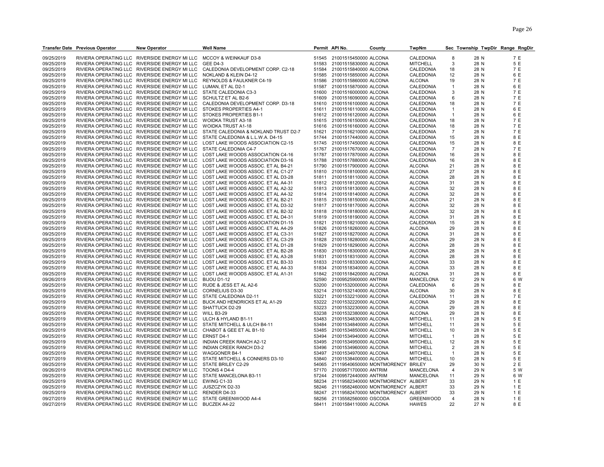|            | <b>Transfer Date Previous Operator</b> | <b>New Operator</b>                                                | <b>Well Name</b>                                                                 |       | Permit API No.              | County                            | TwpNm            |                |      | Sec Township TwpDir Range RngDir |
|------------|----------------------------------------|--------------------------------------------------------------------|----------------------------------------------------------------------------------|-------|-----------------------------|-----------------------------------|------------------|----------------|------|----------------------------------|
|            |                                        |                                                                    |                                                                                  |       |                             |                                   |                  |                |      |                                  |
| 09/25/2019 |                                        | RIVIERA OPERATING LLC RIVERSIDE ENERGY MI LLC                      | MCCOY & WEINKAUF D3-8                                                            |       | 51545 21001515450000 ALCONA |                                   | CALEDONIA        | 8              | 28 N | 7 E                              |
| 09/25/2019 |                                        | RIVIERA OPERATING LLC RIVERSIDE ENERGY MI LLC                      | <b>GEE D4-3</b>                                                                  | 51583 | 21001515830000 ALCONA       |                                   | <b>MITCHELL</b>  | 3              | 28 N | 5 E                              |
| 09/25/2019 |                                        | RIVIERA OPERATING LLC RIVERSIDE ENERGY MI LLC                      | CALEDONIA DEVELOPMENT CORP. C2-18                                                | 51584 | 21001515840000 ALCONA       |                                   | CALEDONIA        | 18             | 28 N | 7 E                              |
| 09/25/2019 |                                        | RIVIERA OPERATING LLC RIVERSIDE ENERGY MI LLC                      | NOKLAND & KLEIN D4-12                                                            | 51585 | 21001515850000 ALCONA       |                                   | CALEDONIA        | 12             | 28 N | 6 E                              |
| 09/25/2019 |                                        | RIVIERA OPERATING LLC RIVERSIDE ENERGY MI LLC                      | REYNOLDS & FAULKNER C4-19                                                        | 51586 | 21001515860000 ALCONA       |                                   | <b>ALCONA</b>    | 19             | 28 N | 7 E                              |
| 09/25/2019 |                                        | RIVIERA OPERATING LLC RIVERSIDE ENERGY MI LLC                      | LUMAN, ET AL D2-1                                                                | 51587 | 21001515870000 ALCONA       |                                   | CALEDONIA        | $\overline{1}$ | 28 N | 6 E                              |
| 09/25/2019 |                                        | RIVIERA OPERATING LLC RIVERSIDE ENERGY MI LLC                      | STATE CALEDONIA C3-3                                                             | 51600 | 21001516000000 ALCONA       |                                   | CALEDONIA        | 3              | 28 N | 7 E                              |
| 09/25/2019 |                                        | RIVIERA OPERATING LLC RIVERSIDE ENERGY MI LLC                      | SCHULTZ ET AL B2-6                                                               | 51609 | 21001516090000 ALCONA       |                                   | CALEDONIA        | 6              | 28 N | 7 E                              |
| 09/25/2019 |                                        | RIVIERA OPERATING LLC RIVERSIDE ENERGY MI LLC                      | CALEDONIA DEVELOPMENT CORP. D3-18                                                | 51610 | 21001516100000 ALCONA       |                                   | CALEDONIA        | 18             | 28 N | 7 E                              |
| 09/25/2019 |                                        | RIVIERA OPERATING LLC RIVERSIDE ENERGY MI LLC                      | STOKES PROPERTIES A4-1                                                           |       | 51611 21001516110000 ALCONA |                                   | CALEDONIA        | $\overline{1}$ | 28 N | 6 E                              |
| 09/25/2019 |                                        | RIVIERA OPERATING LLC RIVERSIDE ENERGY MI LLC                      | STOKES PROPERTIES B1-1                                                           | 51612 | 21001516120000 ALCONA       |                                   | CALEDONIA        | $\overline{1}$ | 28 N | 6 E                              |
| 09/25/2019 |                                        | RIVIERA OPERATING LLC RIVERSIDE ENERGY MI LLC                      | <b>WOIDKA TRUST A3-18</b>                                                        | 51615 | 21001516150000 ALCONA       |                                   | CALEDONIA        | 18             | 28 N | 7 E                              |
| 09/25/2019 |                                        | RIVIERA OPERATING LLC RIVERSIDE ENERGY MI LLC WOIDKA TRUST A1-18   |                                                                                  | 51616 | 21001516160000 ALCONA       |                                   | CALEDONIA        | 18             | 28 N | 7 E                              |
| 09/25/2019 |                                        | RIVIERA OPERATING LLC RIVERSIDE ENERGY MI LLC                      | STATE CALEDONIA & NOKLAND TRUST D2-7                                             | 51621 | 21001516210000 ALCONA       |                                   | CALEDONIA        | $\overline{7}$ | 28 N | 7 E                              |
| 09/25/2019 |                                        |                                                                    | RIVIERA OPERATING LLC RIVERSIDE ENERGY MI LLC STATE CALEDONIA & L.L.W.A. D4-15   | 51744 | 21001517440000 ALCONA       |                                   | CALEDONIA        | 15             | 28 N | 8 E                              |
| 09/25/2019 |                                        |                                                                    | RIVIERA OPERATING LLC RIVERSIDE ENERGY MI LLC LOST LAKE WOODS ASSOCIATION C2-15  | 51745 | 21001517450000 ALCONA       |                                   | CALEDONIA        | 15             | 28 N | 8 E                              |
| 09/25/2019 |                                        | RIVIERA OPERATING LLC RIVERSIDE ENERGY MI LLC                      | STATE CALEDONIA C4-7                                                             | 51767 | 21001517670000 ALCONA       |                                   | <b>CALEDONIA</b> | $\overline{7}$ | 28 N | 7 E                              |
| 09/25/2019 |                                        |                                                                    | RIVIERA OPERATING LLC RIVERSIDE ENERGY MI LLC LOST LAKE WOODS ASSOCIATION C4-16  | 51787 | 21001517870000 ALCONA       |                                   | CALEDONIA        | 16             | 28 N | 8 E                              |
| 09/25/2019 |                                        |                                                                    | RIVIERA OPERATING LLC RIVERSIDE ENERGY MI LLC LOST LAKE WOODS ASSOCIATION D3-16  | 51788 | 21001517880000 ALCONA       |                                   | CALEDONIA        | 16             | 28 N | 8 E                              |
| 09/25/2019 |                                        |                                                                    | RIVIERA OPERATING LLC RIVERSIDE ENERGY MI LLC LOST LAKE WOODS ASSOC. ET AL B4-21 | 51790 | 21001517900000 ALCONA       |                                   | <b>ALCONA</b>    | 21             | 28 N | 8 E                              |
| 09/25/2019 |                                        |                                                                    | RIVIERA OPERATING LLC RIVERSIDE ENERGY MI LLC LOST LAKE WOODS ASSOC. ET AL C1-27 | 51810 | 21001518100000 ALCONA       |                                   | <b>ALCONA</b>    | 27             | 28 N | 8 E                              |
| 09/25/2019 |                                        |                                                                    | RIVIERA OPERATING LLC RIVERSIDE ENERGY MI LLC LOST LAKE WOODS ASSOC. ET AL D3-28 | 51811 | 21001518110000 ALCONA       |                                   | <b>ALCONA</b>    | 28             | 28 N | 8 E                              |
| 09/25/2019 |                                        |                                                                    | RIVIERA OPERATING LLC RIVERSIDE ENERGY MI LLC LOST LAKE WOODS ASSOC. ET AL A4-31 |       | 51812 21001518120000 ALCONA |                                   | <b>ALCONA</b>    | 31             | 28 N | 8 E                              |
| 09/25/2019 |                                        |                                                                    | RIVIERA OPERATING LLC RIVERSIDE ENERGY MI LLC LOST LAKE WOODS ASSOC. ET AL A2-32 | 51813 | 21001518130000 ALCONA       |                                   | <b>ALCONA</b>    | 32             | 28 N | 8 E                              |
| 09/25/2019 |                                        |                                                                    | RIVIERA OPERATING LLC RIVERSIDE ENERGY MI LLC LOST LAKE WOODS ASSOC. ET AL A4-32 | 51814 | 21001518140000 ALCONA       |                                   | <b>ALCONA</b>    | 32             | 28 N | 8 E                              |
| 09/25/2019 |                                        |                                                                    | RIVIERA OPERATING LLC RIVERSIDE ENERGY MI LLC LOST LAKE WOODS ASSOC. ET AL B2-21 | 51815 | 21001518150000 ALCONA       |                                   | <b>ALCONA</b>    | 21             | 28 N | 8 E                              |
| 09/25/2019 |                                        |                                                                    | RIVIERA OPERATING LLC RIVERSIDE ENERGY MI LLC LOST LAKE WOODS ASSOC. ET AL D3-32 | 51817 | 21001518170000 ALCONA       |                                   | <b>ALCONA</b>    | 32             | 28 N | 8 E                              |
| 09/25/2019 |                                        |                                                                    | RIVIERA OPERATING LLC RIVERSIDE ENERGY MI LLC LOST LAKE WOODS ASSOC. ET AL B2-32 | 51818 | 21001518180000 ALCONA       |                                   | <b>ALCONA</b>    | 32             | 28 N | 8 E                              |
| 09/25/2019 |                                        |                                                                    | RIVIERA OPERATING LLC RIVERSIDE ENERGY MI LLC LOST LAKE WOODS ASSOC. ET AL D4-31 | 51819 | 21001518190000 ALCONA       |                                   | <b>ALCONA</b>    | 31             | 28 N | 8 E                              |
| 09/25/2019 |                                        |                                                                    | RIVIERA OPERATING LLC RIVERSIDE ENERGY MI LLC LOST LAKE WOODS ASSOCIATION D1-15  | 51821 | 21001518210000 ALCONA       |                                   | CALEDONIA        | 15             | 28 N | 8 E                              |
| 09/25/2019 |                                        |                                                                    | RIVIERA OPERATING LLC RIVERSIDE ENERGY MI LLC LOST LAKE WOODS ASSOC. ET AL A4-29 | 51826 | 21001518260000 ALCONA       |                                   | <b>ALCONA</b>    | 29             | 28 N | 8 E                              |
| 09/25/2019 |                                        |                                                                    | RIVIERA OPERATING LLC RIVERSIDE ENERGY MI LLC LOST LAKE WOODS ASSOC. ET AL C3-31 | 51827 | 21001518270000 ALCONA       |                                   | <b>ALCONA</b>    | 31             | 28 N | 8 E                              |
| 09/25/2019 |                                        |                                                                    | RIVIERA OPERATING LLC RIVERSIDE ENERGY MI LLC LOST LAKE WOODS ASSOC. ET AL C3-29 | 51828 | 21001518280000 ALCONA       |                                   | <b>ALCONA</b>    | 29             | 28 N | 8 E                              |
| 09/25/2019 |                                        |                                                                    | RIVIERA OPERATING LLC RIVERSIDE ENERGY MI LLC LOST LAKE WOODS ASSOC. ET AL D1-28 | 51829 | 21001518290000 ALCONA       |                                   | <b>ALCONA</b>    | 28             | 28 N | 8 E                              |
| 09/25/2019 |                                        |                                                                    | RIVIERA OPERATING LLC RIVERSIDE ENERGY MI LLC LOST LAKE WOODS ASSOC. ET AL B2-28 | 51830 | 21001518300000 ALCONA       |                                   | <b>ALCONA</b>    | 28             | 28 N | 8 E                              |
| 09/25/2019 |                                        | RIVIERA OPERATING LLC RIVERSIDE ENERGY MI LLC                      | LOST LAKE WOODS ASSOC. ET AL A3-28                                               | 51831 | 21001518310000 ALCONA       |                                   | <b>ALCONA</b>    | 28             | 28 N | 8 E                              |
| 09/25/2019 |                                        | RIVIERA OPERATING LLC RIVERSIDE ENERGY MI LLC                      | LOST LAKE WOODS ASSOC. ET AL B3-33                                               | 51833 | 21001518330000 ALCONA       |                                   | <b>ALCONA</b>    | 33             | 28 N | 8 E                              |
| 09/25/2019 |                                        |                                                                    | RIVIERA OPERATING LLC RIVERSIDE ENERGY MI LLC LOST LAKE WOODS ASSOC. ET AL A4-33 | 51834 | 21001518340000 ALCONA       |                                   | <b>ALCONA</b>    | 33             | 28 N | 8 E                              |
| 09/25/2019 |                                        |                                                                    | RIVIERA OPERATING LLC RIVERSIDE ENERGY MI LLC LOST LAKE WOODS ASSOC. ET AL A1-31 | 51842 | 21001518420000 ALCONA       |                                   | <b>ALCONA</b>    | 31             | 28 N | 8 E                              |
| 09/26/2019 |                                        | RIVIERA OPERATING LLC RIVERSIDE ENERGY MI LLC                      | <b>BIJOU D1-12</b>                                                               | 52590 | 21009525900000 ANTRIM       |                                   | <b>MANCELONA</b> | 12             | 29 N | 6 W                              |
| 09/25/2019 |                                        | RIVIERA OPERATING LLC RIVERSIDE ENERGY MI LLC                      | RUDE & JESS ET AL A2-6                                                           | 53200 | 21001532000000 ALCONA       |                                   | CALEDONIA        | 6              | 28 N | 8 E                              |
| 09/25/2019 |                                        | RIVIERA OPERATING LLC RIVERSIDE ENERGY MI LLC                      | <b>CORNELIUS D3-30</b>                                                           | 53214 | 21001532140000 ALCONA       |                                   | <b>ALCONA</b>    | 30             | 28 N | 8 E                              |
| 09/25/2019 |                                        | RIVIERA OPERATING LLC RIVERSIDE ENERGY MI LLC                      | STATE CALEDONIA D2-11                                                            | 53221 | 21001532210000 ALCONA       |                                   | CALEDONIA        | 11             | 28 N | 7 E                              |
| 09/25/2019 |                                        |                                                                    | RIVIERA OPERATING LLC RIVERSIDE ENERGY MI LLC BUCK AND HENDRICKS ET AL A1-29     | 53222 | 21001532220000 ALCONA       |                                   | <b>ALCONA</b>    | 29             | 28 N | 8 E                              |
| 09/25/2019 |                                        | RIVIERA OPERATING LLC RIVERSIDE ENERGY MI LLC                      | SHATTUCK D2-29                                                                   | 53223 | 21001532230000 ALCONA       |                                   | <b>ALCONA</b>    | 29             | 28 N | 8 E                              |
| 09/25/2019 |                                        | RIVIERA OPERATING LLC RIVERSIDE ENERGY MI LLC WILL B3-29           |                                                                                  | 53238 | 21001532380000 ALCONA       |                                   | <b>ALCONA</b>    | 29             | 28 N | 8 E                              |
| 09/25/2019 |                                        | RIVIERA OPERATING LLC RIVERSIDE ENERGY MI LLC ULCH & HYLAND B1-11  |                                                                                  | 53483 | 21001534830000 ALCONA       |                                   | <b>MITCHELL</b>  | 11             | 28 N | 5 E                              |
| 09/25/2019 |                                        | RIVIERA OPERATING LLC RIVERSIDE ENERGY MILLC                       | STATE MITCHELL & ULCH B4-11                                                      | 53484 | 21001534840000 ALCONA       |                                   | <b>MITCHELL</b>  | 11             | 28 N | 5 E                              |
| 09/25/2019 |                                        | RIVIERA OPERATING LLC RIVERSIDE ENERGY MI LLC                      | CHABOT & GEE ET AL B1-10                                                         | 53485 | 21001534850000 ALCONA       |                                   | <b>MITCHELL</b>  | 10             | 28 N | 5 E                              |
| 09/25/2019 |                                        | RIVIERA OPERATING LLC RIVERSIDE ENERGY MI LLC                      | <b>ERNST D4-1</b>                                                                | 53494 | 21001534940000 ALCONA       |                                   | <b>MITCHELL</b>  | $\overline{1}$ | 28 N | 5 E                              |
| 09/25/2019 |                                        | RIVIERA OPERATING LLC RIVERSIDE ENERGY MI LLC                      | <b>INDIAN CREEK RANCH A2-12</b>                                                  | 53495 | 21001534950000 ALCONA       |                                   | <b>MITCHELL</b>  | 12             | 28 N | 5 E                              |
| 09/25/2019 |                                        | RIVIERA OPERATING LLC RIVERSIDE ENERGY MI LLC                      | INDIAN CREEK RANCH D3-2                                                          | 53496 | 21001534960000 ALCONA       |                                   | <b>MITCHELL</b>  | $\overline{2}$ | 28 N | 5 E                              |
| 09/25/2019 |                                        | RIVIERA OPERATING LLC RIVERSIDE ENERGY MI LLC                      | <b>WAGGONER B4-1</b>                                                             | 53497 | 21001534970000 ALCONA       |                                   | <b>MITCHELL</b>  | 1              | 28 N | 5 E                              |
| 09/27/2019 |                                        | RIVIERA OPERATING LLC RIVERSIDE ENERGY MI LLC                      | STATE MITCHELL & CONNERS D3-10                                                   | 53840 | 21001538400000 ALCONA       |                                   | <b>MITCHELL</b>  | 10             | 28 N | 5 E                              |
| 09/25/2019 |                                        | RIVIERA OPERATING LLC RIVERSIDE ENERGY MI LLC                      | STATE BRILEY C2-29                                                               | 54065 | 21119540650000 MONTMORENCY  |                                   | <b>BRILEY</b>    | 29             | 30 N | 2 E                              |
| 09/26/2019 |                                        | RIVIERA OPERATING LLC RIVERSIDE ENERGY MI LLC                      | <b>TOONS 4 D4-4</b>                                                              | 57170 | 21009571700000 ANTRIM       |                                   | MANCELONA        | 4              | 29 N | 5 W                              |
| 09/25/2019 |                                        | RIVIERA OPERATING LLC RIVERSIDE ENERGY MI LLC                      | STATE MANCELONA B3-11                                                            | 57244 | 21009572440000 ANTRIM       |                                   | <b>MANCELONA</b> | 11             | 29 N | 6 W                              |
| 09/25/2019 |                                        | RIVIERA OPERATING LLC RIVERSIDE ENERGY MI LLC                      | EWING C1-33                                                                      | 58234 |                             | 21119582340000 MONTMORENCY ALBERT |                  | 33             | 29 N | 1 E                              |
| 09/25/2019 |                                        | RIVIERA OPERATING LLC RIVERSIDE ENERGY MI LLC                      | JUSZCZYK D2-33                                                                   | 58246 |                             | 21119582460000 MONTMORENCY ALBERT |                  | 33             | 29 N | 1 E                              |
| 09/25/2019 |                                        | RIVIERA OPERATING LLC RIVERSIDE ENERGY MI LLC                      | RENDER D4-33                                                                     | 58247 |                             | 21119582470000 MONTMORENCY ALBERT |                  | 33             | 29 N | 1 E                              |
| 09/27/2019 |                                        | RIVIERA OPERATING LLC RIVERSIDE ENERGY MI LLC STATE GREENWOOD A4-4 |                                                                                  | 58256 | 21135582560000 OSCODA       |                                   | <b>GREENWOOD</b> | $\overline{4}$ | 28 N | 1 E                              |
| 09/27/2019 |                                        | RIVIERA OPERATING LLC RIVERSIDE ENERGY MI LLC                      | <b>BUCZEK A4-22</b>                                                              | 58411 | 21001584110000 ALCONA       |                                   | <b>HAWES</b>     | 22             | 27 N | 8 E                              |
|            |                                        |                                                                    |                                                                                  |       |                             |                                   |                  |                |      |                                  |